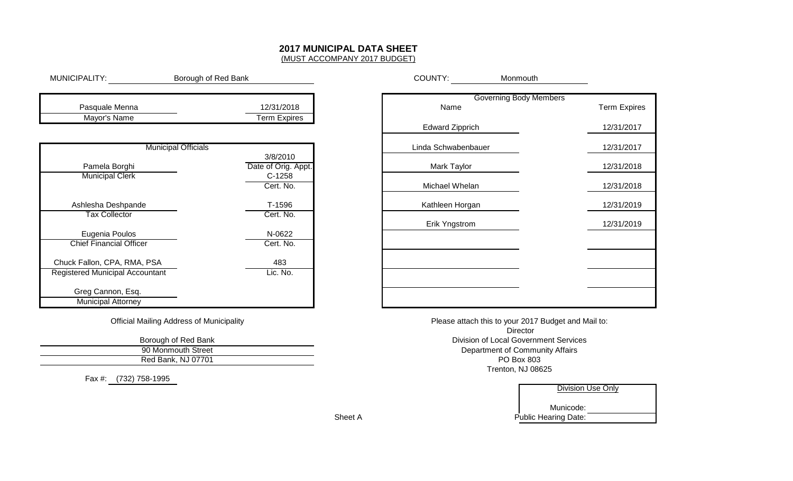# **2017 MUNICIPAL DATA SHEET**

(MUST ACCOMPANY 2017 BUDGET)

| MUNICIPALITY:                                    | Borough of Red Bank             | COUNTY:                | Monmouth         |
|--------------------------------------------------|---------------------------------|------------------------|------------------|
| Pasquale Menna                                   | 12/31/2018                      | Name                   | Governing Body M |
| Mayor's Name                                     | <b>Term Expires</b>             | <b>Edward Zipprich</b> |                  |
| <b>Municipal Officials</b>                       |                                 | Linda Schwabenbauer    |                  |
| Pamela Borghi                                    | 3/8/2010<br>Date of Orig. Appt. | Mark Taylor            |                  |
| <b>Municipal Clerk</b>                           | $C-1258$<br>Cert. No.           | Michael Whelan         |                  |
| Ashlesha Deshpande                               | T-1596                          | Kathleen Horgan        |                  |
| <b>Tax Collector</b>                             | Cert. No.                       | Erik Yngstrom          |                  |
| Eugenia Poulos<br><b>Chief Financial Officer</b> | N-0622<br>Cert. No.             |                        |                  |
| Chuck Fallon, CPA, RMA, PSA                      | 483                             |                        |                  |
| <b>Registered Municipal Accountant</b>           | Lic. No.                        |                        |                  |
| Greg Cannon, Esq.                                |                                 |                        |                  |
| <b>Municipal Attorney</b>                        |                                 |                        |                  |

|                                  | <b>COUNTY:</b><br><b>NONTHOUTH</b> |                     |
|----------------------------------|------------------------------------|---------------------|
|                                  | <b>Governing Body Members</b>      |                     |
| 018<br>$\overline{\text{pires}}$ | Name                               | <b>Term Expires</b> |
|                                  | <b>Edward Zipprich</b>             | 12/31/2017          |
|                                  | Linda Schwabenbauer                | 12/31/2017          |
| 10                               | Mark Taylor                        | 12/31/2018          |
| у. Appt.<br>8<br>lo.             | Michael Whelan                     | 12/31/2018          |
| 6                                | Kathleen Horgan                    | 12/31/2019          |
| lo.                              | Erik Yngstrom                      | 12/31/2019          |
| $\overline{\mathbf{c}}$<br>lo.   |                                    |                     |
|                                  |                                    |                     |
| C.                               |                                    |                     |
|                                  |                                    |                     |

Division of Local Government Services Please attach this to your 2017 Budget and Mail to:**Director** Department of Community AffairsTrenton, NJ 08625PO Box 803

|   | Division Use Only           |
|---|-----------------------------|
|   | Municode:                   |
| А | <b>Public Hearing Date:</b> |
|   |                             |

Official Mailing Address of Municipality

90 Monmouth Street Red Bank, NJ 07701Borough of Red Bank

Fax #: (732) 758-1995

Sheet A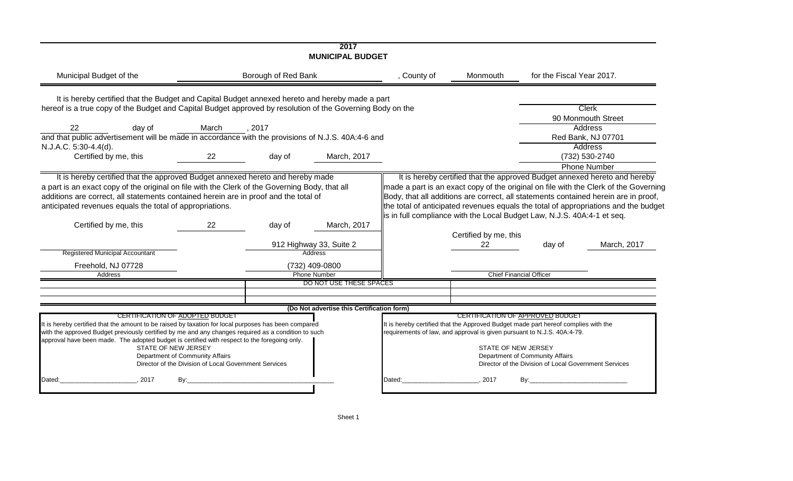|                                                                                                                                                                                                                                                                                                             |                                                                                                                                                    |                     | 2017<br><b>MUNICIPAL BUDGET</b>            |                                                                                                                                                               |                       |                                                                                                                              |                                                                                                                                                                            |
|-------------------------------------------------------------------------------------------------------------------------------------------------------------------------------------------------------------------------------------------------------------------------------------------------------------|----------------------------------------------------------------------------------------------------------------------------------------------------|---------------------|--------------------------------------------|---------------------------------------------------------------------------------------------------------------------------------------------------------------|-----------------------|------------------------------------------------------------------------------------------------------------------------------|----------------------------------------------------------------------------------------------------------------------------------------------------------------------------|
| Municipal Budget of the                                                                                                                                                                                                                                                                                     |                                                                                                                                                    | Borough of Red Bank |                                            | , County of                                                                                                                                                   | Monmouth              | for the Fiscal Year 2017.                                                                                                    |                                                                                                                                                                            |
| It is hereby certified that the Budget and Capital Budget annexed hereto and hereby made a part                                                                                                                                                                                                             |                                                                                                                                                    |                     |                                            |                                                                                                                                                               |                       |                                                                                                                              |                                                                                                                                                                            |
| hereof is a true copy of the Budget and Capital Budget approved by resolution of the Governing Body on the                                                                                                                                                                                                  |                                                                                                                                                    |                     |                                            |                                                                                                                                                               |                       |                                                                                                                              | <b>Clerk</b>                                                                                                                                                               |
| 22<br>day of                                                                                                                                                                                                                                                                                                | March                                                                                                                                              | , 2017              |                                            |                                                                                                                                                               |                       |                                                                                                                              | 90 Monmouth Street<br><b>Address</b>                                                                                                                                       |
| and that public advertisement will be made in accordance with the provisions of N.J.S. 40A:4-6 and                                                                                                                                                                                                          |                                                                                                                                                    |                     |                                            |                                                                                                                                                               |                       |                                                                                                                              | Red Bank, NJ 07701                                                                                                                                                         |
| N.J.A.C. 5:30-4.4(d).                                                                                                                                                                                                                                                                                       |                                                                                                                                                    |                     |                                            |                                                                                                                                                               |                       |                                                                                                                              | Address                                                                                                                                                                    |
| Certified by me, this                                                                                                                                                                                                                                                                                       | 22                                                                                                                                                 | day of              | March, 2017                                |                                                                                                                                                               |                       |                                                                                                                              | (732) 530-2740                                                                                                                                                             |
|                                                                                                                                                                                                                                                                                                             |                                                                                                                                                    |                     |                                            |                                                                                                                                                               |                       |                                                                                                                              | <b>Phone Number</b>                                                                                                                                                        |
| additions are correct, all statements contained herein are in proof and the total of<br>anticipated revenues equals the total of appropriations.<br>Certified by me, this                                                                                                                                   | 22                                                                                                                                                 | day of              | March, 2017                                | lis in full compliance with the Local Budget Law, N.J.S. 40A:4-1 et seq.                                                                                      | Certified by me, this |                                                                                                                              | Body, that all additions are correct, all statements contained herein are in proof,<br>the total of anticipated revenues equals the total of appropriations and the budget |
| Registered Municipal Accountant                                                                                                                                                                                                                                                                             |                                                                                                                                                    |                     | 912 Highway 33, Suite 2                    |                                                                                                                                                               | 22                    | day of                                                                                                                       | March, 2017                                                                                                                                                                |
|                                                                                                                                                                                                                                                                                                             |                                                                                                                                                    |                     | Address                                    |                                                                                                                                                               |                       |                                                                                                                              |                                                                                                                                                                            |
| Freehold, NJ 07728<br>Address                                                                                                                                                                                                                                                                               |                                                                                                                                                    |                     | (732) 409-0800<br><b>Phone Number</b>      |                                                                                                                                                               |                       | <b>Chief Financial Officer</b>                                                                                               |                                                                                                                                                                            |
|                                                                                                                                                                                                                                                                                                             |                                                                                                                                                    |                     | DO NOT USE THESE SPACES                    |                                                                                                                                                               |                       |                                                                                                                              |                                                                                                                                                                            |
|                                                                                                                                                                                                                                                                                                             |                                                                                                                                                    |                     |                                            |                                                                                                                                                               |                       |                                                                                                                              |                                                                                                                                                                            |
|                                                                                                                                                                                                                                                                                                             |                                                                                                                                                    |                     | (Do Not advertise this Certification form) |                                                                                                                                                               |                       |                                                                                                                              |                                                                                                                                                                            |
| It is hereby certified that the amount to be raised by taxation for local purposes has been compared<br>with the approved Budget previously certified by me and any changes required as a condition to such<br>approval have been made. The adopted budget is certified with respect to the foregoing only. | CERTIFICATION OF ADOPTED BUDGET<br>STATE OF NEW JERSEY<br>Department of Community Affairs<br>Director of the Division of Local Government Services |                     |                                            | It is hereby certified that the Approved Budget made part hereof complies with the<br>requirements of law, and approval is given pursuant to N.J.S. 40A:4-79. | STATE OF NEW JERSEY   | CERTIFICATION OF APPROVED BUDGET<br>Department of Community Affairs<br>Director of the Division of Local Government Services |                                                                                                                                                                            |
| Dated:<br>2017                                                                                                                                                                                                                                                                                              | By:                                                                                                                                                |                     |                                            | Dated:                                                                                                                                                        | 2017                  | Bv:                                                                                                                          |                                                                                                                                                                            |
|                                                                                                                                                                                                                                                                                                             |                                                                                                                                                    |                     |                                            |                                                                                                                                                               |                       |                                                                                                                              |                                                                                                                                                                            |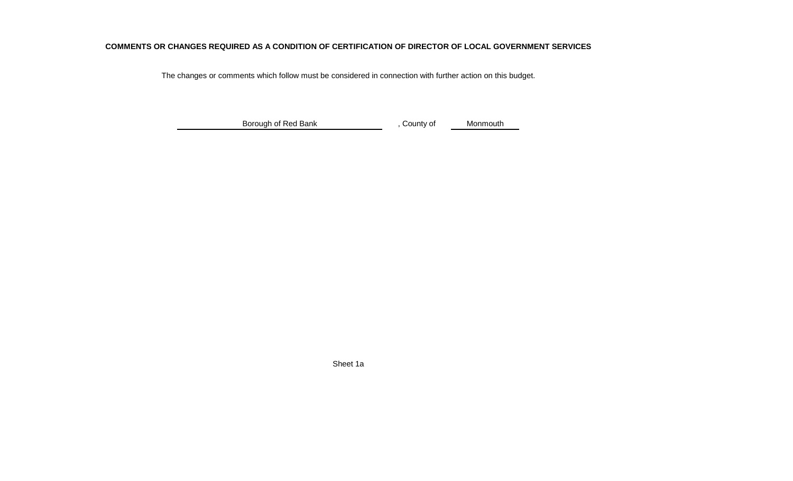### **COMMENTS OR CHANGES REQUIRED AS A CONDITION OF CERTIFICATION OF DIRECTOR OF LOCAL GOVERNMENT SERVICES**

The changes or comments which follow must be considered in connection with further action on this budget.

, County of MonmouthBorough of Red Bank

Sheet 1a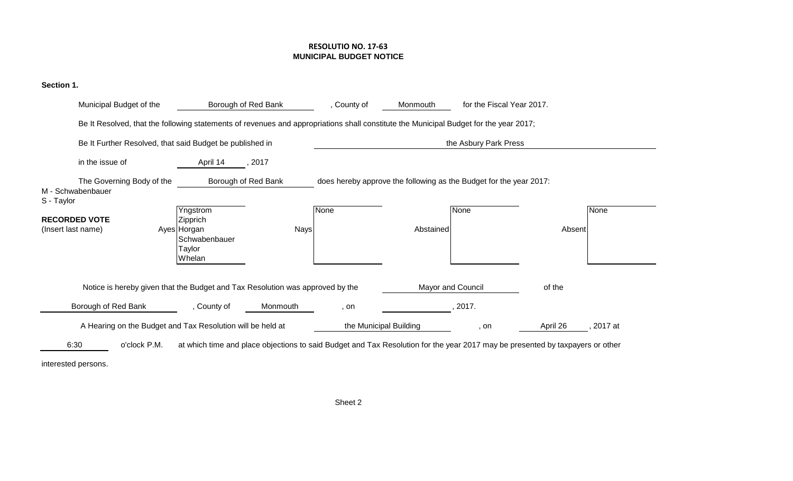### **RESOLUTIO NO. 17-63MUNICIPAL BUDGET NOTICE**

# **Section 1.**

| Municipal Budget of the                                                                                                               | Borough of Red Bank                                                      |             | , County of            | Monmouth          | for the Fiscal Year 2017.                                                                                                     |          |         |
|---------------------------------------------------------------------------------------------------------------------------------------|--------------------------------------------------------------------------|-------------|------------------------|-------------------|-------------------------------------------------------------------------------------------------------------------------------|----------|---------|
| Be It Resolved, that the following statements of revenues and appropriations shall constitute the Municipal Budget for the year 2017; |                                                                          |             |                        |                   |                                                                                                                               |          |         |
| Be It Further Resolved, that said Budget be published in                                                                              |                                                                          |             |                        |                   | the Asbury Park Press                                                                                                         |          |         |
| in the issue of                                                                                                                       | April 14                                                                 | , 2017      |                        |                   |                                                                                                                               |          |         |
| The Governing Body of the<br>M - Schwabenbauer<br>S - Taylor                                                                          | Borough of Red Bank                                                      |             |                        |                   | does hereby approve the following as the Budget for the year 2017:                                                            |          |         |
| <b>RECORDED VOTE</b><br>(Insert last name)                                                                                            | Yngstrom<br>Zipprich<br>Ayes Horgan<br>Schwabenbauer<br>Taylor<br>Whelan | <b>Nays</b> | <b>None</b>            | Abstained         | None                                                                                                                          | Absent   | None    |
| Notice is hereby given that the Budget and Tax Resolution was approved by the                                                         |                                                                          |             |                        | Mayor and Council |                                                                                                                               | of the   |         |
| Borough of Red Bank                                                                                                                   | , County of                                                              | Monmouth    | , on                   |                   | 2017.                                                                                                                         |          |         |
| A Hearing on the Budget and Tax Resolution will be held at                                                                            |                                                                          |             | the Municipal Building |                   | , on                                                                                                                          | April 26 | 2017 at |
| o'clock P.M.<br>6:30                                                                                                                  |                                                                          |             |                        |                   | at which time and place objections to said Budget and Tax Resolution for the year 2017 may be presented by taxpayers or other |          |         |

interested persons.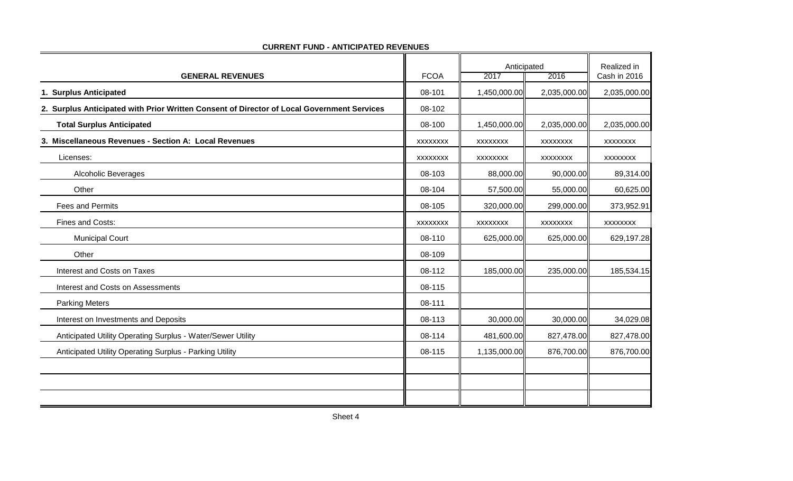|                                                                                            |                 |                 | Anticipated     |                 |
|--------------------------------------------------------------------------------------------|-----------------|-----------------|-----------------|-----------------|
| <b>GENERAL REVENUES</b>                                                                    | <b>FCOA</b>     | 2017            | 2016            | Cash in 2016    |
| 1. Surplus Anticipated                                                                     | 08-101          | 1,450,000.00    | 2,035,000.00    | 2,035,000.00    |
| 2. Surplus Anticipated with Prior Written Consent of Director of Local Government Services | 08-102          |                 |                 |                 |
| <b>Total Surplus Anticipated</b>                                                           | 08-100          | 1,450,000.00    | 2,035,000.00    | 2,035,000.00    |
| 3. Miscellaneous Revenues - Section A: Local Revenues                                      | <b>XXXXXXXX</b> | <b>XXXXXXXX</b> | <b>XXXXXXXX</b> | <b>XXXXXXXX</b> |
| Licenses:                                                                                  | <b>XXXXXXXX</b> | <b>XXXXXXXX</b> | <b>XXXXXXXX</b> | <b>XXXXXXXX</b> |
| <b>Alcoholic Beverages</b>                                                                 | 08-103          | 88,000.00       | 90,000.00       | 89,314.00       |
| Other                                                                                      | 08-104          | 57,500.00       | 55,000.00       | 60,625.00       |
| <b>Fees and Permits</b>                                                                    | 08-105          | 320,000.00      | 299,000.00      | 373,952.91      |
| Fines and Costs:                                                                           | <b>XXXXXXXX</b> | XXXXXXXX        | XXXXXXX         | <b>XXXXXXXX</b> |
| <b>Municipal Court</b>                                                                     | 08-110          | 625,000.00      | 625,000.00      | 629,197.28      |
| Other                                                                                      | 08-109          |                 |                 |                 |
| Interest and Costs on Taxes                                                                | 08-112          | 185,000.00      | 235,000.00      | 185,534.15      |
| <b>Interest and Costs on Assessments</b>                                                   | 08-115          |                 |                 |                 |
| <b>Parking Meters</b>                                                                      | 08-111          |                 |                 |                 |
| Interest on Investments and Deposits                                                       | 08-113          | 30,000.00       | 30,000.00       | 34,029.08       |
| Anticipated Utility Operating Surplus - Water/Sewer Utility                                | 08-114          | 481,600.00      | 827,478.00      | 827,478.00      |
| Anticipated Utility Operating Surplus - Parking Utility                                    | 08-115          | 1,135,000.00    | 876,700.00      | 876,700.00      |
|                                                                                            |                 |                 |                 |                 |
|                                                                                            |                 |                 |                 |                 |
|                                                                                            |                 |                 |                 |                 |

#### **CURRENT FUND - ANTICIPATED REVENUES**

 $\blacksquare$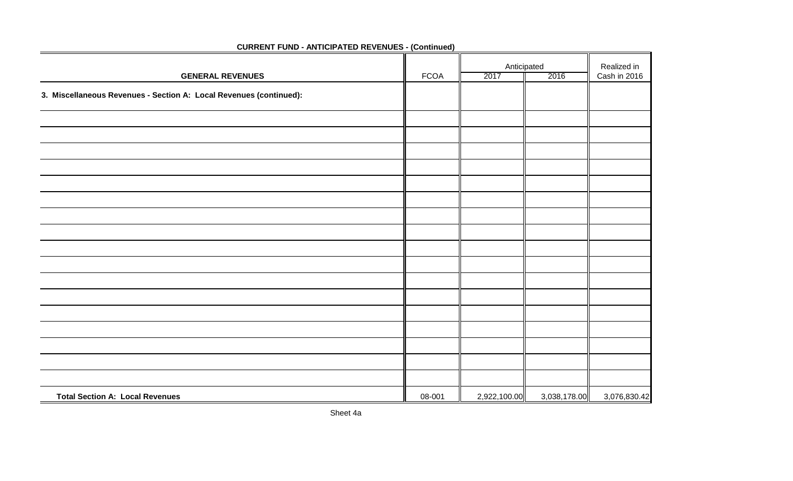|                                                                    |             | Anticipated  |              | Realized in  |
|--------------------------------------------------------------------|-------------|--------------|--------------|--------------|
| <b>GENERAL REVENUES</b>                                            | <b>FCOA</b> | 2017         | 2016         | Cash in 2016 |
| 3. Miscellaneous Revenues - Section A: Local Revenues (continued): |             |              |              |              |
|                                                                    |             |              |              |              |
|                                                                    |             |              |              |              |
|                                                                    |             |              |              |              |
|                                                                    |             |              |              |              |
|                                                                    |             |              |              |              |
|                                                                    |             |              |              |              |
|                                                                    |             |              |              |              |
|                                                                    |             |              |              |              |
|                                                                    |             |              |              |              |
|                                                                    |             |              |              |              |
|                                                                    |             |              |              |              |
|                                                                    |             |              |              |              |
|                                                                    |             |              |              |              |
|                                                                    |             |              |              |              |
|                                                                    |             |              |              |              |
|                                                                    |             |              |              |              |
|                                                                    |             |              |              |              |
| <b>Total Section A: Local Revenues</b>                             | 08-001      | 2,922,100.00 | 3,038,178.00 | 3,076,830.42 |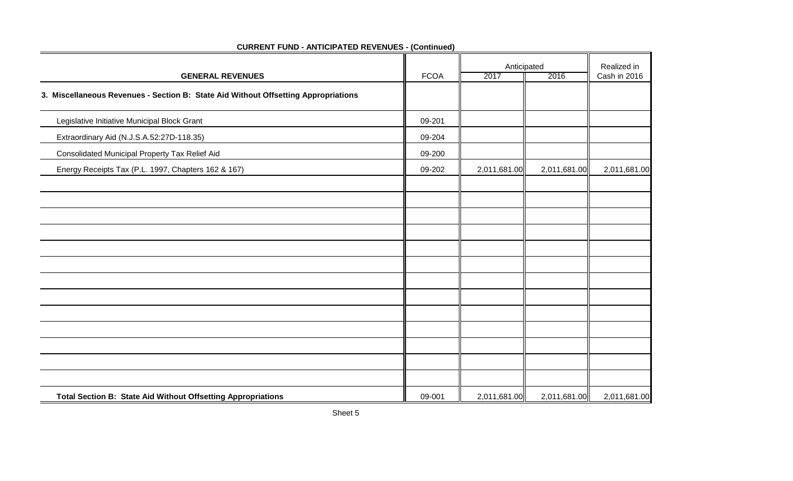|                                                                                    | Anticipated |              |              | Realized in  |
|------------------------------------------------------------------------------------|-------------|--------------|--------------|--------------|
| <b>GENERAL REVENUES</b>                                                            | <b>FCOA</b> | 2017         | 2016         | Cash in 2016 |
| 3. Miscellaneous Revenues - Section B: State Aid Without Offsetting Appropriations |             |              |              |              |
| Legislative Initiative Municipal Block Grant                                       | 09-201      |              |              |              |
| Extraordinary Aid (N.J.S.A.52:27D-118.35)                                          | 09-204      |              |              |              |
| Consolidated Municipal Property Tax Relief Aid                                     | 09-200      |              |              |              |
| Energy Receipts Tax (P.L. 1997, Chapters 162 & 167)                                | 09-202      | 2,011,681.00 | 2,011,681.00 | 2,011,681.00 |
|                                                                                    |             |              |              |              |
|                                                                                    |             |              |              |              |
|                                                                                    |             |              |              |              |
|                                                                                    |             |              |              |              |
|                                                                                    |             |              |              |              |
|                                                                                    |             |              |              |              |
|                                                                                    |             |              |              |              |
|                                                                                    |             |              |              |              |
|                                                                                    |             |              |              |              |
|                                                                                    |             |              |              |              |
|                                                                                    |             |              |              |              |
|                                                                                    |             |              |              |              |
| Total Section B: State Aid Without Offsetting Appropriations                       | 09-001      | 2,011,681.00 | 2,011,681.00 | 2,011,681.00 |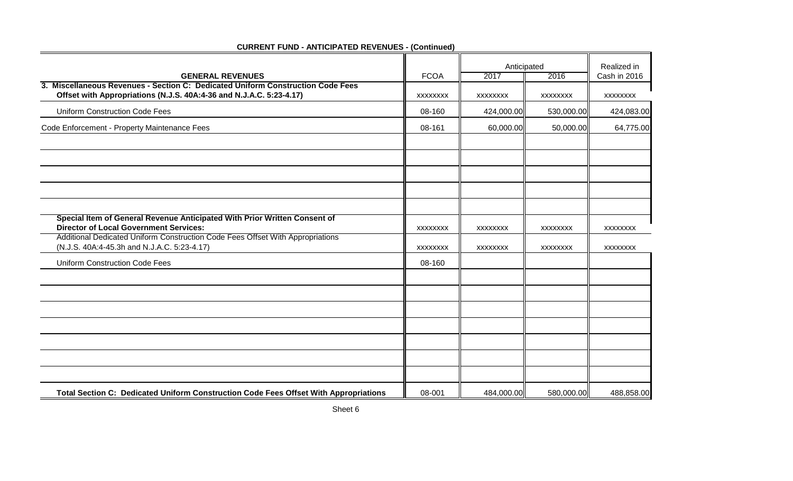|                                                                                                                                                        |                 | Anticipated     |                 | Realized in     |  |
|--------------------------------------------------------------------------------------------------------------------------------------------------------|-----------------|-----------------|-----------------|-----------------|--|
| <b>GENERAL REVENUES</b>                                                                                                                                | <b>FCOA</b>     | 2017            | 2016            | Cash in 2016    |  |
| 3. Miscellaneous Revenues - Section C: Dedicated Uniform Construction Code Fees<br>Offset with Appropriations (N.J.S. 40A:4-36 and N.J.A.C. 5:23-4.17) | <b>XXXXXXXX</b> | <b>XXXXXXXX</b> | <b>XXXXXXXX</b> | XXXXXXXX        |  |
| <b>Uniform Construction Code Fees</b>                                                                                                                  | 08-160          | 424,000.00      | 530,000.00      | 424,083.00      |  |
| Code Enforcement - Property Maintenance Fees                                                                                                           | 08-161          | 60,000.00       | 50,000.00       | 64,775.00       |  |
|                                                                                                                                                        |                 |                 |                 |                 |  |
| Special Item of General Revenue Anticipated With Prior Written Consent of                                                                              |                 |                 |                 |                 |  |
| <b>Director of Local Government Services:</b>                                                                                                          | <b>XXXXXXXX</b> | <b>XXXXXXXX</b> | <b>XXXXXXXX</b> | <b>XXXXXXXX</b> |  |
| Additional Dedicated Uniform Construction Code Fees Offset With Appropriations<br>(N.J.S. 40A:4-45.3h and N.J.A.C. 5:23-4.17)                          | <b>XXXXXXXX</b> | <b>XXXXXXXX</b> | <b>XXXXXXXX</b> | <b>XXXXXXXX</b> |  |
| <b>Uniform Construction Code Fees</b>                                                                                                                  | 08-160          |                 |                 |                 |  |
|                                                                                                                                                        |                 |                 |                 |                 |  |
|                                                                                                                                                        |                 |                 |                 |                 |  |
|                                                                                                                                                        |                 |                 |                 |                 |  |
|                                                                                                                                                        |                 |                 |                 |                 |  |
|                                                                                                                                                        |                 |                 |                 |                 |  |
|                                                                                                                                                        |                 |                 |                 |                 |  |
|                                                                                                                                                        |                 |                 |                 |                 |  |
| Total Section C: Dedicated Uniform Construction Code Fees Offset With Appropriations                                                                   | 08-001          | 484,000.00      | 580,000.00      | 488,858.00      |  |

۰.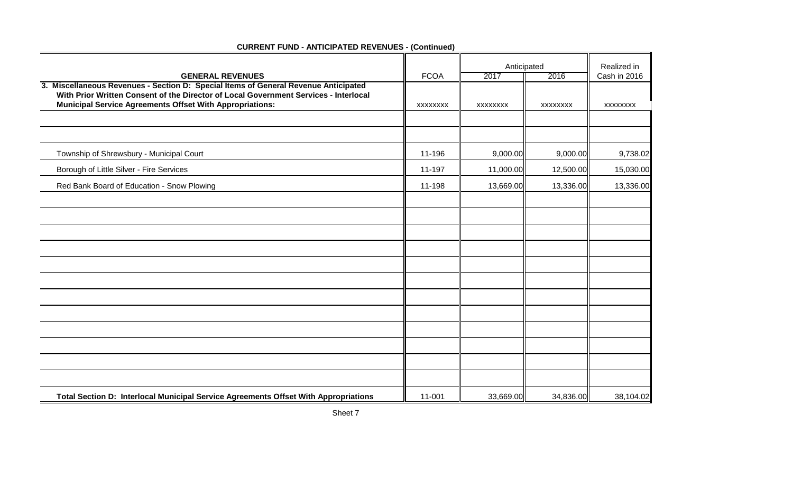|                                                                                                                                                                                                                                                |             | Anticipated     |                 | Realized in     |
|------------------------------------------------------------------------------------------------------------------------------------------------------------------------------------------------------------------------------------------------|-------------|-----------------|-----------------|-----------------|
| <b>GENERAL REVENUES</b>                                                                                                                                                                                                                        | <b>FCOA</b> | 2017            | 2016            | Cash in 2016    |
| 3. Miscellaneous Revenues - Section D: Special Items of General Revenue Anticipated<br>With Prior Written Consent of the Director of Local Government Services - Interlocal<br><b>Municipal Service Agreements Offset With Appropriations:</b> | XXXXXXXX    | <b>XXXXXXXX</b> | <b>XXXXXXXX</b> | <b>XXXXXXXX</b> |
|                                                                                                                                                                                                                                                |             |                 |                 |                 |
| Township of Shrewsbury - Municipal Court                                                                                                                                                                                                       | 11-196      | 9,000.00        | 9,000.00        | 9,738.02        |
| Borough of Little Silver - Fire Services                                                                                                                                                                                                       | 11-197      | 11,000.00       | 12,500.00       | 15,030.00       |
| Red Bank Board of Education - Snow Plowing                                                                                                                                                                                                     | 11-198      | 13,669.00       | 13,336.00       | 13,336.00       |
|                                                                                                                                                                                                                                                |             |                 |                 |                 |
|                                                                                                                                                                                                                                                |             |                 |                 |                 |
|                                                                                                                                                                                                                                                |             |                 |                 |                 |
|                                                                                                                                                                                                                                                |             |                 |                 |                 |
|                                                                                                                                                                                                                                                |             |                 |                 |                 |
|                                                                                                                                                                                                                                                |             |                 |                 |                 |
|                                                                                                                                                                                                                                                |             |                 |                 |                 |
|                                                                                                                                                                                                                                                |             |                 |                 |                 |
|                                                                                                                                                                                                                                                |             |                 |                 |                 |
|                                                                                                                                                                                                                                                |             |                 |                 |                 |
|                                                                                                                                                                                                                                                |             |                 |                 |                 |
| Total Section D: Interlocal Municipal Service Agreements Offset With Appropriations                                                                                                                                                            | 11-001      | 33,669.00       | 34,836.00       | 38,104.02       |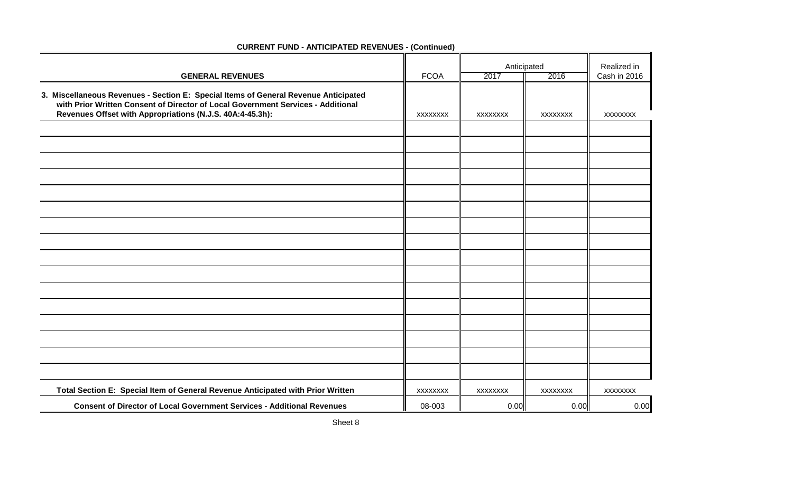|                                                                                                                                                                                                                                      |             |                 | Anticipated     |                             |
|--------------------------------------------------------------------------------------------------------------------------------------------------------------------------------------------------------------------------------------|-------------|-----------------|-----------------|-----------------------------|
| <b>GENERAL REVENUES</b>                                                                                                                                                                                                              | <b>FCOA</b> | 2017            | 2016            | Realized in<br>Cash in 2016 |
| 3. Miscellaneous Revenues - Section E: Special Items of General Revenue Anticipated<br>with Prior Written Consent of Director of Local Government Services - Additional<br>Revenues Offset with Appropriations (N.J.S. 40A:4-45.3h): | XXXXXXXX    | XXXXXXXX        | <b>XXXXXXXX</b> | <b>XXXXXXXX</b>             |
|                                                                                                                                                                                                                                      |             |                 |                 |                             |
|                                                                                                                                                                                                                                      |             |                 |                 |                             |
|                                                                                                                                                                                                                                      |             |                 |                 |                             |
|                                                                                                                                                                                                                                      |             |                 |                 |                             |
|                                                                                                                                                                                                                                      |             |                 |                 |                             |
|                                                                                                                                                                                                                                      |             |                 |                 |                             |
|                                                                                                                                                                                                                                      |             |                 |                 |                             |
|                                                                                                                                                                                                                                      |             |                 |                 |                             |
|                                                                                                                                                                                                                                      |             |                 |                 |                             |
|                                                                                                                                                                                                                                      |             |                 |                 |                             |
|                                                                                                                                                                                                                                      |             |                 |                 |                             |
|                                                                                                                                                                                                                                      |             |                 |                 |                             |
|                                                                                                                                                                                                                                      |             |                 |                 |                             |
|                                                                                                                                                                                                                                      |             |                 |                 |                             |
|                                                                                                                                                                                                                                      |             |                 |                 |                             |
|                                                                                                                                                                                                                                      |             |                 |                 |                             |
| Total Section E: Special Item of General Revenue Anticipated with Prior Written                                                                                                                                                      | XXXXXXXX    | <b>XXXXXXXX</b> | <b>XXXXXXXX</b> | <b>XXXXXXXX</b>             |
| <b>Consent of Director of Local Government Services - Additional Revenues</b>                                                                                                                                                        | 08-003      | 0.00            | 0.00            | 0.00                        |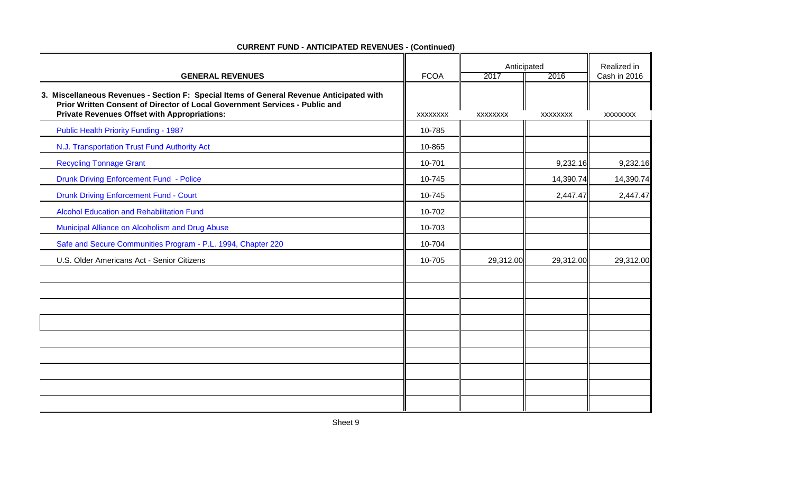| <b>GENERAL REVENUES</b>                                                                                                                                                                                                        |                                | Anticipated<br>2016<br>2017 |                 | Realized in<br>Cash in 2016 |
|--------------------------------------------------------------------------------------------------------------------------------------------------------------------------------------------------------------------------------|--------------------------------|-----------------------------|-----------------|-----------------------------|
| 3. Miscellaneous Revenues - Section F: Special Items of General Revenue Anticipated with<br>Prior Written Consent of Director of Local Government Services - Public and<br><b>Private Revenues Offset with Appropriations:</b> | <b>FCOA</b><br><b>XXXXXXXX</b> | <b>XXXXXXXX</b>             | <b>XXXXXXXX</b> | <b>XXXXXXXX</b>             |
| <b>Public Health Priority Funding - 1987</b>                                                                                                                                                                                   | 10-785                         |                             |                 |                             |
| N.J. Transportation Trust Fund Authority Act                                                                                                                                                                                   | 10-865                         |                             |                 |                             |
| <b>Recycling Tonnage Grant</b>                                                                                                                                                                                                 | 10-701                         |                             | 9,232.16        | 9,232.16                    |
| <b>Drunk Driving Enforcement Fund - Police</b>                                                                                                                                                                                 | 10-745                         |                             | 14,390.74       | 14,390.74                   |
| <b>Drunk Driving Enforcement Fund - Court</b>                                                                                                                                                                                  | 10-745                         |                             | 2,447.47        | 2,447.47                    |
| <b>Alcohol Education and Rehabilitation Fund</b>                                                                                                                                                                               | 10-702                         |                             |                 |                             |
| Municipal Alliance on Alcoholism and Drug Abuse                                                                                                                                                                                | 10-703                         |                             |                 |                             |
| Safe and Secure Communities Program - P.L. 1994, Chapter 220                                                                                                                                                                   | 10-704                         |                             |                 |                             |
| U.S. Older Americans Act - Senior Citizens                                                                                                                                                                                     | 10-705                         | 29,312.00                   | 29,312.00       | 29,312.00                   |
|                                                                                                                                                                                                                                |                                |                             |                 |                             |
|                                                                                                                                                                                                                                |                                |                             |                 |                             |
|                                                                                                                                                                                                                                |                                |                             |                 |                             |
|                                                                                                                                                                                                                                |                                |                             |                 |                             |
|                                                                                                                                                                                                                                |                                |                             |                 |                             |
|                                                                                                                                                                                                                                |                                |                             |                 |                             |
|                                                                                                                                                                                                                                |                                |                             |                 |                             |
|                                                                                                                                                                                                                                |                                |                             |                 |                             |
|                                                                                                                                                                                                                                |                                |                             |                 |                             |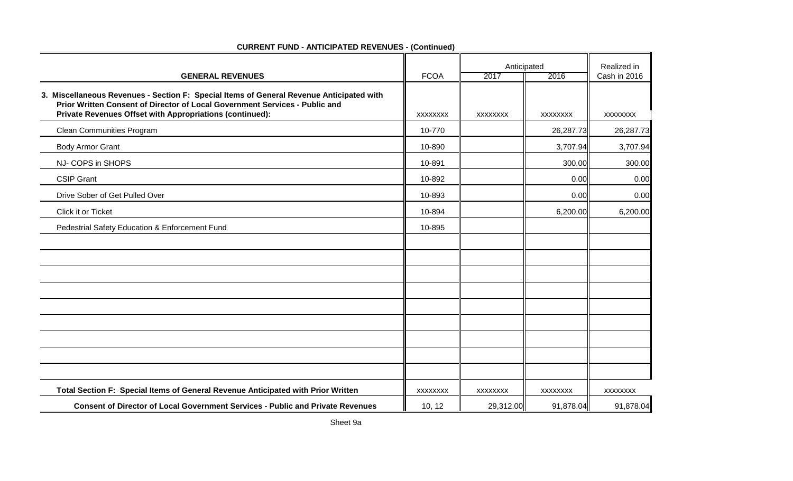| <b>GENERAL REVENUES</b>                                                                                                                                                                                                             | <b>FCOA</b>     | Anticipated<br>2017<br>2016 |                 | Realized in<br>Cash in 2016 |
|-------------------------------------------------------------------------------------------------------------------------------------------------------------------------------------------------------------------------------------|-----------------|-----------------------------|-----------------|-----------------------------|
| 3. Miscellaneous Revenues - Section F: Special Items of General Revenue Anticipated with<br>Prior Written Consent of Director of Local Government Services - Public and<br>Private Revenues Offset with Appropriations (continued): | <b>XXXXXXXX</b> | <b>XXXXXXXX</b>             | <b>XXXXXXXX</b> | <b>XXXXXXXX</b>             |
| Clean Communities Program                                                                                                                                                                                                           | 10-770          |                             | 26,287.73       | 26,287.73                   |
| <b>Body Armor Grant</b>                                                                                                                                                                                                             | 10-890          |                             | 3,707.94        | 3,707.94                    |
| NJ- COPS in SHOPS                                                                                                                                                                                                                   | 10-891          |                             | 300.00          | 300.00                      |
| <b>CSIP Grant</b>                                                                                                                                                                                                                   | 10-892          |                             | 0.00            | 0.00                        |
| Drive Sober of Get Pulled Over                                                                                                                                                                                                      | 10-893          |                             | 0.00            | 0.00                        |
| Click it or Ticket                                                                                                                                                                                                                  | 10-894          |                             | 6,200.00        | 6,200.00                    |
| Pedestrial Safety Education & Enforcement Fund                                                                                                                                                                                      | 10-895          |                             |                 |                             |
|                                                                                                                                                                                                                                     |                 |                             |                 |                             |
|                                                                                                                                                                                                                                     |                 |                             |                 |                             |
|                                                                                                                                                                                                                                     |                 |                             |                 |                             |
|                                                                                                                                                                                                                                     |                 |                             |                 |                             |
|                                                                                                                                                                                                                                     |                 |                             |                 |                             |
|                                                                                                                                                                                                                                     |                 |                             |                 |                             |
|                                                                                                                                                                                                                                     |                 |                             |                 |                             |
|                                                                                                                                                                                                                                     |                 |                             |                 |                             |
|                                                                                                                                                                                                                                     |                 |                             |                 |                             |
| Total Section F: Special Items of General Revenue Anticipated with Prior Written                                                                                                                                                    | XXXXXXXX        | <b>XXXXXXXX</b>             | <b>XXXXXXXX</b> | <b>XXXXXXXX</b>             |
| <b>Consent of Director of Local Government Services - Public and Private Revenues</b>                                                                                                                                               | 10, 12          | 29,312.00                   | 91,878.04       | 91,878.04                   |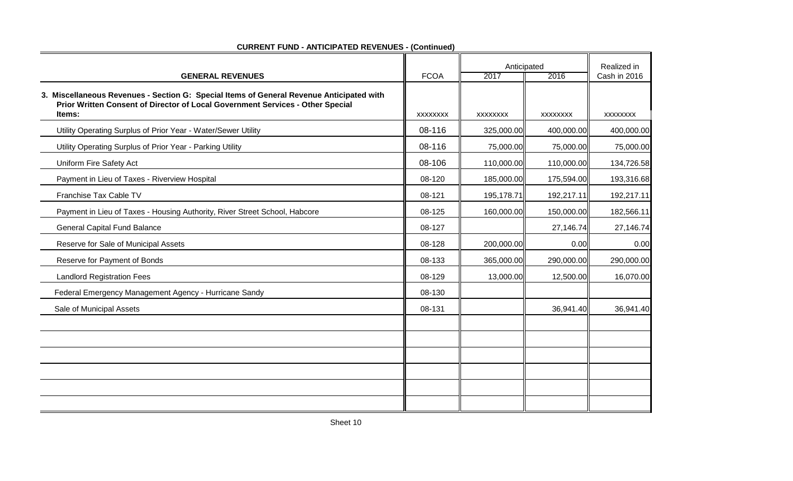|                                                                                                                                                                            |             | Anticipated |                 | Realized in  |
|----------------------------------------------------------------------------------------------------------------------------------------------------------------------------|-------------|-------------|-----------------|--------------|
| <b>GENERAL REVENUES</b>                                                                                                                                                    | <b>FCOA</b> | 2017        | 2016            | Cash in 2016 |
| 3. Miscellaneous Revenues - Section G: Special Items of General Revenue Anticipated with<br>Prior Written Consent of Director of Local Government Services - Other Special |             |             |                 |              |
| Items:                                                                                                                                                                     | XXXXXXX     | XXXXXXX     | <b>XXXXXXXX</b> | XXXXXXX      |
| Utility Operating Surplus of Prior Year - Water/Sewer Utility                                                                                                              | 08-116      | 325,000.00  | 400,000.00      | 400,000.00   |
| Utility Operating Surplus of Prior Year - Parking Utility                                                                                                                  | 08-116      | 75,000.00   | 75,000.00       | 75,000.00    |
| Uniform Fire Safety Act                                                                                                                                                    | 08-106      | 110,000.00  | 110,000.00      | 134,726.58   |
| Payment in Lieu of Taxes - Riverview Hospital                                                                                                                              | 08-120      | 185,000.00  | 175,594.00      | 193,316.68   |
| Franchise Tax Cable TV                                                                                                                                                     | 08-121      | 195,178.71  | 192,217.11      | 192,217.11   |
| Payment in Lieu of Taxes - Housing Authority, River Street School, Habcore                                                                                                 | 08-125      | 160,000.00  | 150,000.00      | 182,566.11   |
| <b>General Capital Fund Balance</b>                                                                                                                                        | 08-127      |             | 27,146.74       | 27,146.74    |
| Reserve for Sale of Municipal Assets                                                                                                                                       | 08-128      | 200,000.00  | 0.00            | 0.00         |
| Reserve for Payment of Bonds                                                                                                                                               | 08-133      | 365,000.00  | 290,000.00      | 290,000.00   |
| <b>Landlord Registration Fees</b>                                                                                                                                          | 08-129      | 13,000.00   | 12,500.00       | 16,070.00    |
| Federal Emergency Management Agency - Hurricane Sandy                                                                                                                      | 08-130      |             |                 |              |
| Sale of Municipal Assets                                                                                                                                                   | 08-131      |             | 36,941.40       | 36,941.40    |
|                                                                                                                                                                            |             |             |                 |              |
|                                                                                                                                                                            |             |             |                 |              |
|                                                                                                                                                                            |             |             |                 |              |
|                                                                                                                                                                            |             |             |                 |              |
|                                                                                                                                                                            |             |             |                 |              |
|                                                                                                                                                                            |             |             |                 |              |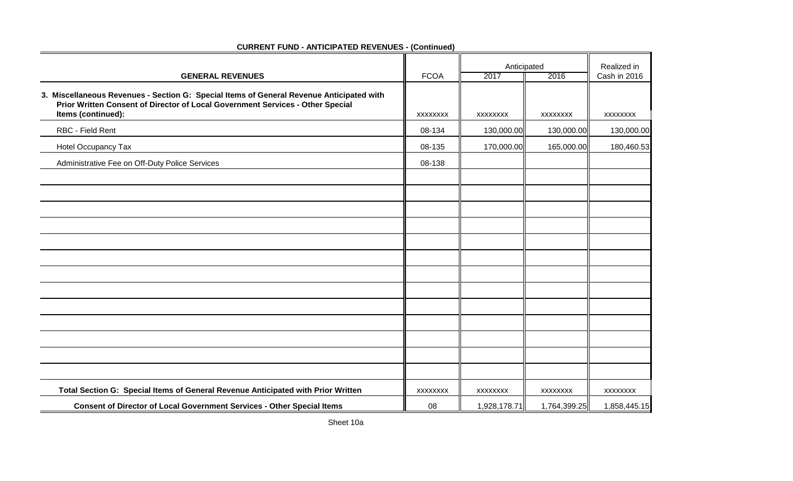| <b>GENERAL REVENUES</b>                                                                                                                                                    | <b>FCOA</b>     | Anticipated<br>2017 | 2016            | Realized in<br>Cash in 2016 |
|----------------------------------------------------------------------------------------------------------------------------------------------------------------------------|-----------------|---------------------|-----------------|-----------------------------|
| 3. Miscellaneous Revenues - Section G: Special Items of General Revenue Anticipated with<br>Prior Written Consent of Director of Local Government Services - Other Special |                 |                     |                 |                             |
| Items (continued):                                                                                                                                                         | <b>XXXXXXXX</b> | <b>XXXXXXXX</b>     | <b>XXXXXXXX</b> | <b>XXXXXXXX</b>             |
| RBC - Field Rent                                                                                                                                                           | 08-134          | 130,000.00          | 130,000.00      | 130,000.00                  |
| Hotel Occupancy Tax                                                                                                                                                        | 08-135          | 170,000.00          | 165,000.00      | 180,460.53                  |
| Administrative Fee on Off-Duty Police Services                                                                                                                             | 08-138          |                     |                 |                             |
|                                                                                                                                                                            |                 |                     |                 |                             |
|                                                                                                                                                                            |                 |                     |                 |                             |
|                                                                                                                                                                            |                 |                     |                 |                             |
|                                                                                                                                                                            |                 |                     |                 |                             |
|                                                                                                                                                                            |                 |                     |                 |                             |
|                                                                                                                                                                            |                 |                     |                 |                             |
|                                                                                                                                                                            |                 |                     |                 |                             |
|                                                                                                                                                                            |                 |                     |                 |                             |
|                                                                                                                                                                            |                 |                     |                 |                             |
|                                                                                                                                                                            |                 |                     |                 |                             |
|                                                                                                                                                                            |                 |                     |                 |                             |
|                                                                                                                                                                            |                 |                     |                 |                             |
|                                                                                                                                                                            |                 |                     |                 |                             |
|                                                                                                                                                                            |                 |                     |                 |                             |
| Total Section G: Special Items of General Revenue Anticipated with Prior Written                                                                                           | <b>XXXXXXXX</b> | XXXXXXXX            | XXXXXXXX        | <b>XXXXXXXX</b>             |
| Consent of Director of Local Government Services - Other Special Items                                                                                                     | 08              | 1,928,178.71        | 1,764,399.25    | 1,858,445.15                |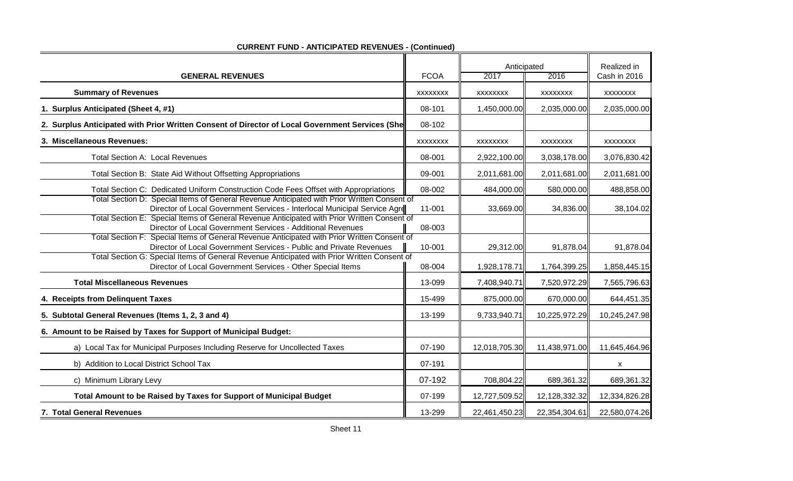|                                                                                                                                                                          |                 | Anticipated     |                 | Realized in     |
|--------------------------------------------------------------------------------------------------------------------------------------------------------------------------|-----------------|-----------------|-----------------|-----------------|
| <b>GENERAL REVENUES</b>                                                                                                                                                  | <b>FCOA</b>     | 2017            | 2016            | Cash in 2016    |
| <b>Summary of Revenues</b>                                                                                                                                               | <b>XXXXXXXX</b> | <b>XXXXXXXX</b> | <b>XXXXXXXX</b> | <b>XXXXXXXX</b> |
| 1. Surplus Anticipated (Sheet 4, #1)                                                                                                                                     | 08-101          | 1,450,000.00    | 2,035,000.00    | 2,035,000.00    |
| 2. Surplus Anticipated with Prior Written Consent of Director of Local Government Services (She                                                                          | 08-102          |                 |                 |                 |
| 3. Miscellaneous Revenues:                                                                                                                                               | <b>XXXXXXXX</b> | <b>XXXXXXXX</b> | XXXXXXX         | <b>XXXXXXXX</b> |
| <b>Total Section A: Local Revenues</b>                                                                                                                                   | 08-001          | 2,922,100.00    | 3,038,178.00    | 3,076,830.42    |
| Total Section B: State Aid Without Offsetting Appropriations                                                                                                             | 09-001          | 2,011,681.00    | 2,011,681.00    | 2,011,681.00    |
| Total Section C: Dedicated Uniform Construction Code Fees Offset with Appropriations                                                                                     | 08-002          | 484,000.00      | 580,000.00      | 488,858.00      |
| Total Section D: Special Items of General Revenue Anticipated with Prior Written Consent of<br>Director of Local Government Services - Interlocal Municipal Service Agre | 11-001          | 33,669.00       | 34,836.00       | 38,104.02       |
| Total Section E: Special Items of General Revenue Anticipated with Prior Written Consent of<br>Director of Local Government Services - Additional Revenues               | 08-003          |                 |                 |                 |
| Total Section F: Special Items of General Revenue Anticipated with Prior Written Consent of<br>Director of Local Government Services - Public and Private Revenues       | 10-001          | 29,312.00       | 91,878.04       | 91,878.04       |
| Total Section G: Special Items of General Revenue Anticipated with Prior Written Consent of<br>Director of Local Government Services - Other Special Items               | 08-004          | 1,928,178.71    | 1,764,399.25    | 1,858,445.15    |
| <b>Total Miscellaneous Revenues</b>                                                                                                                                      | 13-099          | 7,408,940.71    | 7,520,972.29    | 7,565,796.63    |
| 4. Receipts from Delinquent Taxes                                                                                                                                        | 15-499          | 875,000.00      | 670,000.00      | 644,451.35      |
| 5. Subtotal General Revenues (Items 1, 2, 3 and 4)                                                                                                                       | 13-199          | 9,733,940.71    | 10,225,972.29   | 10,245,247.98   |
| 6. Amount to be Raised by Taxes for Support of Municipal Budget:                                                                                                         |                 |                 |                 |                 |
| a) Local Tax for Municipal Purposes Including Reserve for Uncollected Taxes                                                                                              | 07-190          | 12,018,705.30   | 11,438,971.00   | 11,645,464.96   |
| b) Addition to Local District School Tax                                                                                                                                 | 07-191          |                 |                 | X               |
| c) Minimum Library Levy                                                                                                                                                  | 07-192          | 708,804.22      | 689,361.32      | 689,361.32      |
| Total Amount to be Raised by Taxes for Support of Municipal Budget                                                                                                       | 07-199          | 12,727,509.52   | 12,128,332.32   | 12,334,826.28   |
| 7. Total General Revenues                                                                                                                                                | 13-299          | 22,461,450.23   | 22,354,304.61   | 22,580,074.26   |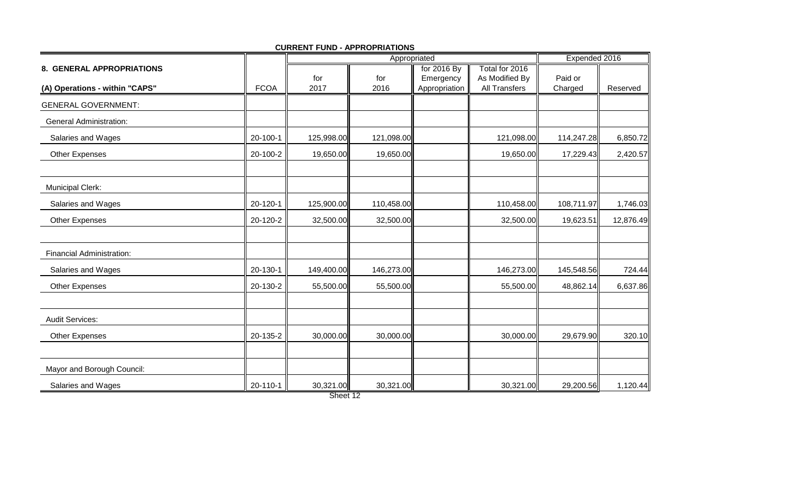|                                |             |             | Appropriated | Expended 2016              |                                        |                    |           |
|--------------------------------|-------------|-------------|--------------|----------------------------|----------------------------------------|--------------------|-----------|
| 8. GENERAL APPROPRIATIONS      |             |             |              | for 2016 By                | Total for 2016                         |                    |           |
| (A) Operations - within "CAPS" | <b>FCOA</b> | for<br>2017 | for<br>2016  | Emergency<br>Appropriation | As Modified By<br><b>All Transfers</b> | Paid or<br>Charged | Reserved  |
| <b>GENERAL GOVERNMENT:</b>     |             |             |              |                            |                                        |                    |           |
| <b>General Administration:</b> |             |             |              |                            |                                        |                    |           |
| Salaries and Wages             | 20-100-1    | 125,998.00  | 121,098.00   |                            | 121,098.00                             | 114,247.28         | 6,850.72  |
| Other Expenses                 | 20-100-2    | 19,650.00   | 19,650.00    |                            | 19,650.00                              | 17,229.43          | 2,420.57  |
| <b>Municipal Clerk:</b>        |             |             |              |                            |                                        |                    |           |
| Salaries and Wages             | 20-120-1    | 125,900.00  | 110,458.00   |                            | 110,458.00                             | 108,711.97         | 1,746.03  |
| Other Expenses                 | 20-120-2    | 32,500.00   | 32,500.00    |                            | 32,500.00                              | 19,623.51          | 12,876.49 |
|                                |             |             |              |                            |                                        |                    |           |
| Financial Administration:      |             |             |              |                            |                                        |                    |           |
| Salaries and Wages             | 20-130-1    | 149,400.00  | 146,273.00   |                            | 146,273.00                             | 145,548.56         | 724.44    |
| Other Expenses                 | 20-130-2    | 55,500.00   | 55,500.00    |                            | 55,500.00                              | 48,862.14          | 6,637.86  |
| <b>Audit Services:</b>         |             |             |              |                            |                                        |                    |           |
| Other Expenses                 | 20-135-2    | 30,000.00   | 30,000.00    |                            | 30,000.00                              | 29,679.90          | 320.10    |
| Mayor and Borough Council:     |             |             |              |                            |                                        |                    |           |
| Salaries and Wages             | 20-110-1    | 30,321.00   | 30,321.00    |                            | 30,321.00                              | 29,200.56          | 1,120.44  |

**CURRENT FUND - APPROPRIATIONS**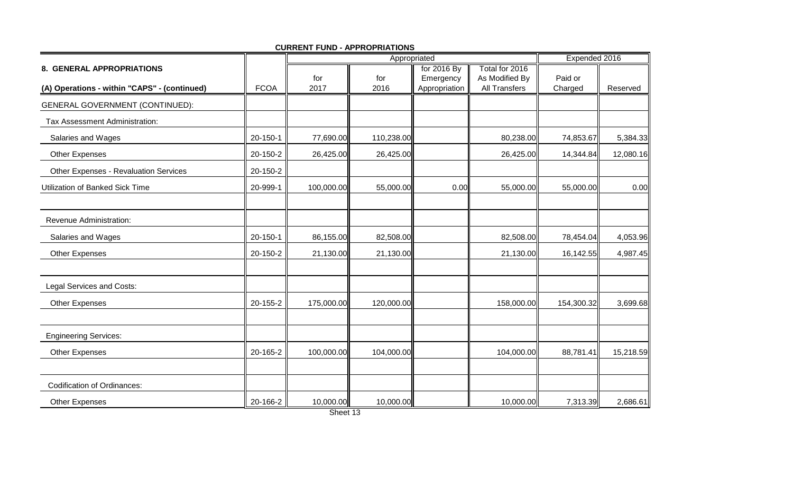|                                              |             |             | Appropriated |                            | Expended 2016                   |                    |           |
|----------------------------------------------|-------------|-------------|--------------|----------------------------|---------------------------------|--------------------|-----------|
| 8. GENERAL APPROPRIATIONS                    |             |             |              | for 2016 By                | Total for 2016                  |                    |           |
| (A) Operations - within "CAPS" - (continued) | <b>FCOA</b> | for<br>2017 | for<br>2016  | Emergency<br>Appropriation | As Modified By<br>All Transfers | Paid or<br>Charged | Reserved  |
| <b>GENERAL GOVERNMENT (CONTINUED):</b>       |             |             |              |                            |                                 |                    |           |
| Tax Assessment Administration:               |             |             |              |                            |                                 |                    |           |
| Salaries and Wages                           | 20-150-1    | 77,690.00   | 110,238.00   |                            | 80,238.00                       | 74,853.67          | 5,384.33  |
| <b>Other Expenses</b>                        | 20-150-2    | 26,425.00   | 26,425.00    |                            | 26,425.00                       | 14,344.84          | 12,080.16 |
| <b>Other Expenses - Revaluation Services</b> | 20-150-2    |             |              |                            |                                 |                    |           |
| Utilization of Banked Sick Time              | 20-999-1    | 100,000.00  | 55,000.00    | 0.00                       | 55,000.00                       | 55,000.00          | 0.00      |
| Revenue Administration:                      |             |             |              |                            |                                 |                    |           |
| Salaries and Wages                           | 20-150-1    | 86,155.00   | 82,508.00    |                            | 82,508.00                       | 78,454.04          | 4,053.96  |
| <b>Other Expenses</b>                        | 20-150-2    | 21,130.00   | 21,130.00    |                            | 21,130.00                       | 16,142.55          | 4,987.45  |
| Legal Services and Costs:                    |             |             |              |                            |                                 |                    |           |
| Other Expenses                               | 20-155-2    | 175,000.00  | 120,000.00   |                            | 158,000.00                      | 154,300.32         | 3,699.68  |
| <b>Engineering Services:</b>                 |             |             |              |                            |                                 |                    |           |
| <b>Other Expenses</b>                        | 20-165-2    | 100,000.00  | 104,000.00   |                            | 104,000.00                      | 88,781.41          | 15,218.59 |
| <b>Codification of Ordinances:</b>           |             |             |              |                            |                                 |                    |           |
| <b>Other Expenses</b>                        | 20-166-2    | 10,000.00   | 10,000.00    |                            | 10,000.00                       | 7,313.39           | 2,686.61  |

**CURRENT FUND - APPROPRIATIONS**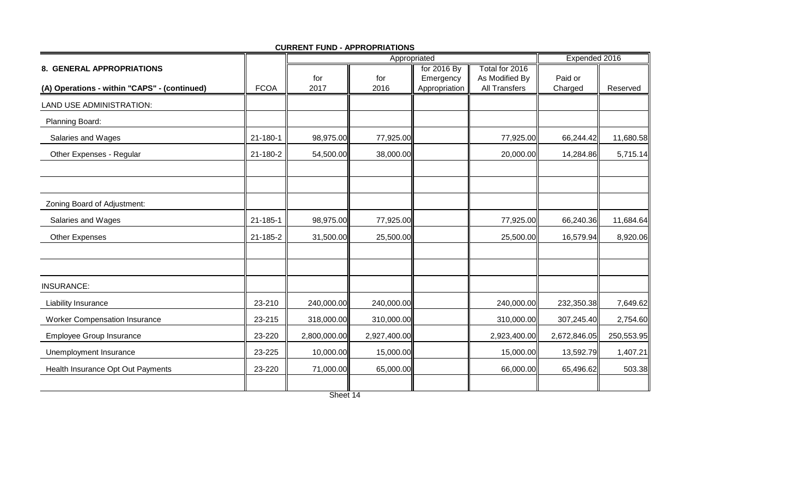|                                              |                |              | Appropriated | Expended 2016              |                                        |                    |            |
|----------------------------------------------|----------------|--------------|--------------|----------------------------|----------------------------------------|--------------------|------------|
| 8. GENERAL APPROPRIATIONS                    |                |              |              | for 2016 By                | Total for 2016                         |                    |            |
| (A) Operations - within "CAPS" - (continued) | <b>FCOA</b>    | for<br>2017  | for<br>2016  | Emergency<br>Appropriation | As Modified By<br><b>All Transfers</b> | Paid or<br>Charged | Reserved   |
| LAND USE ADMINISTRATION:                     |                |              |              |                            |                                        |                    |            |
| Planning Board:                              |                |              |              |                            |                                        |                    |            |
| Salaries and Wages                           | $21 - 180 - 1$ | 98,975.00    | 77,925.00    |                            | 77,925.00                              | 66,244.42          | 11,680.58  |
| Other Expenses - Regular                     | 21-180-2       | 54,500.00    | 38,000.00    |                            | 20,000.00                              | 14,284.86          | 5,715.14   |
|                                              |                |              |              |                            |                                        |                    |            |
| Zoning Board of Adjustment:                  |                |              |              |                            |                                        |                    |            |
| Salaries and Wages                           | 21-185-1       | 98,975.00    | 77,925.00    |                            | 77,925.00                              | 66,240.36          | 11,684.64  |
| Other Expenses                               | 21-185-2       | 31,500.00    | 25,500.00    |                            | 25,500.00                              | 16,579.94          | 8,920.06   |
|                                              |                |              |              |                            |                                        |                    |            |
| <b>INSURANCE:</b>                            |                |              |              |                            |                                        |                    |            |
| Liability Insurance                          | 23-210         | 240,000.00   | 240,000.00   |                            | 240,000.00                             | 232,350.38         | 7,649.62   |
| <b>Worker Compensation Insurance</b>         | 23-215         | 318,000.00   | 310,000.00   |                            | 310,000.00                             | 307,245.40         | 2,754.60   |
| <b>Employee Group Insurance</b>              | 23-220         | 2,800,000.00 | 2,927,400.00 |                            | 2,923,400.00                           | 2,672,846.05       | 250,553.95 |
| Unemployment Insurance                       | 23-225         | 10,000.00    | 15,000.00    |                            | 15,000.00                              | 13,592.79          | 1,407.21   |
| Health Insurance Opt Out Payments            | 23-220         | 71,000.00    | 65,000.00    |                            | 66,000.00                              | 65,496.62          | 503.38     |
|                                              |                |              |              |                            |                                        |                    |            |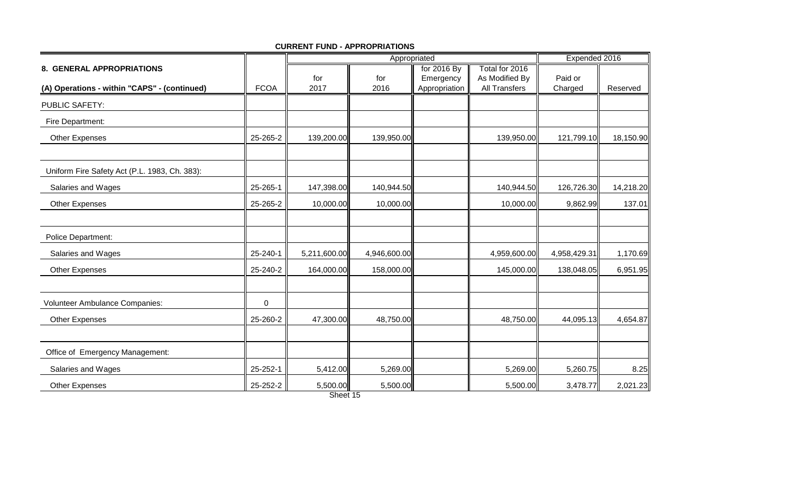|                                               |             | Appropriated |              |                            |                                        | Expended 2016      |           |
|-----------------------------------------------|-------------|--------------|--------------|----------------------------|----------------------------------------|--------------------|-----------|
| 8. GENERAL APPROPRIATIONS                     |             |              |              | for 2016 By                | Total for 2016                         |                    |           |
| (A) Operations - within "CAPS" - (continued)  | <b>FCOA</b> | for<br>2017  | for<br>2016  | Emergency<br>Appropriation | As Modified By<br><b>All Transfers</b> | Paid or<br>Charged | Reserved  |
|                                               |             |              |              |                            |                                        |                    |           |
| <b>PUBLIC SAFETY:</b>                         |             |              |              |                            |                                        |                    |           |
| Fire Department:                              |             |              |              |                            |                                        |                    |           |
| <b>Other Expenses</b>                         | 25-265-2    | 139,200.00   | 139,950.00   |                            | 139,950.00                             | 121,799.10         | 18,150.90 |
| Uniform Fire Safety Act (P.L. 1983, Ch. 383): |             |              |              |                            |                                        |                    |           |
| Salaries and Wages                            | 25-265-1    | 147,398.00   | 140,944.50   |                            | 140,944.50                             | 126,726.30         | 14,218.20 |
| Other Expenses                                | 25-265-2    | 10,000.00    | 10,000.00    |                            | 10,000.00                              | 9,862.99           | 137.01    |
|                                               |             |              |              |                            |                                        |                    |           |
| <b>Police Department:</b>                     |             |              |              |                            |                                        |                    |           |
| Salaries and Wages                            | 25-240-1    | 5,211,600.00 | 4,946,600.00 |                            | 4,959,600.00                           | 4,958,429.31       | 1,170.69  |
| Other Expenses                                | 25-240-2    | 164,000.00   | 158,000.00   |                            | 145,000.00                             | 138,048.05         | 6,951.95  |
| Volunteer Ambulance Companies:                | $\mathbf 0$ |              |              |                            |                                        |                    |           |
| Other Expenses                                | 25-260-2    | 47,300.00    | 48,750.00    |                            | 48,750.00                              | 44,095.13          | 4,654.87  |
| Office of Emergency Management:               |             |              |              |                            |                                        |                    |           |
| Salaries and Wages                            | 25-252-1    | 5,412.00     | 5,269.00     |                            | 5,269.00                               | 5,260.75           | 8.25      |
| Other Expenses                                | 25-252-2    | 5,500.00     | 5,500.00     |                            | 5,500.00                               | 3,478.77           | 2,021.23  |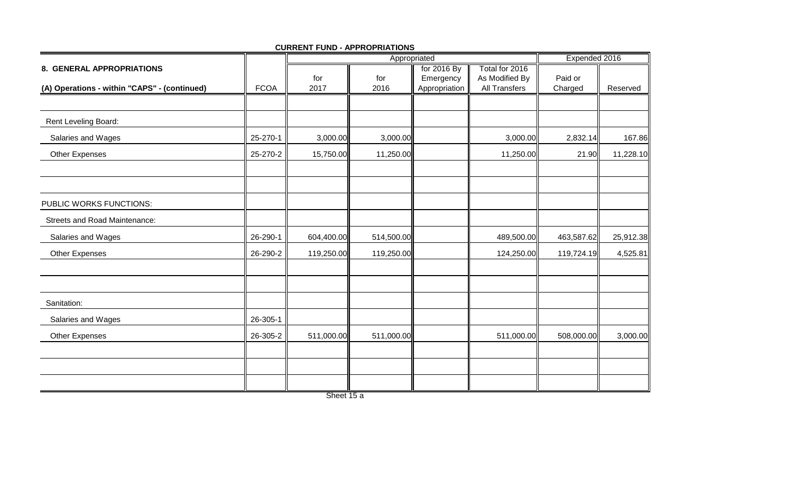|                                              |             |             | Appropriated | Expended 2016              |                                        |                    |           |
|----------------------------------------------|-------------|-------------|--------------|----------------------------|----------------------------------------|--------------------|-----------|
| 8. GENERAL APPROPRIATIONS                    |             |             |              | for 2016 By                | Total for 2016                         |                    |           |
| (A) Operations - within "CAPS" - (continued) | <b>FCOA</b> | for<br>2017 | for<br>2016  | Emergency<br>Appropriation | As Modified By<br><b>All Transfers</b> | Paid or<br>Charged | Reserved  |
|                                              |             |             |              |                            |                                        |                    |           |
|                                              |             |             |              |                            |                                        |                    |           |
| Rent Leveling Board:                         |             |             |              |                            |                                        |                    |           |
| Salaries and Wages                           | 25-270-1    | 3,000.00    | 3,000.00     |                            | 3,000.00                               | 2,832.14           | 167.86    |
| <b>Other Expenses</b>                        | 25-270-2    | 15,750.00   | 11,250.00    |                            | 11,250.00                              | 21.90              | 11,228.10 |
|                                              |             |             |              |                            |                                        |                    |           |
| PUBLIC WORKS FUNCTIONS:                      |             |             |              |                            |                                        |                    |           |
| <b>Streets and Road Maintenance:</b>         |             |             |              |                            |                                        |                    |           |
| Salaries and Wages                           | 26-290-1    | 604,400.00  | 514,500.00   |                            | 489,500.00                             | 463,587.62         | 25,912.38 |
| <b>Other Expenses</b>                        | 26-290-2    | 119,250.00  | 119,250.00   |                            | 124,250.00                             | 119,724.19         | 4,525.81  |
|                                              |             |             |              |                            |                                        |                    |           |
| Sanitation:                                  |             |             |              |                            |                                        |                    |           |
| Salaries and Wages                           | 26-305-1    |             |              |                            |                                        |                    |           |
| Other Expenses                               | 26-305-2    | 511,000.00  | 511,000.00   |                            | 511,000.00                             | 508,000.00         | 3,000.00  |
|                                              |             |             |              |                            |                                        |                    |           |
|                                              |             |             |              |                            |                                        |                    |           |
|                                              |             |             |              |                            |                                        |                    |           |

Sheet 15 a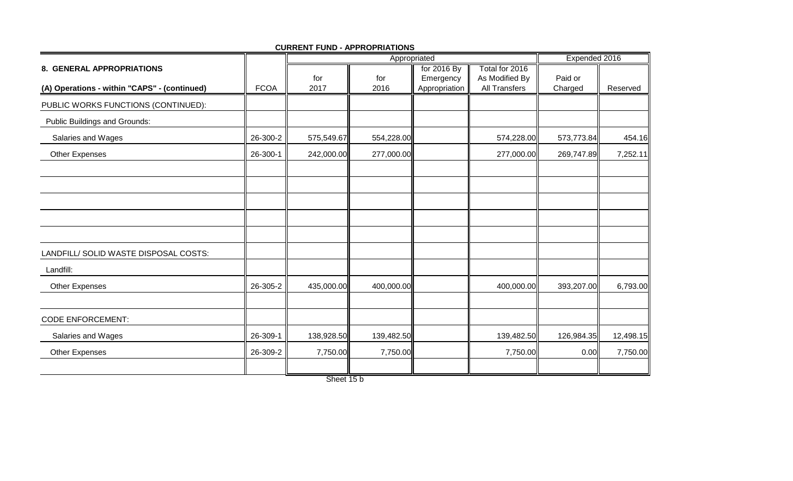|                                              |             |                          | Appropriated | Expended 2016 |                      |            |           |
|----------------------------------------------|-------------|--------------------------|--------------|---------------|----------------------|------------|-----------|
| 8. GENERAL APPROPRIATIONS                    |             |                          |              | for 2016 By   | Total for 2016       |            |           |
|                                              |             | for                      | for          | Emergency     | As Modified By       | Paid or    |           |
| (A) Operations - within "CAPS" - (continued) | <b>FCOA</b> | 2017                     | 2016         | Appropriation | <b>All Transfers</b> | Charged    | Reserved  |
| PUBLIC WORKS FUNCTIONS (CONTINUED):          |             |                          |              |               |                      |            |           |
| Public Buildings and Grounds:                |             |                          |              |               |                      |            |           |
| Salaries and Wages                           | 26-300-2    | 575,549.67               | 554,228.00   |               | 574,228.00           | 573,773.84 | 454.16    |
| <b>Other Expenses</b>                        | 26-300-1    | 242,000.00               | 277,000.00   |               | 277,000.00           | 269,747.89 | 7,252.11  |
|                                              |             |                          |              |               |                      |            |           |
|                                              |             |                          |              |               |                      |            |           |
|                                              |             |                          |              |               |                      |            |           |
|                                              |             |                          |              |               |                      |            |           |
|                                              |             |                          |              |               |                      |            |           |
| LANDFILL/ SOLID WASTE DISPOSAL COSTS:        |             |                          |              |               |                      |            |           |
| Landfill:                                    |             |                          |              |               |                      |            |           |
| <b>Other Expenses</b>                        | 26-305-2    | 435,000.00               | 400,000.00   |               | 400,000.00           | 393,207.00 | 6,793.00  |
|                                              |             |                          |              |               |                      |            |           |
| <b>CODE ENFORCEMENT:</b>                     |             |                          |              |               |                      |            |           |
| Salaries and Wages                           | 26-309-1    | 138,928.50               | 139,482.50   |               | 139,482.50           | 126,984.35 | 12,498.15 |
| <b>Other Expenses</b>                        | 26-309-2    | 7,750.00                 | 7,750.00     |               | 7,750.00             | 0.00       | 7,750.00  |
|                                              |             | $\overline{\phantom{1}}$ |              |               |                      |            |           |

Sheet 15 b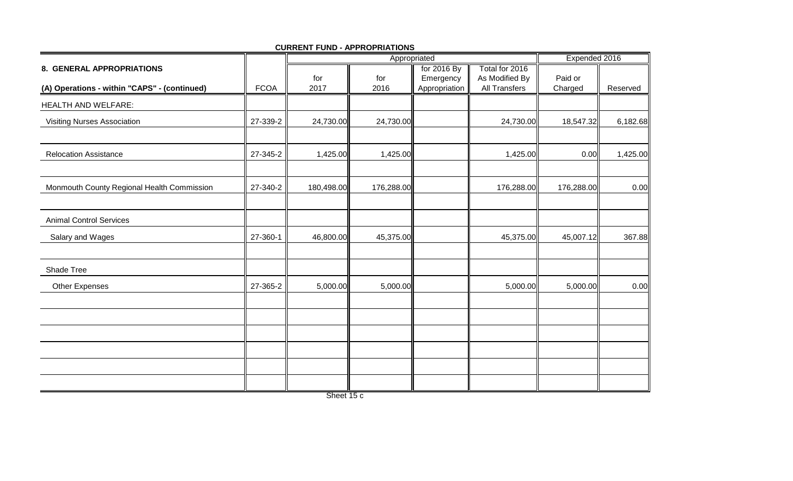|                                              |             |             | Appropriated | Expended 2016              |                                        |                    |          |
|----------------------------------------------|-------------|-------------|--------------|----------------------------|----------------------------------------|--------------------|----------|
| 8. GENERAL APPROPRIATIONS                    |             |             |              | for 2016 By                | Total for 2016                         |                    |          |
| (A) Operations - within "CAPS" - (continued) | <b>FCOA</b> | for<br>2017 | for<br>2016  | Emergency<br>Appropriation | As Modified By<br><b>All Transfers</b> | Paid or<br>Charged | Reserved |
|                                              |             |             |              |                            |                                        |                    |          |
| <b>HEALTH AND WELFARE:</b>                   |             |             |              |                            |                                        |                    |          |
| <b>Visiting Nurses Association</b>           | 27-339-2    | 24,730.00   | 24,730.00    |                            | 24,730.00                              | 18,547.32          | 6,182.68 |
|                                              |             |             |              |                            |                                        |                    |          |
| <b>Relocation Assistance</b>                 | 27-345-2    | 1,425.00    | 1,425.00     |                            | 1,425.00                               | 0.00               | 1,425.00 |
|                                              |             |             |              |                            |                                        |                    |          |
| Monmouth County Regional Health Commission   | 27-340-2    | 180,498.00  | 176,288.00   |                            | 176,288.00                             | 176,288.00         | 0.00     |
|                                              |             |             |              |                            |                                        |                    |          |
| <b>Animal Control Services</b>               |             |             |              |                            |                                        |                    |          |
| Salary and Wages                             | 27-360-1    | 46,800.00   | 45,375.00    |                            | 45,375.00                              | 45,007.12          | 367.88   |
|                                              |             |             |              |                            |                                        |                    |          |
| Shade Tree                                   |             |             |              |                            |                                        |                    |          |
| Other Expenses                               | 27-365-2    | 5,000.00    | 5,000.00     |                            | 5,000.00                               | 5,000.00           | 0.00     |
|                                              |             |             |              |                            |                                        |                    |          |
|                                              |             |             |              |                            |                                        |                    |          |
|                                              |             |             |              |                            |                                        |                    |          |
|                                              |             |             |              |                            |                                        |                    |          |
|                                              |             |             |              |                            |                                        |                    |          |
|                                              |             |             |              |                            |                                        |                    |          |

Sheet 15 c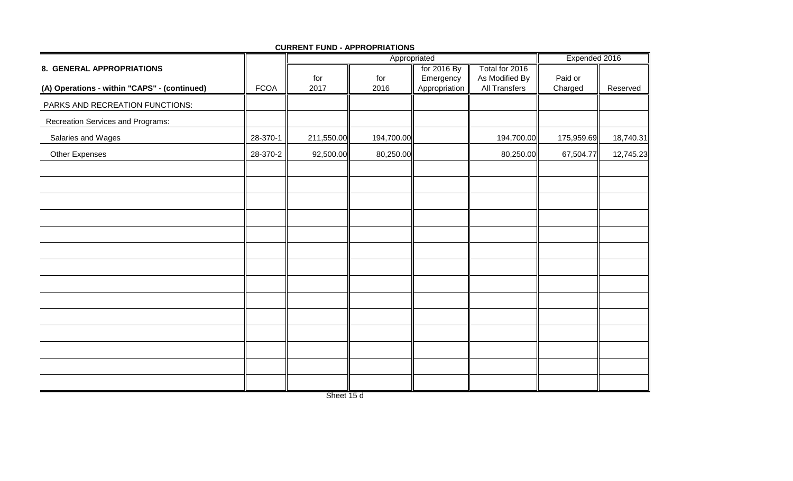|                                              |             |             | Appropriated | Expended 2016              |                                 |                    |           |
|----------------------------------------------|-------------|-------------|--------------|----------------------------|---------------------------------|--------------------|-----------|
| 8. GENERAL APPROPRIATIONS                    |             |             |              | for 2016 By                | Total for 2016                  |                    |           |
| (A) Operations - within "CAPS" - (continued) | <b>FCOA</b> | for<br>2017 | for<br>2016  | Emergency<br>Appropriation | As Modified By<br>All Transfers | Paid or<br>Charged | Reserved  |
| PARKS AND RECREATION FUNCTIONS:              |             |             |              |                            |                                 |                    |           |
|                                              |             |             |              |                            |                                 |                    |           |
| Recreation Services and Programs:            |             |             |              |                            |                                 |                    |           |
| Salaries and Wages                           | 28-370-1    | 211,550.00  | 194,700.00   |                            | 194,700.00                      | 175,959.69         | 18,740.31 |
| Other Expenses                               | 28-370-2    | 92,500.00   | 80,250.00    |                            | 80,250.00                       | 67,504.77          | 12,745.23 |
|                                              |             |             |              |                            |                                 |                    |           |
|                                              |             |             |              |                            |                                 |                    |           |
|                                              |             |             |              |                            |                                 |                    |           |
|                                              |             |             |              |                            |                                 |                    |           |
|                                              |             |             |              |                            |                                 |                    |           |
|                                              |             |             |              |                            |                                 |                    |           |
|                                              |             |             |              |                            |                                 |                    |           |
|                                              |             |             |              |                            |                                 |                    |           |
|                                              |             |             |              |                            |                                 |                    |           |
|                                              |             |             |              |                            |                                 |                    |           |
|                                              |             |             |              |                            |                                 |                    |           |
|                                              |             |             |              |                            |                                 |                    |           |
|                                              |             |             |              |                            |                                 |                    |           |

Sheet 15 d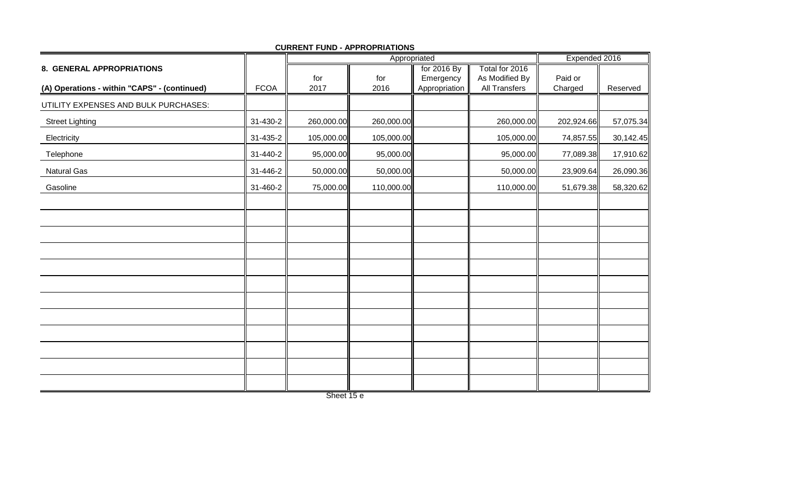|                                              |             |             | Expended 2016 |                            |                                 |                    |           |
|----------------------------------------------|-------------|-------------|---------------|----------------------------|---------------------------------|--------------------|-----------|
| 8. GENERAL APPROPRIATIONS                    |             |             |               | for 2016 By                | Total for 2016                  |                    |           |
| (A) Operations - within "CAPS" - (continued) | <b>FCOA</b> | for<br>2017 | for<br>2016   | Emergency<br>Appropriation | As Modified By<br>All Transfers | Paid or<br>Charged | Reserved  |
| UTILITY EXPENSES AND BULK PURCHASES:         |             |             |               |                            |                                 |                    |           |
| <b>Street Lighting</b>                       | 31-430-2    | 260,000.00  | 260,000.00    |                            | 260,000.00                      | 202,924.66         | 57,075.34 |
| Electricity                                  | 31-435-2    | 105,000.00  | 105,000.00    |                            | 105,000.00                      | 74,857.55          | 30,142.45 |
| Telephone                                    | 31-440-2    | 95,000.00   | 95,000.00     |                            | 95,000.00                       | 77,089.38          | 17,910.62 |
| <b>Natural Gas</b>                           | 31-446-2    | 50,000.00   | 50,000.00     |                            | 50,000.00                       | 23,909.64          | 26,090.36 |
| Gasoline                                     | 31-460-2    | 75,000.00   | 110,000.00    |                            | 110,000.00                      | 51,679.38          | 58,320.62 |
|                                              |             |             |               |                            |                                 |                    |           |
|                                              |             |             |               |                            |                                 |                    |           |
|                                              |             |             |               |                            |                                 |                    |           |
|                                              |             |             |               |                            |                                 |                    |           |
|                                              |             |             |               |                            |                                 |                    |           |
|                                              |             |             |               |                            |                                 |                    |           |
|                                              |             |             |               |                            |                                 |                    |           |
|                                              |             |             |               |                            |                                 |                    |           |
|                                              |             |             |               |                            |                                 |                    |           |
|                                              |             |             |               |                            |                                 |                    |           |
|                                              |             |             |               |                            |                                 |                    |           |
|                                              |             |             |               |                            |                                 |                    |           |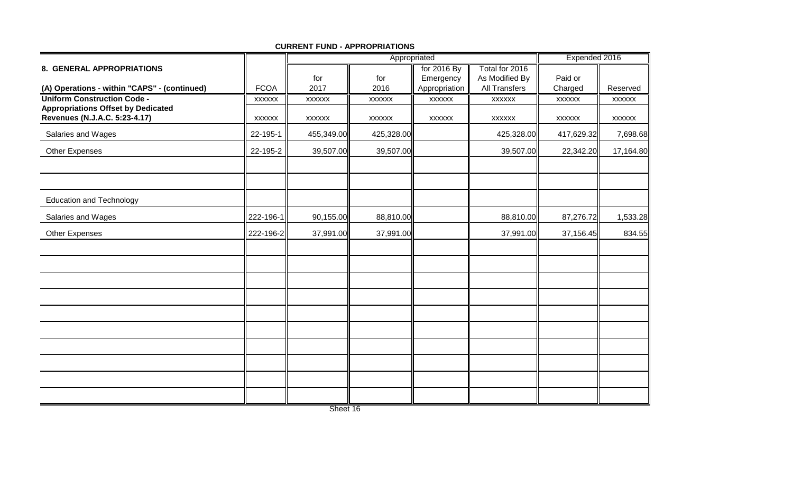|                                                                            |               |               | Appropriated  | Expended 2016 |                      |               |               |
|----------------------------------------------------------------------------|---------------|---------------|---------------|---------------|----------------------|---------------|---------------|
| 8. GENERAL APPROPRIATIONS                                                  |               |               |               | for 2016 By   | Total for 2016       |               |               |
|                                                                            |               | for           | for           | Emergency     | As Modified By       | Paid or       |               |
| (A) Operations - within "CAPS" - (continued)                               | <b>FCOA</b>   | 2017          | 2016          | Appropriation | <b>All Transfers</b> | Charged       | Reserved      |
| <b>Uniform Construction Code -</b>                                         | <b>XXXXXX</b> | <b>XXXXXX</b> | <b>XXXXXX</b> | <b>XXXXXX</b> | <b>XXXXXX</b>        | <b>XXXXXX</b> | <b>XXXXXX</b> |
| <b>Appropriations Offset by Dedicated</b><br>Revenues (N.J.A.C. 5:23-4.17) | <b>XXXXXX</b> | <b>XXXXXX</b> | <b>XXXXXX</b> | <b>XXXXXX</b> | <b>XXXXXX</b>        | <b>XXXXXX</b> | <b>XXXXXX</b> |
| Salaries and Wages                                                         | 22-195-1      | 455,349.00    | 425,328.00    |               | 425,328.00           | 417,629.32    | 7,698.68      |
| Other Expenses                                                             | 22-195-2      | 39,507.00     | 39,507.00     |               | 39,507.00            | 22,342.20     | 17,164.80     |
|                                                                            |               |               |               |               |                      |               |               |
| <b>Education and Technology</b>                                            |               |               |               |               |                      |               |               |
| Salaries and Wages                                                         | 222-196-1     | 90,155.00     | 88,810.00     |               | 88,810.00            | 87,276.72     | 1,533.28      |
| <b>Other Expenses</b>                                                      | 222-196-2     | 37,991.00     | 37,991.00     |               | 37,991.00            | 37,156.45     | 834.55        |
|                                                                            |               |               |               |               |                      |               |               |
|                                                                            |               |               |               |               |                      |               |               |
|                                                                            |               |               |               |               |                      |               |               |
|                                                                            |               |               |               |               |                      |               |               |
|                                                                            |               |               |               |               |                      |               |               |
|                                                                            |               |               |               |               |                      |               |               |
|                                                                            |               |               |               |               |                      |               |               |
|                                                                            |               |               |               |               |                      |               |               |
|                                                                            |               |               |               |               |                      |               |               |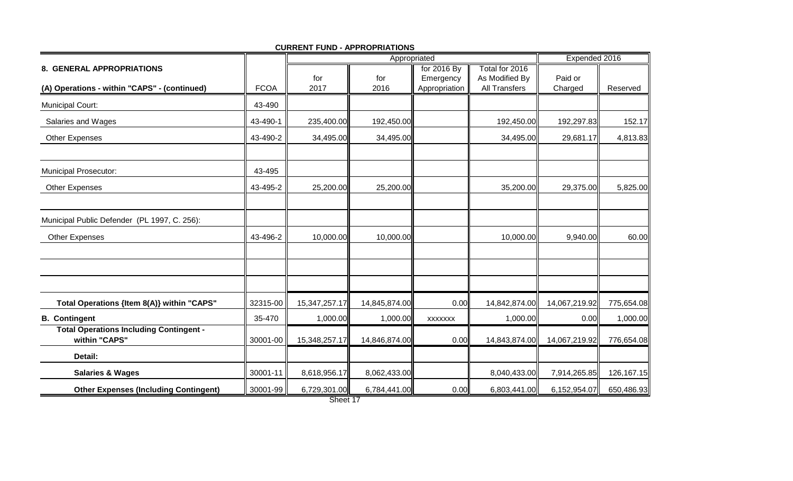|                                                                 |             |               | Appropriated  | Expended 2016  |                      |               |            |
|-----------------------------------------------------------------|-------------|---------------|---------------|----------------|----------------------|---------------|------------|
| 8. GENERAL APPROPRIATIONS                                       |             |               |               | for 2016 By    | Total for 2016       |               |            |
|                                                                 |             | for           | for           | Emergency      | As Modified By       | Paid or       |            |
| (A) Operations - within "CAPS" - (continued)                    | <b>FCOA</b> | 2017          | 2016          | Appropriation  | <b>All Transfers</b> | Charged       | Reserved   |
| <b>Municipal Court:</b>                                         | 43-490      |               |               |                |                      |               |            |
| Salaries and Wages                                              | 43-490-1    | 235,400.00    | 192,450.00    |                | 192,450.00           | 192,297.83    | 152.17     |
| <b>Other Expenses</b>                                           | 43-490-2    | 34,495.00     | 34,495.00     |                | 34,495.00            | 29,681.17     | 4,813.83   |
| Municipal Prosecutor:                                           | 43-495      |               |               |                |                      |               |            |
| <b>Other Expenses</b>                                           | 43-495-2    | 25,200.00     | 25,200.00     |                | 35,200.00            | 29,375.00     | 5,825.00   |
| Municipal Public Defender (PL 1997, C. 256):                    |             |               |               |                |                      |               |            |
| <b>Other Expenses</b>                                           | 43-496-2    | 10,000.00     | 10,000.00     |                | 10,000.00            | 9,940.00      | 60.00      |
|                                                                 |             |               |               |                |                      |               |            |
| Total Operations {Item 8(A)} within "CAPS"                      | 32315-00    | 15,347,257.17 | 14,845,874.00 | 0.00           | 14,842,874.00        | 14,067,219.92 | 775,654.08 |
| <b>B.</b> Contingent                                            | 35-470      | 1,000.00      | 1,000.00      | <b>XXXXXXX</b> | 1,000.00             | 0.00          | 1,000.00   |
| <b>Total Operations Including Contingent -</b><br>within "CAPS" | 30001-00    | 15,348,257.17 | 14,846,874.00 | 0.00           | 14,843,874.00        | 14,067,219.92 | 776,654.08 |
| Detail:                                                         |             |               |               |                |                      |               |            |
| <b>Salaries &amp; Wages</b>                                     | 30001-11    | 8,618,956.17  | 8,062,433.00  |                | 8,040,433.00         | 7,914,265.85  | 126,167.15 |
| <b>Other Expenses (Including Contingent)</b>                    | 30001-99    | 6,729,301.00  | 6,784,441.00  | 0.00           | 6,803,441.00         | 6,152,954.07  | 650,486.93 |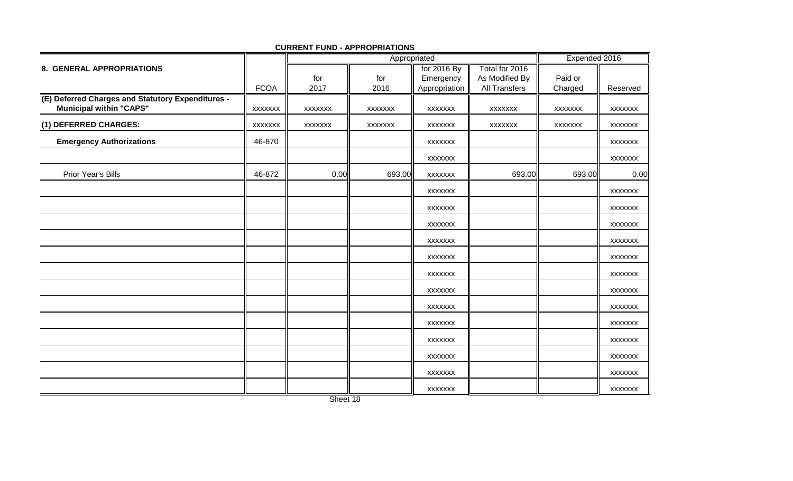|                                                                                     |                |                | Appropriated   |                |                      | Expended 2016  |                |
|-------------------------------------------------------------------------------------|----------------|----------------|----------------|----------------|----------------------|----------------|----------------|
| 8. GENERAL APPROPRIATIONS                                                           |                |                |                | for 2016 By    | Total for 2016       |                |                |
|                                                                                     |                | for            | for            | Emergency      | As Modified By       | Paid or        |                |
|                                                                                     | <b>FCOA</b>    | 2017           | 2016           | Appropriation  | <b>All Transfers</b> | Charged        | Reserved       |
| (E) Deferred Charges and Statutory Expenditures -<br><b>Municipal within "CAPS"</b> | <b>XXXXXXX</b> | <b>XXXXXXX</b> | <b>XXXXXXX</b> | <b>XXXXXXX</b> | <b>XXXXXXX</b>       | <b>XXXXXXX</b> | <b>XXXXXXX</b> |
| (1) DEFERRED CHARGES:                                                               | <b>XXXXXXX</b> | <b>XXXXXXX</b> | <b>XXXXXXX</b> | <b>XXXXXXX</b> | <b>XXXXXXX</b>       | <b>XXXXXXX</b> | <b>XXXXXXX</b> |
| <b>Emergency Authorizations</b>                                                     | 46-870         |                |                | <b>XXXXXXX</b> |                      |                | <b>XXXXXXX</b> |
|                                                                                     |                |                |                | <b>XXXXXXX</b> |                      |                | <b>XXXXXXX</b> |
| Prior Year's Bills                                                                  | 46-872         | 0.00           | 693.00         | <b>XXXXXXX</b> | 693.00               | 693.00         | 0.00           |
|                                                                                     |                |                |                | <b>XXXXXXX</b> |                      |                | <b>XXXXXXX</b> |
|                                                                                     |                |                |                | <b>XXXXXXX</b> |                      |                | <b>XXXXXXX</b> |
|                                                                                     |                |                |                | <b>XXXXXXX</b> |                      |                | <b>XXXXXXX</b> |
|                                                                                     |                |                |                | <b>XXXXXXX</b> |                      |                | <b>XXXXXXX</b> |
|                                                                                     |                |                |                | <b>XXXXXXX</b> |                      |                | <b>XXXXXXX</b> |
|                                                                                     |                |                |                | <b>XXXXXXX</b> |                      |                | <b>XXXXXXX</b> |
|                                                                                     |                |                |                | <b>XXXXXXX</b> |                      |                | <b>XXXXXXX</b> |
|                                                                                     |                |                |                | <b>XXXXXXX</b> |                      |                | <b>XXXXXXX</b> |
|                                                                                     |                |                |                | XXXXXXX        |                      |                | <b>XXXXXXX</b> |
|                                                                                     |                |                |                | <b>XXXXXXX</b> |                      |                | <b>XXXXXXX</b> |
|                                                                                     |                |                |                | <b>XXXXXXX</b> |                      |                | <b>XXXXXXX</b> |
|                                                                                     |                |                |                | XXXXXXX        |                      |                | <b>XXXXXXX</b> |
|                                                                                     |                |                |                | <b>XXXXXXX</b> |                      |                | <b>XXXXXXX</b> |

**CURRENT FUND - APPROPRIATIONS**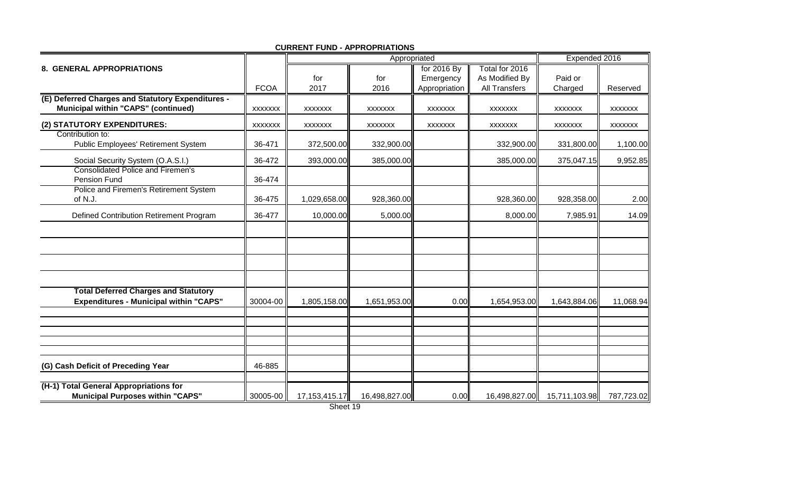|                                                                                                 |                |                  | Appropriated   | Expended 2016  |                      |                |                |
|-------------------------------------------------------------------------------------------------|----------------|------------------|----------------|----------------|----------------------|----------------|----------------|
| 8. GENERAL APPROPRIATIONS                                                                       |                |                  |                | for 2016 By    | Total for 2016       |                |                |
|                                                                                                 |                | for              | for            | Emergency      | As Modified By       | Paid or        |                |
|                                                                                                 | <b>FCOA</b>    | 2017             | 2016           | Appropriation  | <b>All Transfers</b> | Charged        | Reserved       |
| (E) Deferred Charges and Statutory Expenditures -<br><b>Municipal within "CAPS" (continued)</b> | <b>XXXXXXX</b> | <b>XXXXXXX</b>   | <b>XXXXXXX</b> | <b>XXXXXXX</b> | <b>XXXXXXX</b>       | <b>XXXXXXX</b> | <b>XXXXXXX</b> |
| (2) STATUTORY EXPENDITURES:                                                                     | XXXXXX         | <b>XXXXXXX</b>   | <b>XXXXXXX</b> | <b>XXXXXXX</b> | <b>XXXXXXX</b>       | <b>XXXXXXX</b> | <b>XXXXXXX</b> |
| Contribution to:<br>Public Employees' Retirement System                                         | 36-471         | 372,500.00       | 332,900.00     |                | 332,900.00           | 331,800.00     | 1,100.00       |
| Social Security System (O.A.S.I.)                                                               | 36-472         | 393,000.00       | 385,000.00     |                | 385,000.00           | 375,047.15     | 9,952.85       |
| <b>Consolidated Police and Firemen's</b><br>Pension Fund                                        | 36-474         |                  |                |                |                      |                |                |
| Police and Firemen's Retirement System<br>of N.J.                                               | 36-475         | 1,029,658.00     | 928,360.00     |                | 928,360.00           | 928,358.00     | 2.00           |
| Defined Contribution Retirement Program                                                         | 36-477         | 10,000.00        | 5,000.00       |                | 8,000.00             | 7,985.91       | 14.09          |
|                                                                                                 |                |                  |                |                |                      |                |                |
|                                                                                                 |                |                  |                |                |                      |                |                |
|                                                                                                 |                |                  |                |                |                      |                |                |
| <b>Total Deferred Charges and Statutory</b>                                                     |                |                  |                |                |                      |                |                |
| <b>Expenditures - Municipal within "CAPS"</b>                                                   | 30004-00       | 1,805,158.00     | 1,651,953.00   | 0.00           | 1,654,953.00         | 1,643,884.06   | 11,068.94      |
|                                                                                                 |                |                  |                |                |                      |                |                |
|                                                                                                 |                |                  |                |                |                      |                |                |
|                                                                                                 |                |                  |                |                |                      |                |                |
| (G) Cash Deficit of Preceding Year                                                              | 46-885         |                  |                |                |                      |                |                |
| (H-1) Total General Appropriations for<br><b>Municipal Purposes within "CAPS"</b>               | 30005-00       | 17, 153, 415. 17 | 16,498,827.00  | 0.00           | 16,498,827.00        | 15,711,103.98  | 787,723.02     |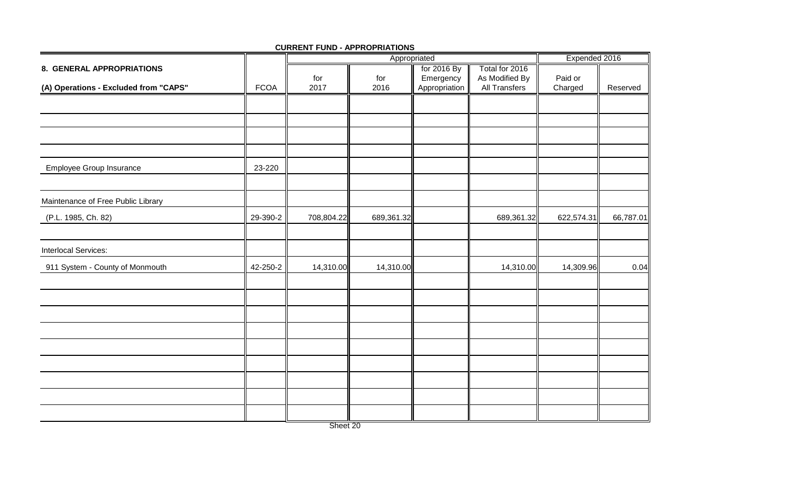|                                       |             |            | Appropriated | Expended 2016 |                |            |           |
|---------------------------------------|-------------|------------|--------------|---------------|----------------|------------|-----------|
| 8. GENERAL APPROPRIATIONS             |             |            |              | for 2016 By   | Total for 2016 |            |           |
|                                       |             | for        | for          | Emergency     | As Modified By | Paid or    |           |
| (A) Operations - Excluded from "CAPS" | <b>FCOA</b> | 2017       | 2016         | Appropriation | All Transfers  | Charged    | Reserved  |
|                                       |             |            |              |               |                |            |           |
|                                       |             |            |              |               |                |            |           |
|                                       |             |            |              |               |                |            |           |
| <b>Employee Group Insurance</b>       | 23-220      |            |              |               |                |            |           |
|                                       |             |            |              |               |                |            |           |
| Maintenance of Free Public Library    |             |            |              |               |                |            |           |
| (P.L. 1985, Ch. 82)                   | 29-390-2    | 708,804.22 | 689,361.32   |               | 689,361.32     | 622,574.31 | 66,787.01 |
|                                       |             |            |              |               |                |            |           |
| Interlocal Services:                  |             |            |              |               |                |            |           |
| 911 System - County of Monmouth       | 42-250-2    | 14,310.00  | 14,310.00    |               | 14,310.00      | 14,309.96  | 0.04      |
|                                       |             |            |              |               |                |            |           |
|                                       |             |            |              |               |                |            |           |
|                                       |             |            |              |               |                |            |           |
|                                       |             |            |              |               |                |            |           |
|                                       |             |            |              |               |                |            |           |
|                                       |             |            |              |               |                |            |           |
|                                       |             |            |              |               |                |            |           |
|                                       |             |            |              |               |                |            |           |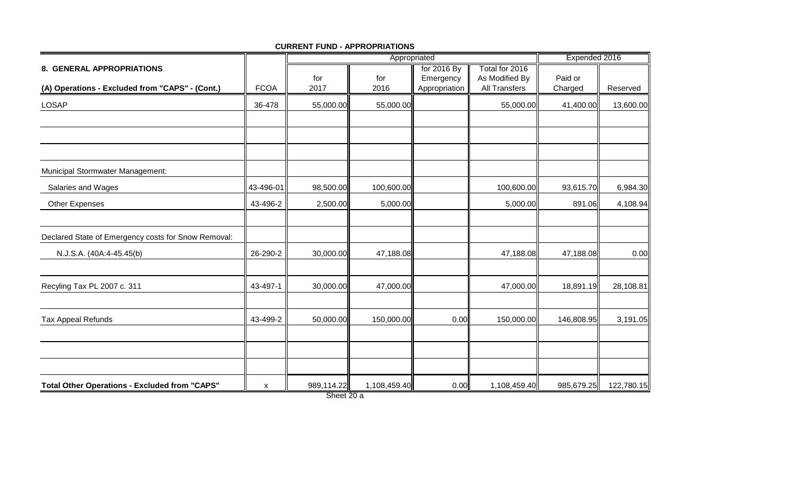|                                                      |             |            | Appropriated | Expended 2016 |                      |            |            |
|------------------------------------------------------|-------------|------------|--------------|---------------|----------------------|------------|------------|
| 8. GENERAL APPROPRIATIONS                            |             |            |              | for 2016 By   | Total for 2016       |            |            |
|                                                      |             | for        | for          | Emergency     | As Modified By       | Paid or    |            |
| (A) Operations - Excluded from "CAPS" - (Cont.)      | <b>FCOA</b> | 2017       | 2016         | Appropriation | <b>All Transfers</b> | Charged    | Reserved   |
| <b>LOSAP</b>                                         | 36-478      | 55,000.00  | 55,000.00    |               | 55,000.00            | 41,400.00  | 13,600.00  |
|                                                      |             |            |              |               |                      |            |            |
|                                                      |             |            |              |               |                      |            |            |
|                                                      |             |            |              |               |                      |            |            |
| Municipal Stormwater Management:                     |             |            |              |               |                      |            |            |
| Salaries and Wages                                   | 43-496-01   | 98,500.00  | 100,600.00   |               | 100,600.00           | 93,615.70  | 6,984.30   |
| Other Expenses                                       | 43-496-2    | 2,500.00   | 5,000.00     |               | 5,000.00             | 891.06     | 4,108.94   |
|                                                      |             |            |              |               |                      |            |            |
| Declared State of Emergency costs for Snow Removal:  |             |            |              |               |                      |            |            |
| N.J.S.A. (40A:4-45.45(b)                             | 26-290-2    | 30,000.00  | 47,188.08    |               | 47,188.08            | 47,188.08  | 0.00       |
|                                                      |             |            |              |               |                      |            |            |
| Recyling Tax PL 2007 c. 311                          | 43-497-1    | 30,000.00  | 47,000.00    |               | 47,000.00            | 18,891.19  | 28,108.81  |
|                                                      |             |            |              |               |                      |            |            |
| <b>Tax Appeal Refunds</b>                            | 43-499-2    | 50,000.00  | 150,000.00   | 0.00          | 150,000.00           | 146,808.95 | 3,191.05   |
|                                                      |             |            |              |               |                      |            |            |
|                                                      |             |            |              |               |                      |            |            |
|                                                      |             |            |              |               |                      |            |            |
| <b>Total Other Operations - Excluded from "CAPS"</b> | X           | 989,114.22 | 1,108,459.40 | 0.00          | 1,108,459.40         | 985,679.25 | 122,780.15 |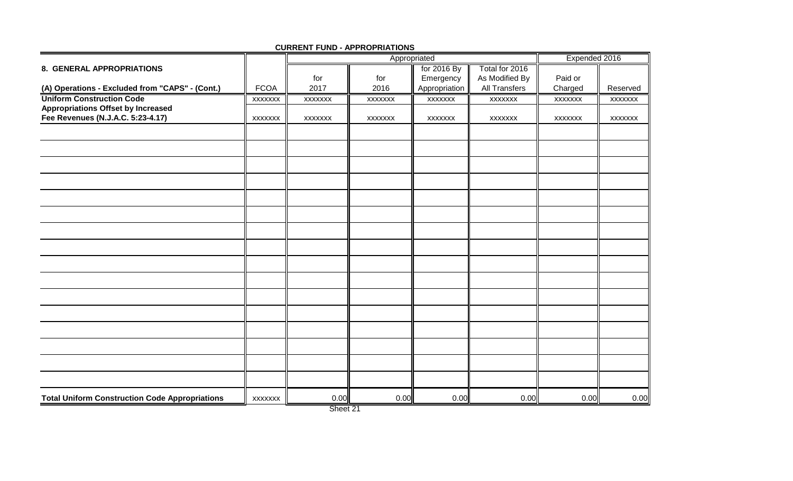|                                                       |                |         | Appropriated |                |                | Expended 2016  |                |
|-------------------------------------------------------|----------------|---------|--------------|----------------|----------------|----------------|----------------|
| 8. GENERAL APPROPRIATIONS                             |                |         |              | for 2016 By    | Total for 2016 |                |                |
|                                                       |                | for     | for          | Emergency      | As Modified By | Paid or        |                |
| (A) Operations - Excluded from "CAPS" - (Cont.)       | <b>FCOA</b>    | 2017    | 2016         | Appropriation  | All Transfers  | Charged        | Reserved       |
| <b>Uniform Construction Code</b>                      | <b>XXXXXXX</b> | XXXXXXX | XXXXXXX      | <b>XXXXXXX</b> | <b>XXXXXXX</b> | <b>XXXXXXX</b> | XXXXXXX        |
| <b>Appropriations Offset by Increased</b>             |                |         |              |                |                |                |                |
| Fee Revenues (N.J.A.C. 5:23-4.17)                     | <b>XXXXXXX</b> | XXXXXXX | XXXXXXX      | <b>XXXXXXX</b> | <b>XXXXXXX</b> | <b>XXXXXXX</b> | <b>XXXXXXX</b> |
|                                                       |                |         |              |                |                |                |                |
|                                                       |                |         |              |                |                |                |                |
|                                                       |                |         |              |                |                |                |                |
|                                                       |                |         |              |                |                |                |                |
|                                                       |                |         |              |                |                |                |                |
|                                                       |                |         |              |                |                |                |                |
|                                                       |                |         |              |                |                |                |                |
|                                                       |                |         |              |                |                |                |                |
|                                                       |                |         |              |                |                |                |                |
|                                                       |                |         |              |                |                |                |                |
|                                                       |                |         |              |                |                |                |                |
|                                                       |                |         |              |                |                |                |                |
|                                                       |                |         |              |                |                |                |                |
|                                                       |                |         |              |                |                |                |                |
|                                                       |                |         |              |                |                |                |                |
|                                                       |                |         |              |                |                |                |                |
|                                                       |                |         |              |                |                |                |                |
| <b>Total Uniform Construction Code Appropriations</b> | <b>XXXXXXX</b> | 0.00    | 0.00         | 0.00           | 0.00           | 0.00           | 0.00           |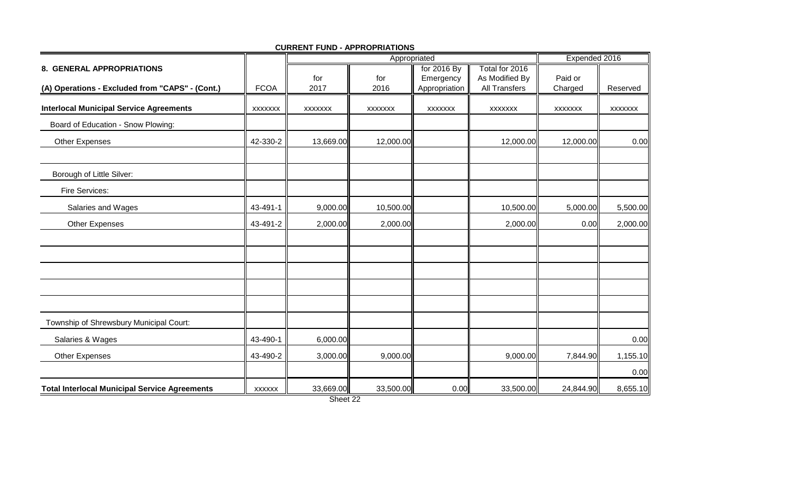|                                                      |                |                | Appropriated   | Expended 2016  |                      |                |                |
|------------------------------------------------------|----------------|----------------|----------------|----------------|----------------------|----------------|----------------|
| 8. GENERAL APPROPRIATIONS                            |                |                |                | for 2016 By    | Total for 2016       |                |                |
|                                                      |                | for            | for            | Emergency      | As Modified By       | Paid or        |                |
| (A) Operations - Excluded from "CAPS" - (Cont.)      | <b>FCOA</b>    | 2017           | 2016           | Appropriation  | <b>All Transfers</b> | Charged        | Reserved       |
| <b>Interlocal Municipal Service Agreements</b>       | <b>XXXXXXX</b> | <b>XXXXXXX</b> | <b>XXXXXXX</b> | <b>XXXXXXX</b> | <b>XXXXXXX</b>       | <b>XXXXXXX</b> | <b>XXXXXXX</b> |
| Board of Education - Snow Plowing:                   |                |                |                |                |                      |                |                |
| <b>Other Expenses</b>                                | 42-330-2       | 13,669.00      | 12,000.00      |                | 12,000.00            | 12,000.00      | 0.00           |
| Borough of Little Silver:                            |                |                |                |                |                      |                |                |
| Fire Services:                                       |                |                |                |                |                      |                |                |
| Salaries and Wages                                   | 43-491-1       | 9,000.00       | 10,500.00      |                | 10,500.00            | 5,000.00       | 5,500.00       |
| Other Expenses                                       | 43-491-2       | 2,000.00       | 2,000.00       |                | 2,000.00             | 0.00           | 2,000.00       |
|                                                      |                |                |                |                |                      |                |                |
|                                                      |                |                |                |                |                      |                |                |
|                                                      |                |                |                |                |                      |                |                |
|                                                      |                |                |                |                |                      |                |                |
| Township of Shrewsbury Municipal Court:              |                |                |                |                |                      |                |                |
| Salaries & Wages                                     | 43-490-1       | 6,000.00       |                |                |                      |                | 0.00           |
| Other Expenses                                       | 43-490-2       | 3,000.00       | 9,000.00       |                | 9,000.00             | 7,844.90       | 1,155.10       |
|                                                      |                |                |                |                |                      |                | 0.00           |
| <b>Total Interlocal Municipal Service Agreements</b> | <b>XXXXXX</b>  | 33,669.00      | 33,500.00      | 0.00           | 33,500.00            | 24,844.90      | 8,655.10       |

**CURRENT FUND - APPROPRIATIONS**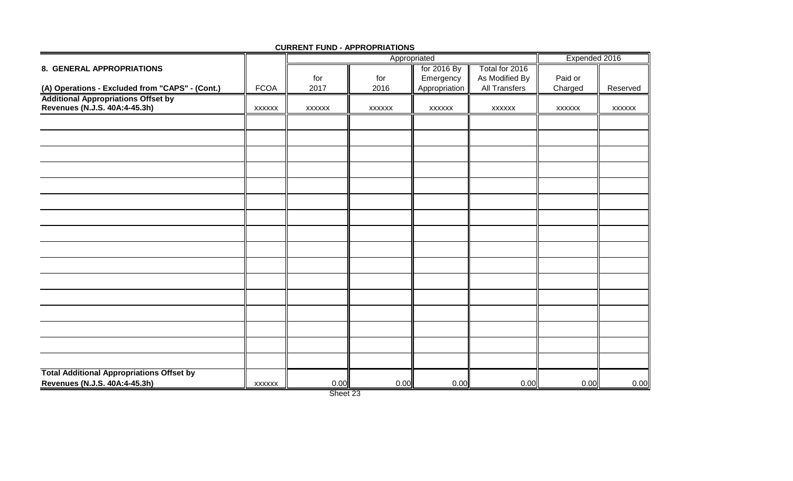|                                                  |               |               | Appropriated  |               | Expended 2016        |               |               |
|--------------------------------------------------|---------------|---------------|---------------|---------------|----------------------|---------------|---------------|
| 8. GENERAL APPROPRIATIONS                        |               |               |               | for 2016 By   | Total for 2016       |               |               |
|                                                  |               | for           | for           | Emergency     | As Modified By       | Paid or       |               |
| (A) Operations - Excluded from "CAPS" - (Cont.)  | <b>FCOA</b>   | 2017          | 2016          | Appropriation | <b>All Transfers</b> | Charged       | Reserved      |
| <b>Additional Appropriations Offset by</b>       |               |               |               |               |                      |               |               |
| Revenues (N.J.S. 40A:4-45.3h)                    | <b>XXXXXX</b> | <b>XXXXXX</b> | <b>XXXXXX</b> | <b>XXXXXX</b> | <b>XXXXXX</b>        | <b>XXXXXX</b> | <b>XXXXXX</b> |
|                                                  |               |               |               |               |                      |               |               |
|                                                  |               |               |               |               |                      |               |               |
|                                                  |               |               |               |               |                      |               |               |
|                                                  |               |               |               |               |                      |               |               |
|                                                  |               |               |               |               |                      |               |               |
|                                                  |               |               |               |               |                      |               |               |
|                                                  |               |               |               |               |                      |               |               |
|                                                  |               |               |               |               |                      |               |               |
|                                                  |               |               |               |               |                      |               |               |
|                                                  |               |               |               |               |                      |               |               |
|                                                  |               |               |               |               |                      |               |               |
|                                                  |               |               |               |               |                      |               |               |
|                                                  |               |               |               |               |                      |               |               |
|                                                  |               |               |               |               |                      |               |               |
|                                                  |               |               |               |               |                      |               |               |
|                                                  |               |               |               |               |                      |               |               |
|                                                  |               |               |               |               |                      |               |               |
| <b>Total Additional Appropriations Offset by</b> |               |               |               |               |                      |               |               |
| Revenues (N.J.S. 40A:4-45.3h)                    | <b>XXXXXX</b> | 0.00          | 0.00          | 0.00          | 0.00                 | 0.00          | 0.00          |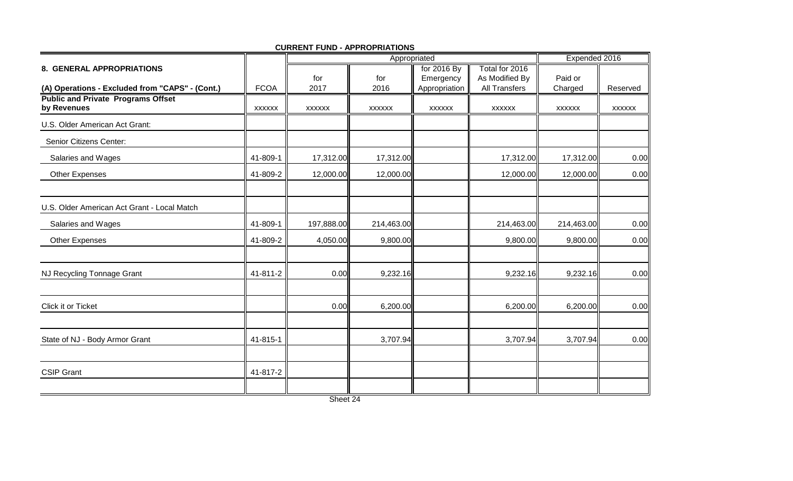|                                                          |               |               | Appropriated  | Expended 2016 |                      |               |               |
|----------------------------------------------------------|---------------|---------------|---------------|---------------|----------------------|---------------|---------------|
| 8. GENERAL APPROPRIATIONS                                |               |               |               | for 2016 By   | Total for 2016       |               |               |
|                                                          |               | for           | for           | Emergency     | As Modified By       | Paid or       |               |
| (A) Operations - Excluded from "CAPS" - (Cont.)          | <b>FCOA</b>   | 2017          | 2016          | Appropriation | <b>All Transfers</b> | Charged       | Reserved      |
| <b>Public and Private Programs Offset</b><br>by Revenues | <b>XXXXXX</b> | <b>XXXXXX</b> | <b>XXXXXX</b> | <b>XXXXXX</b> | <b>XXXXXX</b>        | <b>XXXXXX</b> | <b>XXXXXX</b> |
| U.S. Older American Act Grant:                           |               |               |               |               |                      |               |               |
| Senior Citizens Center:                                  |               |               |               |               |                      |               |               |
| Salaries and Wages                                       | 41-809-1      | 17,312.00     | 17,312.00     |               | 17,312.00            | 17,312.00     | 0.00          |
| Other Expenses                                           | 41-809-2      | 12,000.00     | 12,000.00     |               | 12,000.00            | 12,000.00     | 0.00          |
| U.S. Older American Act Grant - Local Match              |               |               |               |               |                      |               |               |
| Salaries and Wages                                       | 41-809-1      | 197,888.00    | 214,463.00    |               | 214,463.00           | 214,463.00    | 0.00          |
| <b>Other Expenses</b>                                    | 41-809-2      | 4,050.00      | 9,800.00      |               | 9,800.00             | 9,800.00      | 0.00          |
|                                                          |               |               |               |               |                      |               |               |
| NJ Recycling Tonnage Grant                               | 41-811-2      | 0.00          | 9,232.16      |               | 9,232.16             | 9,232.16      | 0.00          |
| Click it or Ticket                                       |               | 0.00          | 6,200.00      |               | 6,200.00             | 6,200.00      | 0.00          |
|                                                          |               |               |               |               |                      |               |               |
| State of NJ - Body Armor Grant                           | 41-815-1      |               | 3,707.94      |               | 3,707.94             | 3,707.94      | 0.00          |
|                                                          |               |               |               |               |                      |               |               |
| <b>CSIP Grant</b>                                        | 41-817-2      |               |               |               |                      |               |               |
|                                                          |               | Sheet 24      |               |               |                      |               |               |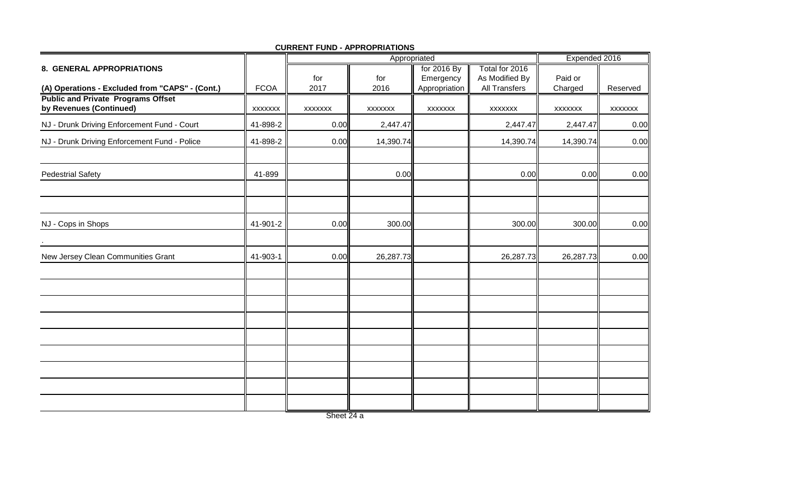|                                                                      |             |                | Appropriated   | Expended 2016  |                |                |                |
|----------------------------------------------------------------------|-------------|----------------|----------------|----------------|----------------|----------------|----------------|
| 8. GENERAL APPROPRIATIONS                                            |             |                |                | for 2016 By    | Total for 2016 |                |                |
|                                                                      |             | for            | for            | Emergency      | As Modified By | Paid or        |                |
| (A) Operations - Excluded from "CAPS" - (Cont.)                      | <b>FCOA</b> | 2017           | 2016           | Appropriation  | All Transfers  | Charged        | Reserved       |
| <b>Public and Private Programs Offset</b><br>by Revenues (Continued) | XXXXXXX     | <b>XXXXXXX</b> | <b>XXXXXXX</b> | <b>XXXXXXX</b> | <b>XXXXXXX</b> | <b>XXXXXXX</b> | <b>XXXXXXX</b> |
| NJ - Drunk Driving Enforcement Fund - Court                          | 41-898-2    | 0.00           | 2,447.47       |                | 2,447.47       | 2,447.47       | 0.00           |
| NJ - Drunk Driving Enforcement Fund - Police                         | 41-898-2    | 0.00           | 14,390.74      |                | 14,390.74      | 14,390.74      | 0.00           |
| <b>Pedestrial Safety</b>                                             | 41-899      |                | 0.00           |                | 0.00           | 0.00           | 0.00           |
|                                                                      |             |                |                |                |                |                |                |
| NJ - Cops in Shops                                                   | 41-901-2    | 0.00           | 300.00         |                | 300.00         | 300.00         | 0.00           |
| New Jersey Clean Communities Grant                                   | 41-903-1    | 0.00           | 26,287.73      |                | 26,287.73      | 26,287.73      | 0.00           |
|                                                                      |             |                |                |                |                |                |                |
|                                                                      |             |                |                |                |                |                |                |
|                                                                      |             |                |                |                |                |                |                |
|                                                                      |             |                |                |                |                |                |                |
|                                                                      |             |                |                |                |                |                |                |
|                                                                      |             |                |                |                |                |                |                |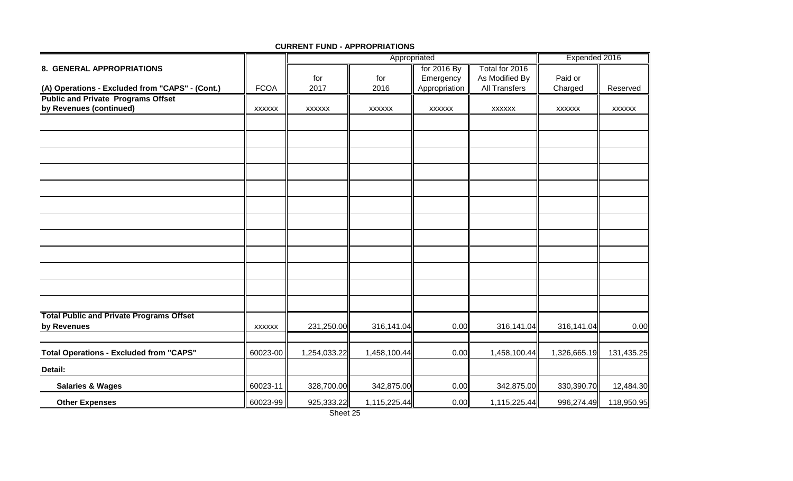|                                                                |               | Appropriated  |               |               |                | Expended 2016 |               |
|----------------------------------------------------------------|---------------|---------------|---------------|---------------|----------------|---------------|---------------|
| 8. GENERAL APPROPRIATIONS                                      |               |               |               | for 2016 By   | Total for 2016 |               |               |
|                                                                |               | for           | for           | Emergency     | As Modified By | Paid or       |               |
| (A) Operations - Excluded from "CAPS" - (Cont.)                | <b>FCOA</b>   | 2017          | 2016          | Appropriation | All Transfers  | Charged       | Reserved      |
| <b>Public and Private Programs Offset</b>                      |               |               |               |               |                |               |               |
| by Revenues (continued)                                        | <b>XXXXXX</b> | <b>XXXXXX</b> | <b>XXXXXX</b> | <b>XXXXXX</b> | <b>XXXXXX</b>  | <b>XXXXXX</b> | <b>XXXXXX</b> |
|                                                                |               |               |               |               |                |               |               |
|                                                                |               |               |               |               |                |               |               |
|                                                                |               |               |               |               |                |               |               |
|                                                                |               |               |               |               |                |               |               |
|                                                                |               |               |               |               |                |               |               |
|                                                                |               |               |               |               |                |               |               |
|                                                                |               |               |               |               |                |               |               |
|                                                                |               |               |               |               |                |               |               |
|                                                                |               |               |               |               |                |               |               |
|                                                                |               |               |               |               |                |               |               |
|                                                                |               |               |               |               |                |               |               |
|                                                                |               |               |               |               |                |               |               |
| <b>Total Public and Private Programs Offset</b><br>by Revenues | <b>XXXXXX</b> | 231,250.00    | 316,141.04    | 0.00          | 316,141.04     | 316,141.04    | 0.00          |
|                                                                |               |               |               |               |                |               |               |
| <b>Total Operations - Excluded from "CAPS"</b>                 | 60023-00      | 1,254,033.22  | 1,458,100.44  | 0.00          | 1,458,100.44   | 1,326,665.19  | 131,435.25    |
| Detail:                                                        |               |               |               |               |                |               |               |
| <b>Salaries &amp; Wages</b>                                    | 60023-11      | 328,700.00    | 342,875.00    | 0.00          | 342,875.00     | 330,390.70    | 12,484.30     |
| <b>Other Expenses</b>                                          | 60023-99      | 925,333.22    | 1,115,225.44  | 0.00          | 1,115,225.44   | 996,274.49    | 118,950.95    |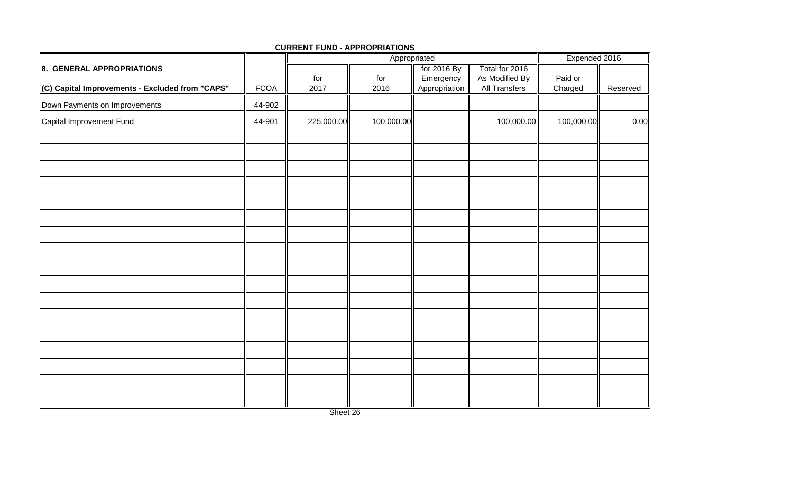|                                                 |             |             | Appropriated | Expended 2016              |                                        |                    |          |
|-------------------------------------------------|-------------|-------------|--------------|----------------------------|----------------------------------------|--------------------|----------|
| 8. GENERAL APPROPRIATIONS                       |             |             |              | for 2016 By                | Total for 2016                         |                    |          |
| (C) Capital Improvements - Excluded from "CAPS" | <b>FCOA</b> | for<br>2017 | for<br>2016  | Emergency<br>Appropriation | As Modified By<br><b>All Transfers</b> | Paid or<br>Charged | Reserved |
| Down Payments on Improvements                   | 44-902      |             |              |                            |                                        |                    |          |
| Capital Improvement Fund                        | 44-901      | 225,000.00  | 100,000.00   |                            | 100,000.00                             | 100,000.00         | 0.00     |
|                                                 |             |             |              |                            |                                        |                    |          |
|                                                 |             |             |              |                            |                                        |                    |          |
|                                                 |             |             |              |                            |                                        |                    |          |
|                                                 |             |             |              |                            |                                        |                    |          |
|                                                 |             |             |              |                            |                                        |                    |          |
|                                                 |             |             |              |                            |                                        |                    |          |
|                                                 |             |             |              |                            |                                        |                    |          |
|                                                 |             |             |              |                            |                                        |                    |          |
|                                                 |             |             |              |                            |                                        |                    |          |
|                                                 |             |             |              |                            |                                        |                    |          |
|                                                 |             |             |              |                            |                                        |                    |          |
|                                                 |             |             |              |                            |                                        |                    |          |
|                                                 |             |             |              |                            |                                        |                    |          |
|                                                 |             |             |              |                            |                                        |                    |          |
|                                                 |             |             |              |                            |                                        |                    |          |
|                                                 |             |             |              |                            |                                        |                    |          |
|                                                 |             |             |              |                            |                                        |                    |          |

#### **CURRENT FUND - APPROPRIATIONS**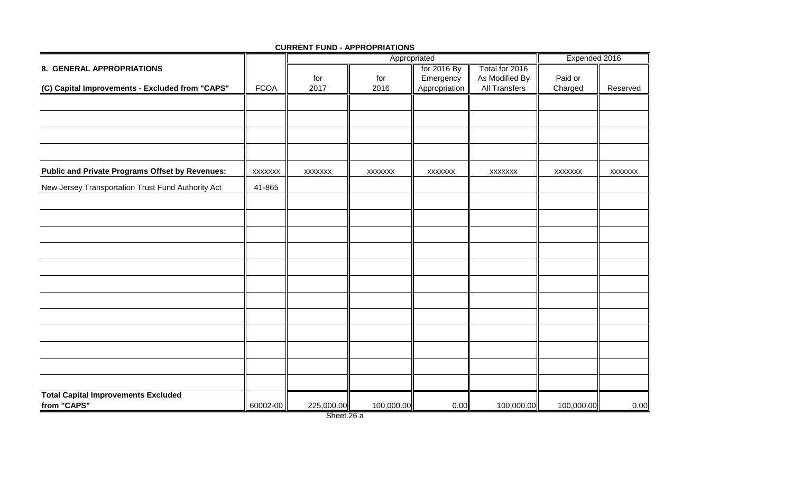|                                                        |                |                | Expended 2016  |                |                |                |                |
|--------------------------------------------------------|----------------|----------------|----------------|----------------|----------------|----------------|----------------|
| 8. GENERAL APPROPRIATIONS                              |                |                |                | for 2016 By    | Total for 2016 |                |                |
|                                                        |                | for            | for            | Emergency      | As Modified By | Paid or        |                |
| (C) Capital Improvements - Excluded from "CAPS"        | <b>FCOA</b>    | 2017           | 2016           | Appropriation  | All Transfers  | Charged        | Reserved       |
|                                                        |                |                |                |                |                |                |                |
|                                                        |                |                |                |                |                |                |                |
|                                                        |                |                |                |                |                |                |                |
| <b>Public and Private Programs Offset by Revenues:</b> | <b>XXXXXXX</b> | <b>XXXXXXX</b> | <b>XXXXXXX</b> | <b>XXXXXXX</b> | <b>XXXXXXX</b> | <b>XXXXXXX</b> | <b>XXXXXXX</b> |
| New Jersey Transportation Trust Fund Authority Act     | 41-865         |                |                |                |                |                |                |
|                                                        |                |                |                |                |                |                |                |
|                                                        |                |                |                |                |                |                |                |
|                                                        |                |                |                |                |                |                |                |
|                                                        |                |                |                |                |                |                |                |
|                                                        |                |                |                |                |                |                |                |
|                                                        |                |                |                |                |                |                |                |
|                                                        |                |                |                |                |                |                |                |
|                                                        |                |                |                |                |                |                |                |
|                                                        |                |                |                |                |                |                |                |
|                                                        |                |                |                |                |                |                |                |
|                                                        |                |                |                |                |                |                |                |
| <b>Total Capital Improvements Excluded</b>             |                |                |                |                |                |                |                |
| from "CAPS"                                            | 60002-00       | 225,000.00     | 100,000.00     | 0.00           | 100,000.00     | 100,000.00     | 0.00           |

#### **CURRENT FUND - APPROPRIATIONS**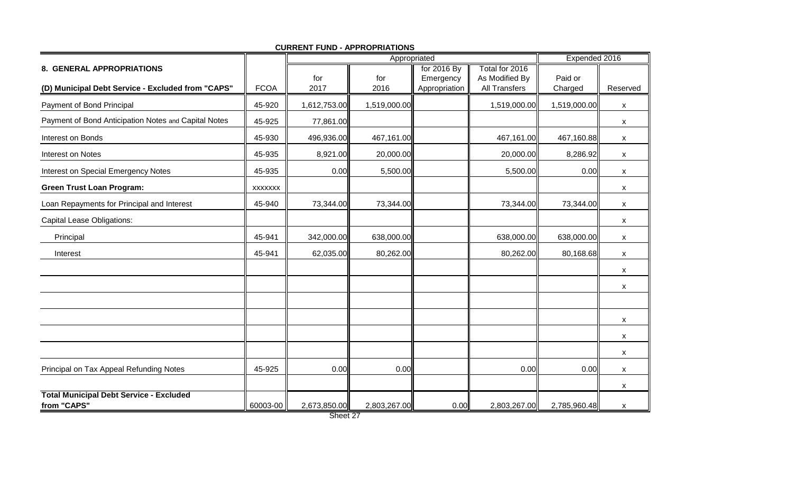|                                                               |                |              | Appropriated | Expended 2016 |                |              |          |
|---------------------------------------------------------------|----------------|--------------|--------------|---------------|----------------|--------------|----------|
| 8. GENERAL APPROPRIATIONS                                     |                |              |              | for 2016 By   | Total for 2016 |              |          |
|                                                               |                | for          | for          | Emergency     | As Modified By | Paid or      |          |
| (D) Municipal Debt Service - Excluded from "CAPS"             | <b>FCOA</b>    | 2017         | 2016         | Appropriation | All Transfers  | Charged      | Reserved |
| Payment of Bond Principal                                     | 45-920         | 1,612,753.00 | 1,519,000.00 |               | 1,519,000.00   | 1,519,000.00 | X        |
| Payment of Bond Anticipation Notes and Capital Notes          | 45-925         | 77,861.00    |              |               |                |              | X        |
| Interest on Bonds                                             | 45-930         | 496,936.00   | 467,161.00   |               | 467,161.00     | 467,160.88   | X        |
| Interest on Notes                                             | 45-935         | 8,921.00     | 20,000.00    |               | 20,000.00      | 8,286.92     | X        |
| Interest on Special Emergency Notes                           | 45-935         | 0.00         | 5,500.00     |               | 5,500.00       | 0.00         | X        |
| <b>Green Trust Loan Program:</b>                              | <b>XXXXXXX</b> |              |              |               |                |              | X        |
| Loan Repayments for Principal and Interest                    | 45-940         | 73,344.00    | 73,344.00    |               | 73,344.00      | 73,344.00    | X        |
| <b>Capital Lease Obligations:</b>                             |                |              |              |               |                |              | X        |
| Principal                                                     | 45-941         | 342,000.00   | 638,000.00   |               | 638,000.00     | 638,000.00   | X        |
| Interest                                                      | 45-941         | 62,035.00    | 80,262.00    |               | 80,262.00      | 80,168.68    | X        |
|                                                               |                |              |              |               |                |              | X        |
|                                                               |                |              |              |               |                |              | X        |
|                                                               |                |              |              |               |                |              |          |
|                                                               |                |              |              |               |                |              | X        |
|                                                               |                |              |              |               |                |              | X        |
|                                                               |                |              |              |               |                |              | X        |
| Principal on Tax Appeal Refunding Notes                       | 45-925         | 0.00         | 0.00         |               | 0.00           | 0.00         | X        |
|                                                               |                |              |              |               |                |              | X        |
| <b>Total Municipal Debt Service - Excluded</b><br>from "CAPS" | 60003-00       | 2,673,850.00 | 2,803,267.00 | 0.00          | 2,803,267.00   | 2,785,960.48 | X        |

**CURRENT FUND - APPROPRIATIONS**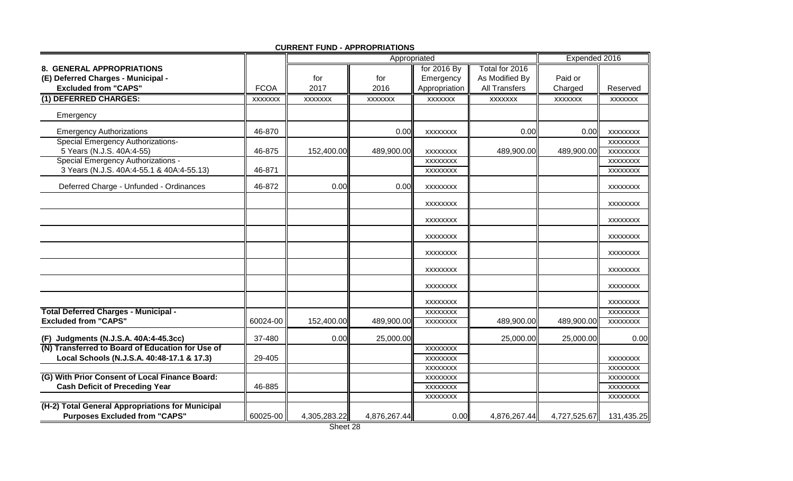|                                                                                          |                |                | Appropriated   |                 |                      | Expended 2016  |                 |
|------------------------------------------------------------------------------------------|----------------|----------------|----------------|-----------------|----------------------|----------------|-----------------|
| 8. GENERAL APPROPRIATIONS                                                                |                |                |                | for 2016 By     | Total for 2016       |                |                 |
| (E) Deferred Charges - Municipal -                                                       |                | for            | for            | Emergency       | As Modified By       | Paid or        |                 |
| <b>Excluded from "CAPS"</b>                                                              | <b>FCOA</b>    | 2017           | 2016           | Appropriation   | <b>All Transfers</b> | Charged        | Reserved        |
| (1) DEFERRED CHARGES:                                                                    | <b>XXXXXXX</b> | <b>XXXXXXX</b> | <b>XXXXXXX</b> | <b>XXXXXXX</b>  | <b>XXXXXXX</b>       | <b>XXXXXXX</b> | <b>XXXXXXX</b>  |
| Emergency                                                                                |                |                |                |                 |                      |                |                 |
| <b>Emergency Authorizations</b>                                                          | 46-870         |                | 0.00           | XXXXXXX         | 0.00                 | 0.00           | <b>XXXXXXXX</b> |
| <b>Special Emergency Authorizations-</b>                                                 |                |                |                |                 |                      |                | <b>XXXXXXXX</b> |
| 5 Years (N.J.S. 40A:4-55)                                                                | 46-875         | 152,400.00     | 489,900.00     | <b>XXXXXXXX</b> | 489,900.00           | 489,900.00     | <b>XXXXXXXX</b> |
| <b>Special Emergency Authorizations -</b>                                                |                |                |                | <b>XXXXXXXX</b> |                      |                | <b>XXXXXXXX</b> |
| 3 Years (N.J.S. 40A:4-55.1 & 40A:4-55.13)                                                | 46-871         |                |                | XXXXXXX         |                      |                | <b>XXXXXXXX</b> |
| Deferred Charge - Unfunded - Ordinances                                                  | 46-872         | 0.00           | 0.00           | <b>XXXXXXXX</b> |                      |                | <b>XXXXXXXX</b> |
|                                                                                          |                |                |                | <b>XXXXXXXX</b> |                      |                | <b>XXXXXXXX</b> |
|                                                                                          |                |                |                | <b>XXXXXXXX</b> |                      |                | <b>XXXXXXXX</b> |
|                                                                                          |                |                |                | <b>XXXXXXXX</b> |                      |                | <b>XXXXXXXX</b> |
|                                                                                          |                |                |                | <b>XXXXXXXX</b> |                      |                | <b>XXXXXXXX</b> |
|                                                                                          |                |                |                | <b>XXXXXXXX</b> |                      |                | <b>XXXXXXXX</b> |
|                                                                                          |                |                |                | <b>XXXXXXXX</b> |                      |                | <b>XXXXXXXX</b> |
|                                                                                          |                |                |                | XXXXXXX         |                      |                | <b>XXXXXXXX</b> |
| <b>Total Deferred Charges - Municipal -</b>                                              |                |                |                | <b>XXXXXXXX</b> |                      |                | <b>XXXXXXXX</b> |
| <b>Excluded from "CAPS"</b>                                                              | 60024-00       | 152,400.00     | 489,900.00     | <b>XXXXXXXX</b> | 489,900.00           | 489,900.00     | <b>XXXXXXXX</b> |
| (F) Judgments (N.J.S.A. 40A:4-45.3cc)                                                    | 37-480         | 0.00           | 25,000.00      |                 | 25,000.00            | 25,000.00      | 0.00            |
| (N) Transferred to Board of Education for Use of                                         |                |                |                | <b>XXXXXXXX</b> |                      |                |                 |
| Local Schools (N.J.S.A. 40:48-17.1 & 17.3)                                               | 29-405         |                |                | <b>XXXXXXXX</b> |                      |                | <b>XXXXXXXX</b> |
|                                                                                          |                |                |                | XXXXXXX         |                      |                | <b>XXXXXXXX</b> |
| (G) With Prior Consent of Local Finance Board:                                           |                |                |                | <b>XXXXXXXX</b> |                      |                | <b>XXXXXXXX</b> |
| <b>Cash Deficit of Preceding Year</b>                                                    | 46-885         |                |                | XXXXXXX         |                      |                | <b>XXXXXXXX</b> |
|                                                                                          |                |                |                | <b>XXXXXXXX</b> |                      |                | <b>XXXXXXXX</b> |
| (H-2) Total General Appropriations for Municipal<br><b>Purposes Excluded from "CAPS"</b> | 60025-00       | 4,305,283.22   | 4,876,267.44   | 0.00            | 4,876,267.44         | 4,727,525.67   | 131,435.25      |

**CURRENT FUND - APPROPRIATIONS**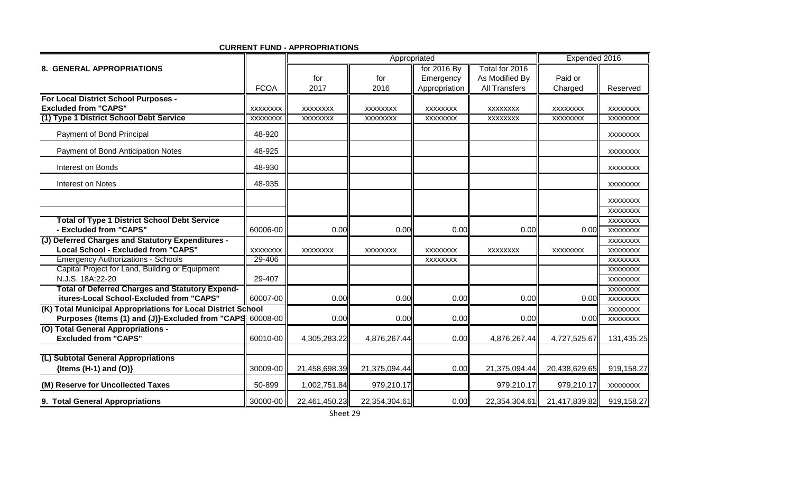|                                                                                                 |                 |                 | Appropriated    | Expended 2016   |                      |                 |                 |
|-------------------------------------------------------------------------------------------------|-----------------|-----------------|-----------------|-----------------|----------------------|-----------------|-----------------|
| <b>8. GENERAL APPROPRIATIONS</b>                                                                |                 |                 |                 | for 2016 By     | Total for 2016       |                 |                 |
|                                                                                                 |                 | for             | for             | Emergency       | As Modified By       | Paid or         |                 |
|                                                                                                 | <b>FCOA</b>     | 2017            | 2016            | Appropriation   | <b>All Transfers</b> | Charged         | Reserved        |
| For Local District School Purposes -                                                            |                 |                 |                 |                 |                      |                 |                 |
| <b>Excluded from "CAPS"</b>                                                                     | <b>XXXXXXXX</b> | <b>XXXXXXXX</b> | <b>XXXXXXXX</b> | <b>XXXXXXXX</b> | <b>XXXXXXXX</b>      | <b>XXXXXXXX</b> | <b>XXXXXXXX</b> |
| (1) Type 1 District School Debt Service                                                         | <b>XXXXXXXX</b> | XXXXXXX         | XXXXXXX         | XXXXXXXX        | XXXXXXX              | XXXXXXX         | XXXXXXX         |
| Payment of Bond Principal                                                                       | 48-920          |                 |                 |                 |                      |                 | <b>XXXXXXXX</b> |
| Payment of Bond Anticipation Notes                                                              | 48-925          |                 |                 |                 |                      |                 | <b>XXXXXXXX</b> |
| Interest on Bonds                                                                               | 48-930          |                 |                 |                 |                      |                 | <b>XXXXXXXX</b> |
| Interest on Notes                                                                               | 48-935          |                 |                 |                 |                      |                 | <b>XXXXXXXX</b> |
|                                                                                                 |                 |                 |                 |                 |                      |                 | <b>XXXXXXXX</b> |
|                                                                                                 |                 |                 |                 |                 |                      |                 | <b>XXXXXXXX</b> |
| <b>Total of Type 1 District School Debt Service</b>                                             |                 |                 |                 |                 |                      |                 | <b>XXXXXXXX</b> |
| - Excluded from "CAPS"                                                                          | 60006-00        | 0.00            | 0.00            | 0.00            | 0.00                 | 0.00            | <b>XXXXXXXX</b> |
| (J) Deferred Charges and Statutory Expenditures -                                               |                 |                 |                 |                 |                      |                 | <b>XXXXXXXX</b> |
| <b>Local School - Excluded from "CAPS"</b>                                                      | <b>XXXXXXXX</b> | <b>XXXXXXXX</b> | <b>XXXXXXXX</b> | <b>XXXXXXXX</b> | <b>XXXXXXXX</b>      | <b>XXXXXXXX</b> | <b>XXXXXXXX</b> |
| <b>Emergency Authorizations - Schools</b>                                                       | 29-406          |                 |                 | <b>XXXXXXXX</b> |                      |                 | <b>XXXXXXXX</b> |
| Capital Project for Land, Building or Equipment                                                 |                 |                 |                 |                 |                      |                 | <b>XXXXXXXX</b> |
| N.J.S. 18A:22-20                                                                                | 29-407          |                 |                 |                 |                      |                 | <b>XXXXXXXX</b> |
| <b>Total of Deferred Charges and Statutory Expend-</b>                                          |                 |                 |                 |                 |                      |                 | <b>XXXXXXXX</b> |
| itures-Local School-Excluded from "CAPS"                                                        | 60007-00        | 0.00            | 0.00            | 0.00            | 0.00                 | 0.00            | <b>XXXXXXXX</b> |
| (K) Total Municipal Appropriations for Local District School                                    |                 | 0.00            | 0.00            | 0.00            | 0.00                 |                 | XXXXXXX         |
| Purposes {Items (1) and (J)}-Excluded from "CAPS 60008-00<br>(O) Total General Appropriations - |                 |                 |                 |                 |                      | 0.00            | <b>XXXXXXXX</b> |
| <b>Excluded from "CAPS"</b>                                                                     | 60010-00        | 4,305,283.22    | 4,876,267.44    | 0.00            | 4,876,267.44         | 4,727,525.67    | 131,435.25      |
|                                                                                                 |                 |                 |                 |                 |                      |                 |                 |
| (L) Subtotal General Appropriations<br>{Items $(H-1)$ and $(O)$ }                               | 30009-00        | 21,458,698.39   | 21,375,094.44   | 0.00            | 21,375,094.44        | 20,438,629.65   | 919,158.27      |
|                                                                                                 |                 |                 |                 |                 |                      |                 |                 |
| (M) Reserve for Uncollected Taxes                                                               | 50-899          | 1,002,751.84    | 979,210.17      |                 | 979,210.17           | 979,210.17      | XXXXXXXX        |
| 9. Total General Appropriations                                                                 | 30000-00        | 22,461,450.23   | 22,354,304.61   | 0.00            | 22,354,304.61        | 21,417,839.82   | 919,158.27      |

**CURRENT FUND - APPROPRIATIONS**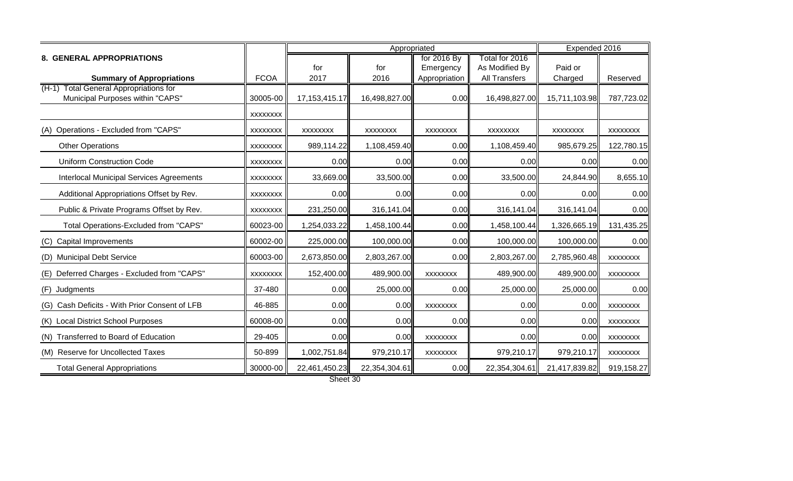|                                                 |                 |                  |               | Expended 2016   |                |                 |                 |
|-------------------------------------------------|-----------------|------------------|---------------|-----------------|----------------|-----------------|-----------------|
| <b>8. GENERAL APPROPRIATIONS</b>                |                 |                  |               | for 2016 By     | Total for 2016 |                 |                 |
|                                                 |                 | for              | for           | Emergency       | As Modified By | Paid or         |                 |
| <b>Summary of Appropriations</b>                | <b>FCOA</b>     | 2017             | 2016          | Appropriation   | All Transfers  | Charged         | Reserved        |
| (H-1) Total General Appropriations for          |                 |                  |               |                 |                |                 |                 |
| Municipal Purposes within "CAPS"                | 30005-00        | 17, 153, 415. 17 | 16,498,827.00 | 0.00            | 16,498,827.00  | 15,711,103.98   | 787,723.02      |
|                                                 | <b>XXXXXXXX</b> |                  |               |                 |                |                 |                 |
| Operations - Excluded from "CAPS"<br>(A)        | XXXXXXX         | <b>XXXXXXXX</b>  | XXXXXXX       | XXXXXXX         | XXXXXXX        | <b>XXXXXXXX</b> | <b>XXXXXXXX</b> |
| <b>Other Operations</b>                         | <b>XXXXXXXX</b> | 989,114.22       | 1,108,459.40  | 0.00            | 1,108,459.40   | 985,679.25      | 122,780.15      |
| <b>Uniform Construction Code</b>                | <b>XXXXXXXX</b> | 0.00             | 0.00          | 0.00            | 0.00           | 0.00            | 0.00            |
| <b>Interlocal Municipal Services Agreements</b> | <b>XXXXXXXX</b> | 33,669.00        | 33,500.00     | 0.00            | 33,500.00      | 24,844.90       | 8,655.10        |
| Additional Appropriations Offset by Rev.        | <b>XXXXXXXX</b> | 0.00             | 0.00          | 0.00            | 0.00           | 0.00            | 0.00            |
| Public & Private Programs Offset by Rev.        | <b>XXXXXXXX</b> | 231,250.00       | 316,141.04    | 0.00            | 316,141.04     | 316,141.04      | 0.00            |
| Total Operations-Excluded from "CAPS"           | 60023-00        | 1,254,033.22     | 1,458,100.44  | 0.00            | 1,458,100.44   | 1,326,665.19    | 131,435.25      |
| <b>Capital Improvements</b><br>(C)              | 60002-00        | 225,000.00       | 100,000.00    | 0.00            | 100,000.00     | 100,000.00      | 0.00            |
| <b>Municipal Debt Service</b><br>(D)            | 60003-00        | 2,673,850.00     | 2,803,267.00  | 0.00            | 2,803,267.00   | 2,785,960.48    | <b>XXXXXXXX</b> |
| Deferred Charges - Excluded from "CAPS"<br>(E)  | XXXXXXX         | 152,400.00       | 489,900.00    | <b>XXXXXXXX</b> | 489,900.00     | 489,900.00      | <b>XXXXXXXX</b> |
| Judgments<br>(F)                                | 37-480          | 0.00             | 25,000.00     | 0.00            | 25,000.00      | 25,000.00       | 0.00            |
| (G) Cash Deficits - With Prior Consent of LFB   | 46-885          | 0.00             | 0.00          | <b>XXXXXXXX</b> | 0.00           | 0.00            | XXXXXXXX        |
| (K) Local District School Purposes              | 60008-00        | 0.00             | 0.00          | 0.00            | 0.00           | 0.00            | XXXXXXXX        |
| (N) Transferred to Board of Education           | 29-405          | 0.00             | 0.00          | XXXXXXX         | 0.00           | 0.00            | <b>XXXXXXXX</b> |
| (M) Reserve for Uncollected Taxes               | 50-899          | 1,002,751.84     | 979,210.17    | <b>XXXXXXXX</b> | 979,210.17     | 979,210.17      | XXXXXXX         |
| <b>Total General Appropriations</b>             | 30000-00        | 22,461,450.23    | 22,354,304.61 | 0.00            | 22,354,304.61  | 21,417,839.82   | 919,158.27      |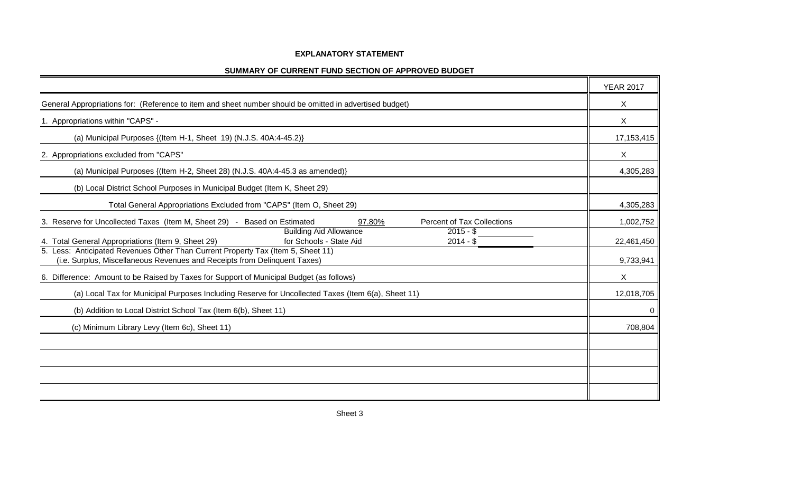## **EXPLANATORY STATEMENT**

| SUMMARY OF CURRENT FUND SECTION OF APPROVED BUDGET |  |
|----------------------------------------------------|--|
|----------------------------------------------------|--|

|                                                                                                                                                               | <b>YEAR 2017</b> |
|---------------------------------------------------------------------------------------------------------------------------------------------------------------|------------------|
| General Appropriations for: (Reference to item and sheet number should be omitted in advertised budget)                                                       | X                |
| 1. Appropriations within "CAPS" -                                                                                                                             | X                |
| (a) Municipal Purposes {(Item H-1, Sheet 19) (N.J.S. 40A:4-45.2)}                                                                                             | 17, 153, 415     |
| 2. Appropriations excluded from "CAPS"                                                                                                                        | X                |
| (a) Municipal Purposes {(Item H-2, Sheet 28) (N.J.S. 40A:4-45.3 as amended)}                                                                                  | 4,305,283        |
| (b) Local District School Purposes in Municipal Budget (Item K, Sheet 29)                                                                                     |                  |
| Total General Appropriations Excluded from "CAPS" (Item O, Sheet 29)                                                                                          | 4,305,283        |
| 3. Reserve for Uncollected Taxes (Item M, Sheet 29) - Based on Estimated<br><b>Percent of Tax Collections</b><br>97.80%                                       | 1,002,752        |
| <b>Building Aid Allowance</b><br>$2015 - $$<br>4. Total General Appropriations (Item 9, Sheet 29)<br>for Schools - State Aid<br>$2014 - $$                    | 22,461,450       |
| 5. Less: Anticipated Revenues Other Than Current Property Tax (Item 5, Sheet 11)<br>(i.e. Surplus, Miscellaneous Revenues and Receipts from Delinquent Taxes) | 9,733,941        |
| 6. Difference: Amount to be Raised by Taxes for Support of Municipal Budget (as follows)                                                                      | X                |
| (a) Local Tax for Municipal Purposes Including Reserve for Uncollected Taxes (Item 6(a), Sheet 11)                                                            | 12,018,705       |
| (b) Addition to Local District School Tax (Item 6(b), Sheet 11)                                                                                               | 0                |
| (c) Minimum Library Levy (Item 6c), Sheet 11)                                                                                                                 | 708,804          |
|                                                                                                                                                               |                  |
|                                                                                                                                                               |                  |
|                                                                                                                                                               |                  |
|                                                                                                                                                               |                  |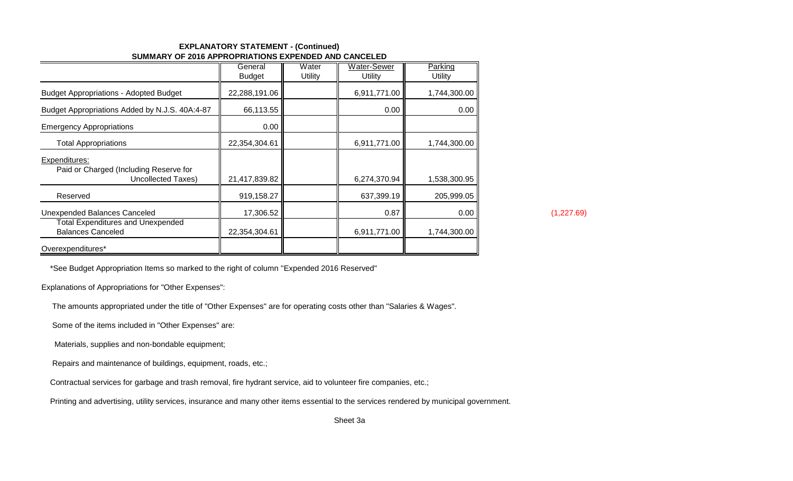## **EXPLANATORY STATEMENT - (Continued)SUMMARY OF 2016 APPROPRIATIONS EXPENDED AND CANCELED**

|                                                                               | General<br><b>Budget</b> | Water<br>Utility | <b>Water-Sewer</b><br>Utility | Parking<br>Utility |
|-------------------------------------------------------------------------------|--------------------------|------------------|-------------------------------|--------------------|
| <b>Budget Appropriations - Adopted Budget</b>                                 | 22,288,191.06            |                  | 6,911,771.00                  | 1,744,300.00       |
| Budget Appropriations Added by N.J.S. 40A:4-87                                | 66,113.55                |                  | 0.00                          | 0.00               |
| <b>Emergency Appropriations</b>                                               | 0.00                     |                  |                               |                    |
| <b>Total Appropriations</b>                                                   | 22,354,304.61            |                  | 6,911,771.00                  | 1,744,300.00       |
| Expenditures:<br>Paid or Charged (Including Reserve for<br>Uncollected Taxes) | 21,417,839.82            |                  | 6,274,370.94                  | 1,538,300.95       |
| Reserved                                                                      | 919,158.27               |                  | 637,399.19                    | 205,999.05         |
| Unexpended Balances Canceled                                                  | 17,306.52                |                  | 0.87                          | 0.00               |
| <b>Total Expenditures and Unexpended</b><br><b>Balances Canceled</b>          | 22,354,304.61            |                  | 6,911,771.00                  | 1,744,300.00       |
| Overexpenditures*                                                             |                          |                  |                               |                    |

(1,227.69)

\*See Budget Appropriation Items so marked to the right of column ''Expended 2016 Reserved"

Explanations of Appropriations for "Other Expenses":

The amounts appropriated under the title of "Other Expenses" are for operating costs other than "Salaries & Wages".

Some of the items included in "Other Expenses" are:

Materials, supplies and non-bondable equipment;

Repairs and maintenance of buildings, equipment, roads, etc.;

Contractual services for garbage and trash removal, fire hydrant service, aid to volunteer fire companies, etc.;

Printing and advertising, utility services, insurance and many other items essential to the services rendered by municipal government.

Sheet 3a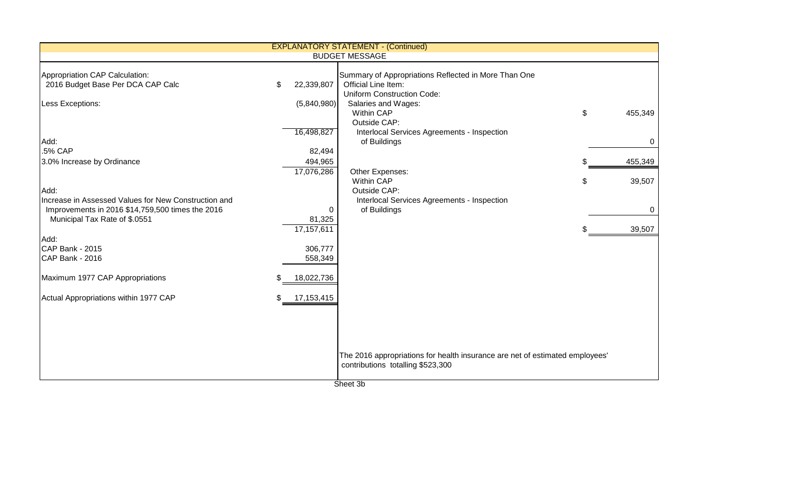|                                                                                                                        |           |                                                  | <b>EXPLANATORY STATEMENT - (Continued)</b>                                                                        |               |
|------------------------------------------------------------------------------------------------------------------------|-----------|--------------------------------------------------|-------------------------------------------------------------------------------------------------------------------|---------------|
|                                                                                                                        |           |                                                  | <b>BUDGET MESSAGE</b>                                                                                             |               |
| Appropriation CAP Calculation:<br>2016 Budget Base Per DCA CAP Calc                                                    | \$        | 22,339,807                                       | Summary of Appropriations Reflected in More Than One<br>Official Line Item:<br><b>Uniform Construction Code:</b>  |               |
| Less Exceptions:                                                                                                       |           | (5,840,980)<br>16,498,827                        | Salaries and Wages:<br><b>Within CAP</b><br>Outside CAP:<br>Interlocal Services Agreements - Inspection           | \$<br>455,349 |
| Add:                                                                                                                   |           |                                                  | of Buildings                                                                                                      | 0             |
| .5% CAP<br>3.0% Increase by Ordinance                                                                                  |           | 82,494<br>494,965                                |                                                                                                                   | 455,349       |
|                                                                                                                        |           | 17,076,286                                       | Other Expenses:<br><b>Within CAP</b>                                                                              | \$<br>39,507  |
| Add:<br>Increase in Assessed Values for New Construction and<br>Improvements in 2016 \$14,759,500 times the 2016       |           | 0                                                | Outside CAP:<br>Interlocal Services Agreements - Inspection<br>of Buildings                                       | 0             |
| Municipal Tax Rate of \$.0551                                                                                          |           | 81,325<br>17,157,611                             |                                                                                                                   | 39,507        |
| Add:<br>CAP Bank - 2015<br>CAP Bank - 2016<br>Maximum 1977 CAP Appropriations<br>Actual Appropriations within 1977 CAP | \$.<br>S. | 306,777<br>558,349<br>18,022,736<br>17, 153, 415 |                                                                                                                   |               |
|                                                                                                                        |           |                                                  | The 2016 appropriations for health insurance are net of estimated employees'<br>contributions totalling \$523,300 |               |

Sheet 3b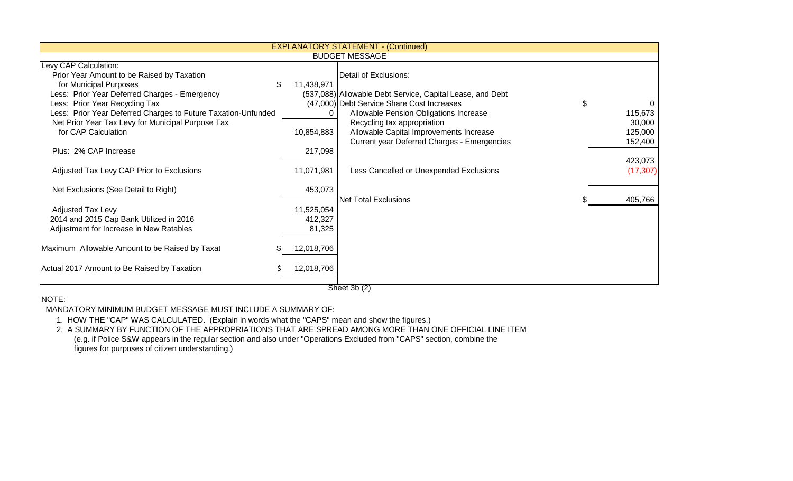|                                                               |            | <b>EXPLANATORY STATEMENT - (Continued)</b>                |           |
|---------------------------------------------------------------|------------|-----------------------------------------------------------|-----------|
|                                                               |            | <b>BUDGET MESSAGE</b>                                     |           |
| Levy CAP Calculation:                                         |            |                                                           |           |
| Prior Year Amount to be Raised by Taxation                    |            | Detail of Exclusions:                                     |           |
| for Municipal Purposes                                        | 11,438,971 |                                                           |           |
| Less: Prior Year Deferred Charges - Emergency                 |            | (537,088) Allowable Debt Service, Capital Lease, and Debt |           |
| Less: Prior Year Recycling Tax                                |            | (47,000) Debt Service Share Cost Increases                | \$        |
| Less: Prior Year Deferred Charges to Future Taxation-Unfunded | 0          | Allowable Pension Obligations Increase                    | 115,673   |
| Net Prior Year Tax Levy for Municipal Purpose Tax             |            | Recycling tax appropriation                               | 30,000    |
| for CAP Calculation                                           | 10,854,883 | Allowable Capital Improvements Increase                   | 125,000   |
|                                                               |            | <b>Current year Deferred Charges - Emergencies</b>        | 152,400   |
| Plus: 2% CAP Increase                                         | 217,098    |                                                           |           |
|                                                               |            |                                                           | 423,073   |
| Adjusted Tax Levy CAP Prior to Exclusions                     | 11,071,981 | Less Cancelled or Unexpended Exclusions                   | (17, 307) |
|                                                               |            |                                                           |           |
| Net Exclusions (See Detail to Right)                          | 453,073    |                                                           |           |
|                                                               |            | <b>Net Total Exclusions</b>                               | 405,766   |
| <b>Adjusted Tax Levy</b>                                      | 11,525,054 |                                                           |           |
| 2014 and 2015 Cap Bank Utilized in 2016                       | 412,327    |                                                           |           |
| Adjustment for Increase in New Ratables                       | 81,325     |                                                           |           |
|                                                               |            |                                                           |           |
| Maximum Allowable Amount to be Raised by Taxat                | 12,018,706 |                                                           |           |
|                                                               |            |                                                           |           |
| Actual 2017 Amount to Be Raised by Taxation                   | 12,018,706 |                                                           |           |
|                                                               |            |                                                           |           |
|                                                               |            |                                                           |           |

Sheet 3b (2)

## NOTE:

MANDATORY MINIMUM BUDGET MESSAGE MUST INCLUDE A SUMMARY OF:

1. HOW THE "CAP" WAS CALCULATED. (Explain in words what the "CAPS" mean and show the figures.)

 2. A SUMMARY BY FUNCTION OF THE APPROPRIATIONS THAT ARE SPREAD AMONG MORE THAN ONE OFFICIAL LINE ITEM (e.g. if Police S&W appears in the regular section and also under "Operations Excluded from "CAPS" section, combine thefigures for purposes of citizen understanding.)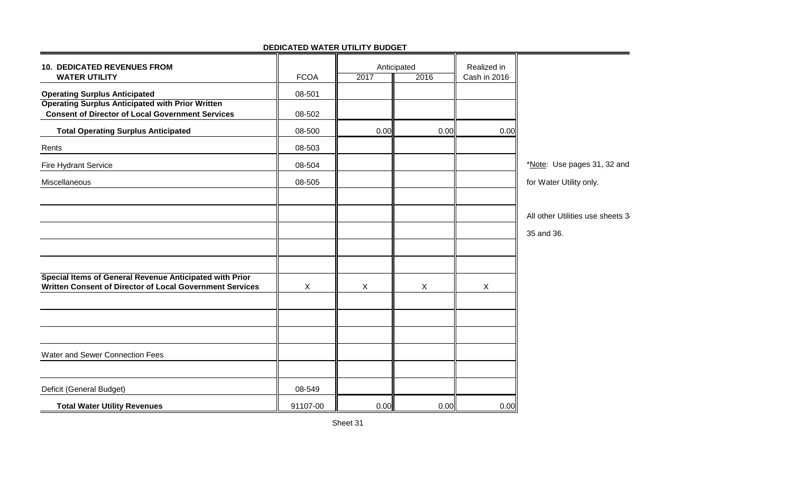| <b>10. DEDICATED REVENUES FROM</b><br><b>WATER UTILITY</b>                                                          | <b>FCOA</b> | Anticipated<br>2017 | 2016 | Realized in<br>Cash in 2016 |                                  |
|---------------------------------------------------------------------------------------------------------------------|-------------|---------------------|------|-----------------------------|----------------------------------|
| <b>Operating Surplus Anticipated</b>                                                                                | 08-501      |                     |      |                             |                                  |
| <b>Operating Surplus Anticipated with Prior Written</b><br><b>Consent of Director of Local Government Services</b>  | 08-502      |                     |      |                             |                                  |
| <b>Total Operating Surplus Anticipated</b>                                                                          | 08-500      | 0.00                | 0.00 | 0.00                        |                                  |
| Rents                                                                                                               | 08-503      |                     |      |                             |                                  |
| <b>Fire Hydrant Service</b>                                                                                         | 08-504      |                     |      |                             | *Note: Use pages 31, 32 and      |
| Miscellaneous                                                                                                       | 08-505      |                     |      |                             | for Water Utility only.          |
|                                                                                                                     |             |                     |      |                             |                                  |
|                                                                                                                     |             |                     |      |                             | All other Utilities use sheets 3 |
|                                                                                                                     |             |                     |      |                             | 35 and 36.                       |
|                                                                                                                     |             |                     |      |                             |                                  |
|                                                                                                                     |             |                     |      |                             |                                  |
| Special Items of General Revenue Anticipated with Prior<br>Written Consent of Director of Local Government Services | $\sf X$     | X                   | X    | X                           |                                  |
|                                                                                                                     |             |                     |      |                             |                                  |
|                                                                                                                     |             |                     |      |                             |                                  |
|                                                                                                                     |             |                     |      |                             |                                  |
| Water and Sewer Connection Fees                                                                                     |             |                     |      |                             |                                  |
|                                                                                                                     |             |                     |      |                             |                                  |
| Deficit (General Budget)                                                                                            | 08-549      |                     |      |                             |                                  |
| <b>Total Water Utility Revenues</b>                                                                                 | 91107-00    | 0.00                | 0.00 | 0.00                        |                                  |

## **DEDICATED WATER UTILITY BUDGET**

۳.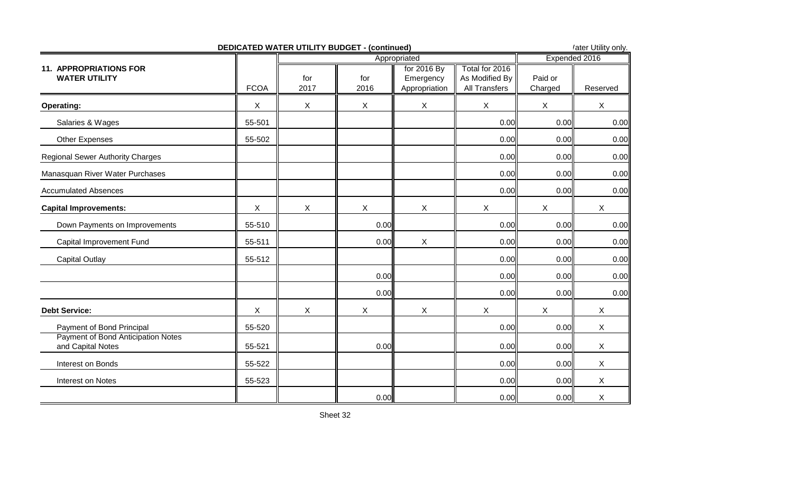|                                                         | <b>DEDICATED WATER UTILITY BUDGET - (continued)</b> |                           |             |                                           |                                                   |                    | 'ater Utility only. |
|---------------------------------------------------------|-----------------------------------------------------|---------------------------|-------------|-------------------------------------------|---------------------------------------------------|--------------------|---------------------|
|                                                         |                                                     |                           |             | Appropriated                              |                                                   |                    | Expended 2016       |
| <b>11. APPROPRIATIONS FOR</b><br><b>WATER UTILITY</b>   | <b>FCOA</b>                                         | for<br>2017               | for<br>2016 | for 2016 By<br>Emergency<br>Appropriation | Total for 2016<br>As Modified By<br>All Transfers | Paid or<br>Charged | Reserved            |
| <b>Operating:</b>                                       | $\boldsymbol{X}$                                    | $\boldsymbol{\mathsf{X}}$ | X           | $\mathsf X$                               | $\boldsymbol{X}$                                  | $\mathsf X$        | $\mathsf X$         |
| Salaries & Wages                                        | 55-501                                              |                           |             |                                           | 0.00                                              | 0.00               | 0.00                |
| Other Expenses                                          | 55-502                                              |                           |             |                                           | 0.00                                              | 0.00               | 0.00                |
| <b>Regional Sewer Authority Charges</b>                 |                                                     |                           |             |                                           | 0.00                                              | 0.00               | 0.00                |
| Manasquan River Water Purchases                         |                                                     |                           |             |                                           | 0.00                                              | 0.00               | 0.00                |
| <b>Accumulated Absences</b>                             |                                                     |                           |             |                                           | 0.00                                              | 0.00               | 0.00                |
| <b>Capital Improvements:</b>                            | X                                                   | $\pmb{\times}$            | X           | $\boldsymbol{\mathsf{X}}$                 | $\boldsymbol{\mathsf{X}}$                         | $\mathsf X$        | X                   |
| Down Payments on Improvements                           | 55-510                                              |                           | 0.00        |                                           | 0.00                                              | 0.00               | 0.00                |
| Capital Improvement Fund                                | 55-511                                              |                           | 0.00        | $\boldsymbol{\mathsf{X}}$                 | 0.00                                              | 0.00               | 0.00                |
| <b>Capital Outlay</b>                                   | 55-512                                              |                           |             |                                           | 0.00                                              | 0.00               | 0.00                |
|                                                         |                                                     |                           | 0.00        |                                           | 0.00                                              | 0.00               | 0.00                |
|                                                         |                                                     |                           | 0.00        |                                           | 0.00                                              | 0.00               | 0.00                |
| <b>Debt Service:</b>                                    | X                                                   | $\mathsf{X}$              | X           | X                                         | $\sf X$                                           | $\mathsf{X}$       | X                   |
| Payment of Bond Principal                               | 55-520                                              |                           |             |                                           | 0.00                                              | 0.00               | X                   |
| Payment of Bond Anticipation Notes<br>and Capital Notes | 55-521                                              |                           | 0.00        |                                           | 0.00                                              | 0.00               | X                   |
| Interest on Bonds                                       | 55-522                                              |                           |             |                                           | 0.00                                              | 0.00               | X                   |
| Interest on Notes                                       | 55-523                                              |                           |             |                                           | 0.00                                              | 0.00               | X                   |
|                                                         |                                                     |                           | 0.00        |                                           | 0.00                                              | 0.00               | X                   |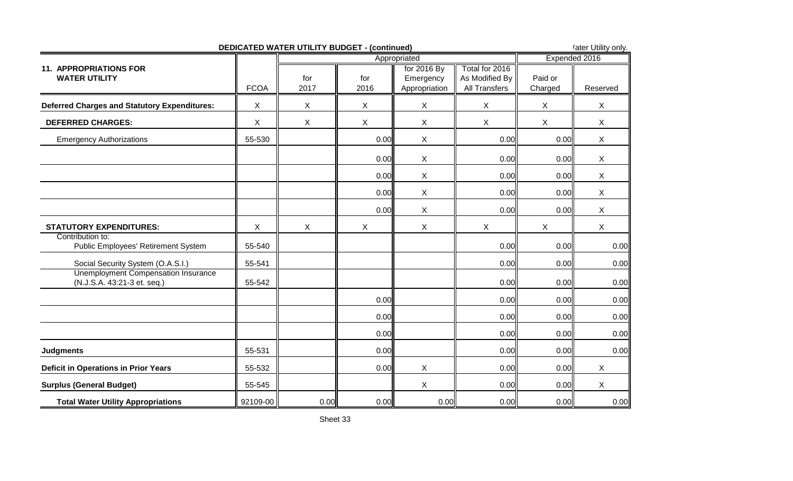|                                                                           |             | <b>DEDICATED WATER UTILITY BUDGET - (continued)</b> |              |                                           |                                                          |                           | 'ater Utility only. |
|---------------------------------------------------------------------------|-------------|-----------------------------------------------------|--------------|-------------------------------------------|----------------------------------------------------------|---------------------------|---------------------|
|                                                                           |             |                                                     |              | Appropriated                              |                                                          |                           | Expended 2016       |
| <b>11. APPROPRIATIONS FOR</b><br><b>WATER UTILITY</b>                     | <b>FCOA</b> | for<br>2017                                         | for<br>2016  | for 2016 By<br>Emergency<br>Appropriation | Total for 2016<br>As Modified By<br><b>All Transfers</b> | Paid or<br>Charged        | Reserved            |
| <b>Deferred Charges and Statutory Expenditures:</b>                       | X           | $\sf X$                                             | X            | $\boldsymbol{\mathsf{X}}$                 | X                                                        | $\sf X$                   | $\mathsf{X}$        |
| <b>DEFERRED CHARGES:</b>                                                  | X           | $\boldsymbol{\mathsf{X}}$                           | $\mathsf{X}$ | $\boldsymbol{\mathsf{X}}$                 | X                                                        | $\boldsymbol{\mathsf{X}}$ | X                   |
| <b>Emergency Authorizations</b>                                           | 55-530      |                                                     | 0.00         | $\boldsymbol{\mathsf{X}}$                 | 0.00                                                     | 0.00                      | $\mathsf{X}$        |
|                                                                           |             |                                                     | 0.00         | $\boldsymbol{\mathsf{X}}$                 | 0.00                                                     | 0.00                      | X                   |
|                                                                           |             |                                                     | 0.00         | $\boldsymbol{\mathsf{X}}$                 | 0.00                                                     | 0.00                      | X                   |
|                                                                           |             |                                                     | 0.00         | $\boldsymbol{\mathsf{X}}$                 | 0.00                                                     | 0.00                      | X                   |
|                                                                           |             |                                                     | 0.00         | $\boldsymbol{\mathsf{X}}$                 | 0.00                                                     | 0.00                      | $\mathsf{X}$        |
| <b>STATUTORY EXPENDITURES:</b>                                            | X           | $\mathsf{X}$                                        | X            | X                                         | $\boldsymbol{\mathsf{X}}$                                | $\boldsymbol{X}$          | $\mathsf X$         |
| Contribution to:<br>Public Employees' Retirement System                   | 55-540      |                                                     |              |                                           | 0.00                                                     | 0.00                      | 0.00                |
| Social Security System (O.A.S.I.)                                         | 55-541      |                                                     |              |                                           | 0.00                                                     | 0.00                      | 0.00                |
| <b>Unemployment Compensation Insurance</b><br>(N.J.S.A. 43:21-3 et. seq.) | 55-542      |                                                     |              |                                           | 0.00                                                     | 0.00                      | 0.00                |
|                                                                           |             |                                                     | 0.00         |                                           | 0.00                                                     | 0.00                      | 0.00                |
|                                                                           |             |                                                     | 0.00         |                                           | 0.00                                                     | 0.00                      | 0.00                |
|                                                                           |             |                                                     | 0.00         |                                           | 0.00                                                     | 0.00                      | 0.00                |
| <b>Judgments</b>                                                          | 55-531      |                                                     | 0.00         |                                           | 0.00                                                     | 0.00                      | 0.00                |
| <b>Deficit in Operations in Prior Years</b>                               | 55-532      |                                                     | 0.00         | $\boldsymbol{\mathsf{X}}$                 | 0.00                                                     | 0.00                      | X                   |
| <b>Surplus (General Budget)</b>                                           | 55-545      |                                                     |              | $\boldsymbol{\mathsf{X}}$                 | 0.00                                                     | 0.00                      | $\mathsf{X}$        |
| <b>Total Water Utility Appropriations</b>                                 | 92109-00    | 0.00                                                | 0.00         | 0.00                                      | 0.00                                                     | 0.00                      | 0.00                |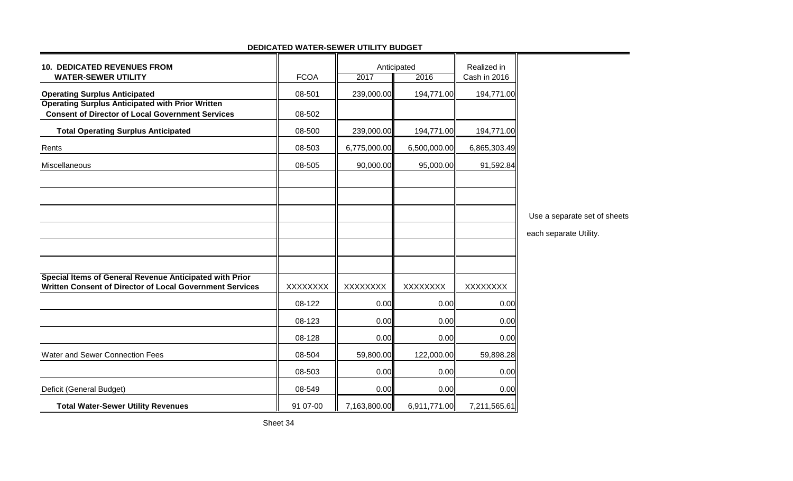| <b>10. DEDICATED REVENUES FROM</b><br><b>WATER-SEWER UTILITY</b>                                                    | <b>FCOA</b> | 2017            | Anticipated<br>2016 | Realized in<br>Cash in 2016 |                              |
|---------------------------------------------------------------------------------------------------------------------|-------------|-----------------|---------------------|-----------------------------|------------------------------|
| <b>Operating Surplus Anticipated</b>                                                                                | 08-501      | 239,000.00      | 194,771.00          | 194,771.00                  |                              |
| <b>Operating Surplus Anticipated with Prior Written</b><br><b>Consent of Director of Local Government Services</b>  | 08-502      |                 |                     |                             |                              |
| <b>Total Operating Surplus Anticipated</b>                                                                          | 08-500      | 239,000.00      | 194,771.00          | 194,771.00                  |                              |
| Rents                                                                                                               | 08-503      | 6,775,000.00    | 6,500,000.00        | 6,865,303.49                |                              |
| Miscellaneous                                                                                                       | 08-505      | 90,000.00       | 95,000.00           | 91,592.84                   |                              |
|                                                                                                                     |             |                 |                     |                             |                              |
|                                                                                                                     |             |                 |                     |                             |                              |
|                                                                                                                     |             |                 |                     |                             | Use a separate set of sheets |
|                                                                                                                     |             |                 |                     |                             | each separate Utility.       |
|                                                                                                                     |             |                 |                     |                             |                              |
|                                                                                                                     |             |                 |                     |                             |                              |
| Special Items of General Revenue Anticipated with Prior<br>Written Consent of Director of Local Government Services | XXXXXXX     | <b>XXXXXXXX</b> | <b>XXXXXXXX</b>     | XXXXXXXX                    |                              |
|                                                                                                                     | 08-122      | 0.00            | 0.00                | 0.00                        |                              |
|                                                                                                                     | 08-123      | 0.00            | 0.00                | 0.00                        |                              |
|                                                                                                                     | 08-128      | 0.00            | 0.00                | 0.00                        |                              |
| Water and Sewer Connection Fees                                                                                     | 08-504      | 59,800.00       | 122,000.00          | 59,898.28                   |                              |
|                                                                                                                     | 08-503      | 0.00            | 0.00                | 0.00                        |                              |
| Deficit (General Budget)                                                                                            | 08-549      | 0.00            | 0.00                | 0.00                        |                              |
| <b>Total Water-Sewer Utility Revenues</b>                                                                           | 91 07-00    | 7,163,800.00    | 6,911,771.00        | 7,211,565.61                |                              |

#### **DEDICATED WATER-SEWER UTILITY BUDGET**╦ ╦

┳

Τ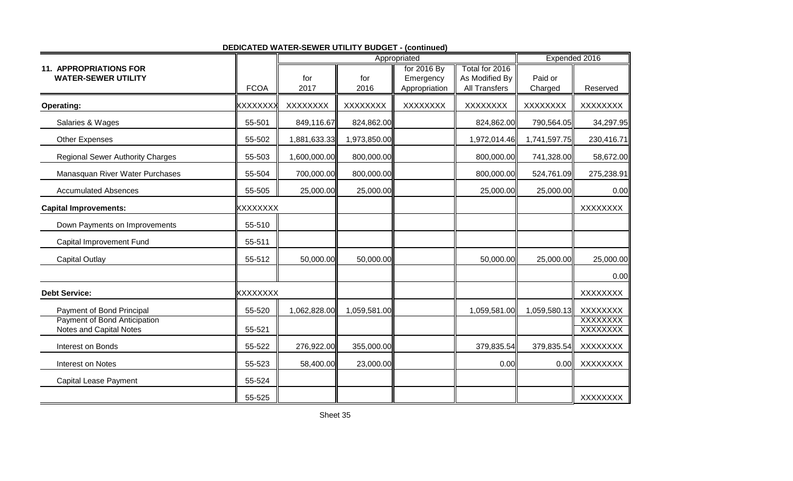|                                                             |                 |                 | Appropriated |                          | Expended 2016                    |              |                    |
|-------------------------------------------------------------|-----------------|-----------------|--------------|--------------------------|----------------------------------|--------------|--------------------|
| <b>11. APPROPRIATIONS FOR</b><br><b>WATER-SEWER UTILITY</b> |                 | for             | for          | for 2016 By<br>Emergency | Total for 2016<br>As Modified By | Paid or      |                    |
|                                                             | <b>FCOA</b>     | 2017            | 2016         | Appropriation            | <b>All Transfers</b>             | Charged      | Reserved           |
| <b>Operating:</b>                                           | <b>XXXXXXX</b>  | <b>XXXXXXXX</b> | XXXXXXX      | XXXXXXXX                 | <b>XXXXXXXX</b>                  | XXXXXXXX     | XXXXXXX            |
| Salaries & Wages                                            | 55-501          | 849,116.67      | 824,862.00   |                          | 824,862.00                       | 790,564.05   | 34,297.95          |
| <b>Other Expenses</b>                                       | 55-502          | 1,881,633.33    | 1,973,850.00 |                          | 1,972,014.46                     | 1,741,597.75 | 230,416.71         |
| <b>Regional Sewer Authority Charges</b>                     | 55-503          | 1,600,000.00    | 800,000.00   |                          | 800,000.00                       | 741,328.00   | 58,672.00          |
| Manasquan River Water Purchases                             | 55-504          | 700,000.00      | 800,000.00   |                          | 800,000.00                       | 524,761.09   | 275,238.91         |
| <b>Accumulated Absences</b>                                 | 55-505          | 25,000.00       | 25,000.00    |                          | 25,000.00                        | 25,000.00    | 0.00               |
| <b>Capital Improvements:</b>                                | <b>XXXXXXXX</b> |                 |              |                          |                                  |              | <b>XXXXXXXX</b>    |
| Down Payments on Improvements                               | 55-510          |                 |              |                          |                                  |              |                    |
| Capital Improvement Fund                                    | 55-511          |                 |              |                          |                                  |              |                    |
| <b>Capital Outlay</b>                                       | 55-512          | 50,000.00       | 50,000.00    |                          | 50,000.00                        | 25,000.00    | 25,000.00          |
|                                                             |                 |                 |              |                          |                                  |              | 0.00               |
| <b>Debt Service:</b>                                        | <b>XXXXXXXX</b> |                 |              |                          |                                  |              | <b>XXXXXXXX</b>    |
| Payment of Bond Principal                                   | 55-520          | 1,062,828.00    | 1,059,581.00 |                          | 1,059,581.00                     | 1,059,580.13 | <b>XXXXXXXX</b>    |
| Payment of Bond Anticipation<br>Notes and Capital Notes     | 55-521          |                 |              |                          |                                  |              | XXXXXXX<br>XXXXXXX |
| Interest on Bonds                                           | 55-522          | 276,922.00      | 355,000.00   |                          | 379,835.54                       | 379,835.54   | <b>XXXXXXXX</b>    |
| Interest on Notes                                           | 55-523          | 58,400.00       | 23,000.00    |                          | 0.00                             | 0.00         | <b>XXXXXXXX</b>    |
| <b>Capital Lease Payment</b>                                | 55-524          |                 |              |                          |                                  |              |                    |
|                                                             | 55-525          |                 |              |                          |                                  |              | XXXXXXX            |

## **DEDICATED WATER-SEWER UTILITY BUDGET - (continued)**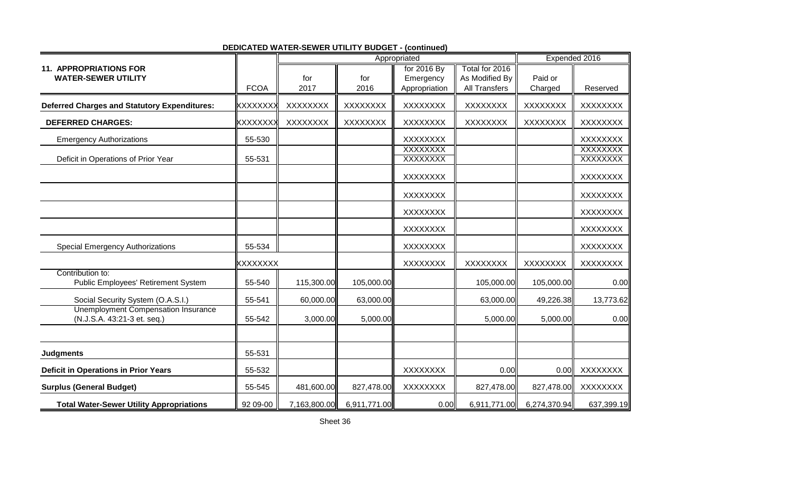|                                                                           |                |                 | Appropriated    |                    |                      |                 | Expended 2016      |  |
|---------------------------------------------------------------------------|----------------|-----------------|-----------------|--------------------|----------------------|-----------------|--------------------|--|
| <b>11. APPROPRIATIONS FOR</b>                                             |                |                 |                 | for 2016 By        | Total for 2016       |                 |                    |  |
| <b>WATER-SEWER UTILITY</b>                                                |                | for             | for             | Emergency          | As Modified By       | Paid or         |                    |  |
|                                                                           | <b>FCOA</b>    | 2017            | 2016            | Appropriation      | <b>All Transfers</b> | Charged         | Reserved           |  |
| <b>Deferred Charges and Statutory Expenditures:</b>                       | <b>XXXXXXX</b> | XXXXXXX         | XXXXXXX         | XXXXXXX            | XXXXXXX              | XXXXXXXX        | XXXXXXX            |  |
| <b>DEFERRED CHARGES:</b>                                                  | <b>XXXXXXX</b> | <b>XXXXXXXX</b> | <b>XXXXXXXX</b> | XXXXXXX            | <b>XXXXXXXX</b>      | <b>XXXXXXXX</b> | <b>XXXXXXXX</b>    |  |
| <b>Emergency Authorizations</b>                                           | 55-530         |                 |                 | XXXXXXXX           |                      |                 | <b>XXXXXXXX</b>    |  |
| Deficit in Operations of Prior Year                                       | 55-531         |                 |                 | XXXXXXX<br>XXXXXXX |                      |                 | XXXXXXX<br>XXXXXXX |  |
|                                                                           |                |                 |                 | <b>XXXXXXXX</b>    |                      |                 | <b>XXXXXXXX</b>    |  |
|                                                                           |                |                 |                 | XXXXXXXX           |                      |                 | XXXXXXXX           |  |
|                                                                           |                |                 |                 | XXXXXXX            |                      |                 | <b>XXXXXXXX</b>    |  |
|                                                                           |                |                 |                 | XXXXXXXX           |                      |                 | <b>XXXXXXXX</b>    |  |
| <b>Special Emergency Authorizations</b>                                   | 55-534         |                 |                 | <b>XXXXXXXX</b>    |                      |                 | <b>XXXXXXXX</b>    |  |
|                                                                           | xxxxxxxx       |                 |                 | XXXXXXXX           | XXXXXXX              | XXXXXXXX        | XXXXXXX            |  |
| Contribution to:<br>Public Employees' Retirement System                   | 55-540         | 115,300.00      | 105,000.00      |                    | 105,000.00           | 105,000.00      | 0.00               |  |
| Social Security System (O.A.S.I.)                                         | 55-541         | 60,000.00       | 63,000.00       |                    | 63,000.00            | 49,226.38       | 13,773.62          |  |
| <b>Unemployment Compensation Insurance</b><br>(N.J.S.A. 43:21-3 et. seq.) | 55-542         | 3,000.00        | 5,000.00        |                    | 5,000.00             | 5,000.00        | 0.00               |  |
|                                                                           |                |                 |                 |                    |                      |                 |                    |  |
| <b>Judgments</b>                                                          | 55-531         |                 |                 |                    |                      |                 |                    |  |
| <b>Deficit in Operations in Prior Years</b>                               | 55-532         |                 |                 | <b>XXXXXXXX</b>    | 0.00                 | 0.00            | XXXXXXXX           |  |
| <b>Surplus (General Budget)</b>                                           | 55-545         | 481,600.00      | 827,478.00      | <b>XXXXXXXX</b>    | 827,478.00           | 827,478.00      | XXXXXXXX           |  |
| <b>Total Water-Sewer Utility Appropriations</b>                           | 92 09-00       | 7,163,800.00    | 6,911,771.00    | 0.00               | 6,911,771.00         | 6,274,370.94    | 637,399.19         |  |

**DEDICATED WATER-SEWER UTILITY BUDGET - (continued)**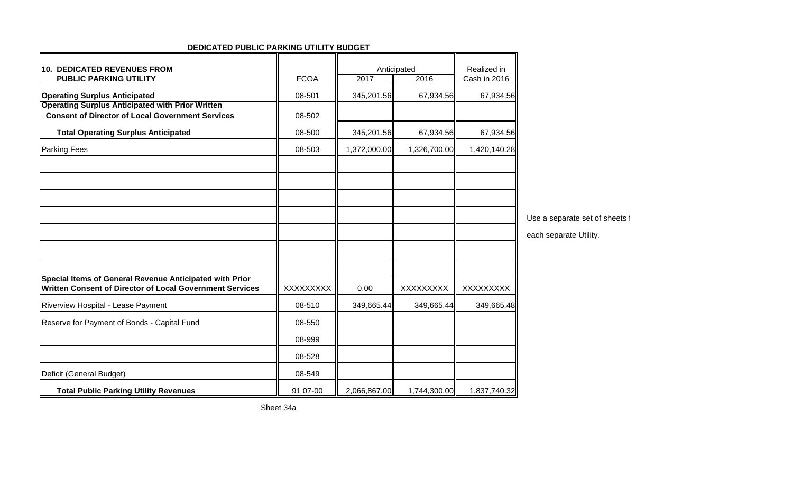| <b>10. DEDICATED REVENUES FROM</b><br><b>PUBLIC PARKING UTILITY</b>                                                 | <b>FCOA</b> | Anticipated<br>2017<br>2016 |              | Realized in<br>Cash in 2016 |                                |
|---------------------------------------------------------------------------------------------------------------------|-------------|-----------------------------|--------------|-----------------------------|--------------------------------|
| <b>Operating Surplus Anticipated</b>                                                                                | 08-501      | 345,201.56                  | 67,934.56    | 67,934.56                   |                                |
| <b>Operating Surplus Anticipated with Prior Written</b><br><b>Consent of Director of Local Government Services</b>  | 08-502      |                             |              |                             |                                |
| <b>Total Operating Surplus Anticipated</b>                                                                          | 08-500      | 345,201.56                  | 67,934.56    | 67,934.56                   |                                |
| Parking Fees                                                                                                        | 08-503      | 1,372,000.00                | 1,326,700.00 | 1,420,140.28                |                                |
|                                                                                                                     |             |                             |              |                             |                                |
|                                                                                                                     |             |                             |              |                             |                                |
|                                                                                                                     |             |                             |              |                             |                                |
|                                                                                                                     |             |                             |              |                             | Use a separate set of sheets i |
|                                                                                                                     |             |                             |              |                             | each separate Utility.         |
|                                                                                                                     |             |                             |              |                             |                                |
|                                                                                                                     |             |                             |              |                             |                                |
| Special Items of General Revenue Anticipated with Prior<br>Written Consent of Director of Local Government Services | XXXXXXXX    | 0.00                        | XXXXXXXX     | XXXXXXXX                    |                                |
| Riverview Hospital - Lease Payment                                                                                  | 08-510      | 349,665.44                  | 349,665.44   | 349,665.48                  |                                |
| Reserve for Payment of Bonds - Capital Fund                                                                         | 08-550      |                             |              |                             |                                |
|                                                                                                                     | 08-999      |                             |              |                             |                                |
|                                                                                                                     | 08-528      |                             |              |                             |                                |
| Deficit (General Budget)                                                                                            | 08-549      |                             |              |                             |                                |
| <b>Total Public Parking Utility Revenues</b>                                                                        | 91 07-00    | 2,066,867.00                | 1,744,300.00 | 1,837,740.32                |                                |

#### **DEDICATED PUBLIC PARKING UTILITY BUDGET**

Sheet 34a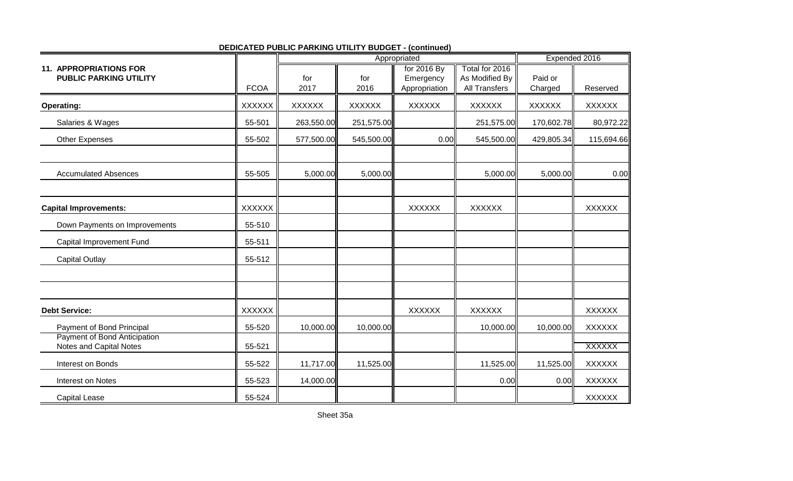|                                                                |               | Appropriated  |               |                                           |                                                          | Expended 2016      |               |
|----------------------------------------------------------------|---------------|---------------|---------------|-------------------------------------------|----------------------------------------------------------|--------------------|---------------|
| <b>11. APPROPRIATIONS FOR</b><br><b>PUBLIC PARKING UTILITY</b> | <b>FCOA</b>   | for<br>2017   | for<br>2016   | for 2016 By<br>Emergency<br>Appropriation | Total for 2016<br>As Modified By<br><b>All Transfers</b> | Paid or<br>Charged | Reserved      |
| <b>Operating:</b>                                              | <b>XXXXXX</b> | <b>XXXXXX</b> | <b>XXXXXX</b> | <b>XXXXXX</b>                             | <b>XXXXXX</b>                                            | <b>XXXXXX</b>      | <b>XXXXXX</b> |
| Salaries & Wages                                               | 55-501        | 263,550.00    | 251,575.00    |                                           | 251,575.00                                               | 170,602.78         | 80,972.22     |
| <b>Other Expenses</b>                                          | 55-502        | 577,500.00    | 545,500.00    | 0.00                                      | 545,500.00                                               | 429,805.34         | 115,694.66    |
| <b>Accumulated Absences</b>                                    | 55-505        | 5,000.00      | 5,000.00      |                                           | 5,000.00                                                 | 5,000.00           | 0.00          |
| <b>Capital Improvements:</b>                                   | <b>XXXXXX</b> |               |               | <b>XXXXXX</b>                             | <b>XXXXXX</b>                                            |                    | <b>XXXXXX</b> |
| Down Payments on Improvements                                  | 55-510        |               |               |                                           |                                                          |                    |               |
| Capital Improvement Fund                                       | 55-511        |               |               |                                           |                                                          |                    |               |
| <b>Capital Outlay</b>                                          | 55-512        |               |               |                                           |                                                          |                    |               |
|                                                                |               |               |               |                                           |                                                          |                    |               |
| <b>Debt Service:</b>                                           | <b>XXXXXX</b> |               |               | <b>XXXXXX</b>                             | <b>XXXXXX</b>                                            |                    | <b>XXXXXX</b> |
| Payment of Bond Principal                                      | 55-520        | 10,000.00     | 10,000.00     |                                           | 10,000.00                                                | 10,000.00          | <b>XXXXXX</b> |
| <b>Payment of Bond Anticipation</b><br>Notes and Capital Notes | 55-521        |               |               |                                           |                                                          |                    | <b>XXXXXX</b> |
| Interest on Bonds                                              | 55-522        | 11,717.00     | 11,525.00     |                                           | 11,525.00                                                | 11,525.00          | <b>XXXXXX</b> |
| Interest on Notes                                              | 55-523        | 14,000.00     |               |                                           | 0.00                                                     | 0.00               | <b>XXXXXX</b> |
| <b>Capital Lease</b>                                           | 55-524        |               |               |                                           |                                                          |                    | <b>XXXXXX</b> |

## **DEDICATED PUBLIC PARKING UTILITY BUDGET - (continued)**

Sheet 35a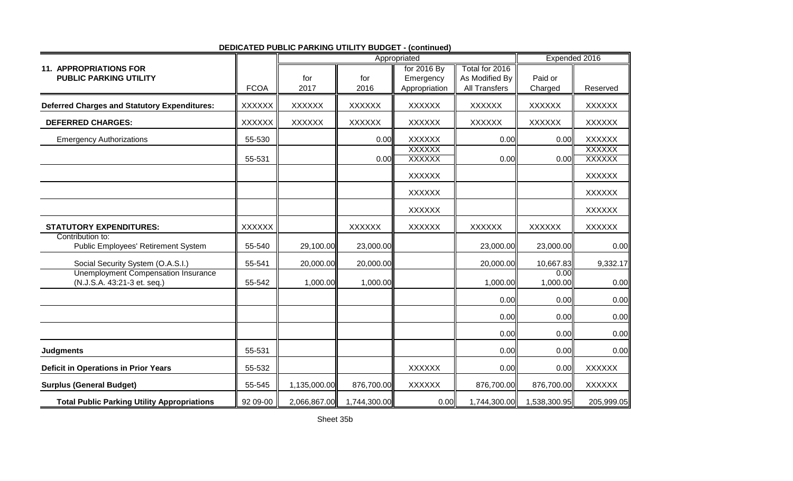|                                                                           |               |               | Appropriated  |                                | Expended 2016        |                  |                                |
|---------------------------------------------------------------------------|---------------|---------------|---------------|--------------------------------|----------------------|------------------|--------------------------------|
| <b>11. APPROPRIATIONS FOR</b>                                             |               |               |               | for 2016 By                    | Total for 2016       |                  |                                |
| <b>PUBLIC PARKING UTILITY</b>                                             |               | for           | for           | Emergency                      | As Modified By       | Paid or          |                                |
|                                                                           | <b>FCOA</b>   | 2017          | 2016          | Appropriation                  | <b>All Transfers</b> | Charged          | Reserved                       |
| <b>Deferred Charges and Statutory Expenditures:</b>                       | <b>XXXXXX</b> | <b>XXXXXX</b> | <b>XXXXXX</b> | <b>XXXXXX</b>                  | <b>XXXXXX</b>        | <b>XXXXXX</b>    | <b>XXXXXX</b>                  |
| <b>DEFERRED CHARGES:</b>                                                  | <b>XXXXXX</b> | <b>XXXXXX</b> | <b>XXXXXX</b> | <b>XXXXXX</b>                  | <b>XXXXXX</b>        | <b>XXXXXX</b>    | <b>XXXXXX</b>                  |
| <b>Emergency Authorizations</b>                                           | 55-530        |               | 0.00          | <b>XXXXXX</b>                  | 0.00                 | 0.00             | <b>XXXXXX</b>                  |
|                                                                           | 55-531        |               | 0.00          | <b>XXXXXX</b><br><b>XXXXXX</b> | 0.00                 | 0.00             | <b>XXXXXX</b><br><b>XXXXXX</b> |
|                                                                           |               |               |               | <b>XXXXXX</b>                  |                      |                  | <b>XXXXXX</b>                  |
|                                                                           |               |               |               | <b>XXXXXX</b>                  |                      |                  | <b>XXXXXX</b>                  |
|                                                                           |               |               |               | <b>XXXXXX</b>                  |                      |                  | <b>XXXXXX</b>                  |
| <b>STATUTORY EXPENDITURES:</b>                                            | <b>XXXXXX</b> |               | <b>XXXXXX</b> | <b>XXXXXX</b>                  | <b>XXXXXX</b>        | <b>XXXXXX</b>    | <b>XXXXXX</b>                  |
| Contribution to:<br>Public Employees' Retirement System                   | 55-540        | 29,100.00     | 23,000.00     |                                | 23,000.00            | 23,000.00        | 0.00                           |
| Social Security System (O.A.S.I.)                                         | 55-541        | 20,000.00     | 20,000.00     |                                | 20,000.00            | 10,667.83        | 9,332.17                       |
| <b>Unemployment Compensation Insurance</b><br>(N.J.S.A. 43:21-3 et. seq.) | 55-542        | 1,000.00      | 1,000.00      |                                | 1,000.00             | 0.00<br>1,000.00 | 0.00                           |
|                                                                           |               |               |               |                                | 0.00                 | 0.00             | 0.00                           |
|                                                                           |               |               |               |                                | 0.00                 | 0.00             | 0.00                           |
|                                                                           |               |               |               |                                | 0.00                 | 0.00             | 0.00                           |
| <b>Judgments</b>                                                          | 55-531        |               |               |                                | 0.00                 | 0.00             | 0.00                           |
| <b>Deficit in Operations in Prior Years</b>                               | 55-532        |               |               | <b>XXXXXX</b>                  | 0.00                 | 0.00             | <b>XXXXXX</b>                  |
| <b>Surplus (General Budget)</b>                                           | 55-545        | 1,135,000.00  | 876,700.00    | <b>XXXXXX</b>                  | 876,700.00           | 876,700.00       | <b>XXXXXX</b>                  |
| <b>Total Public Parking Utility Appropriations</b>                        | 92 09-00      | 2,066,867.00  | 1,744,300.00  | 0.00                           | 1,744,300.00         | 1,538,300.95     | 205,999.05                     |

## **DEDICATED PUBLIC PARKING UTILITY BUDGET - (continued)**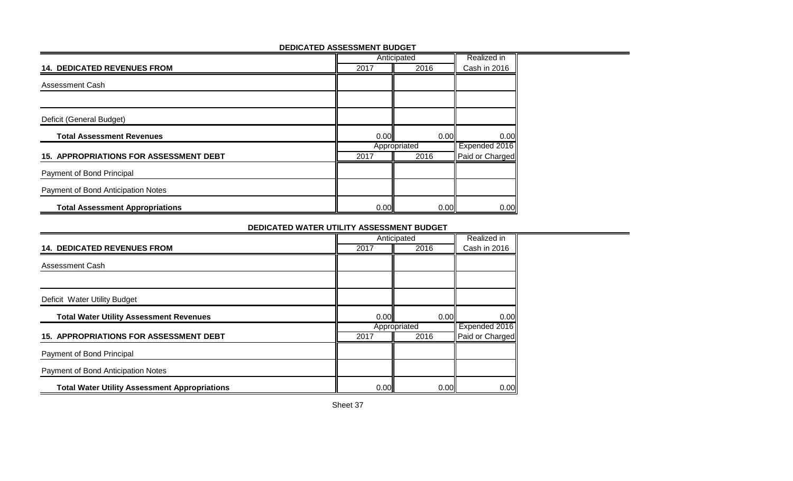|                                               | Anticipated | Realized in  |                 |
|-----------------------------------------------|-------------|--------------|-----------------|
| <b>14. DEDICATED REVENUES FROM</b>            | 2017        | 2016         | Cash in 2016    |
| <b>Assessment Cash</b>                        |             |              |                 |
|                                               |             |              |                 |
| Deficit (General Budget)                      |             |              |                 |
| <b>Total Assessment Revenues</b>              | 0.00        | 0.00         | 0.00            |
|                                               |             | Appropriated | Expended 2016   |
| <b>15. APPROPRIATIONS FOR ASSESSMENT DEBT</b> | 2017        | 2016         | Paid or Charged |
| Payment of Bond Principal                     |             |              |                 |
| Payment of Bond Anticipation Notes            |             |              |                 |
| <b>Total Assessment Appropriations</b>        | 0.00        | 0.00         | 0.00            |

#### **DEDICATED ASSESSMENT BUDGET**

#### **DEDICATED WATER UTILITY ASSESSMENT BUDGET**

the contract of the contract of the contract of the contract of the contract of

|                                                      | Anticipated |              |                 |
|------------------------------------------------------|-------------|--------------|-----------------|
| <b>14. DEDICATED REVENUES FROM</b>                   | 2017        | 2016         | Cash in 2016    |
| Assessment Cash                                      |             |              |                 |
|                                                      |             |              |                 |
| Deficit Water Utility Budget                         |             |              |                 |
| <b>Total Water Utility Assessment Revenues</b>       | 0.00        | 0.00         | 0.00            |
|                                                      |             | Appropriated | Expended 2016   |
| <b>15. APPROPRIATIONS FOR ASSESSMENT DEBT</b>        | 2017        | 2016         | Paid or Charged |
| Payment of Bond Principal                            |             |              |                 |
| Payment of Bond Anticipation Notes                   |             |              |                 |
| <b>Total Water Utility Assessment Appropriations</b> | 0.00        | 0.00         | 0.00            |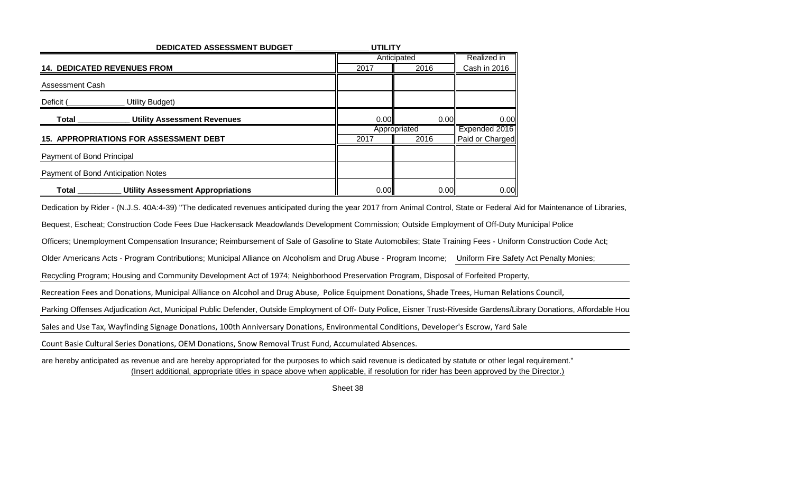| DEDICATED ASSESSMENT BUDGET                              | <b>UTILITY</b> |              |                 |
|----------------------------------------------------------|----------------|--------------|-----------------|
|                                                          | Anticipated    | Realized in  |                 |
| <b>14. DEDICATED REVENUES FROM</b>                       | 2017           | 2016         | Cash in 2016    |
| Assessment Cash                                          |                |              |                 |
| <b>Utility Budget)</b><br>Deficit (                      |                |              |                 |
| <b>Utility Assessment Revenues</b><br><b>Total</b>       | 0.00           | 0.00         | 0.00            |
|                                                          |                | Appropriated | Expended 2016   |
| <b>15. APPROPRIATIONS FOR ASSESSMENT DEBT</b>            | 2017           | 2016         | Paid or Charged |
| Payment of Bond Principal                                |                |              |                 |
| Payment of Bond Anticipation Notes                       |                |              |                 |
| <b>Utility Assessment Appropriations</b><br><b>Total</b> | 0.00           | 0.00         | 0.00            |

Dedication by Rider - (N.J.S. 40A:4-39) "The dedicated revenues anticipated during the year 2017 from Animal Control, State or Federal Aid for Maintenance of Libraries,

Bequest, Escheat; Construction Code Fees Due Hackensack Meadowlands Development Commission; Outside Employment of Off-Duty Municipal Police

Officers; Unemployment Compensation Insurance; Reimbursement of Sale of Gasoline to State Automobiles; State Training Fees - Uniform Construction Code Act;

Older Americans Acts - Program Contributions; Municipal Alliance on Alcoholism and Drug Abuse - Program Income; Uniform Fire Safety Act Penalty Monies;

Recycling Program; Housing and Community Development Act of 1974; Neighborhood Preservation Program, Disposal of Forfeited Property,

Recreation Fees and Donations, Municipal Alliance on Alcohol and Drug Abuse, Police Equipment Donations, Shade Trees, Human Relations Council,

Parking Offenses Adjudication Act, Municipal Public Defender, Outside Employment of Off- Duty Police, Eisner Trust-Riveside Gardens/Library Donations, Affordable Housting Trust-Riveside Gardens/Library Donations, Affordabl

Sales and Use Tax, Wayfinding Signage Donations, 100th Anniversary Donations, Environmental Conditions, Developer's Escrow, Yard Sale

Count Basie Cultural Series Donations, OEM Donations, Snow Removal Trust Fund, Accumulated Absences.

are hereby anticipated as revenue and are hereby appropriated for the purposes to which said revenue is dedicated by statute or other legal requirement."(Insert additional, appropriate titles in space above when applicable, if resolution for rider has been approved by the Director.)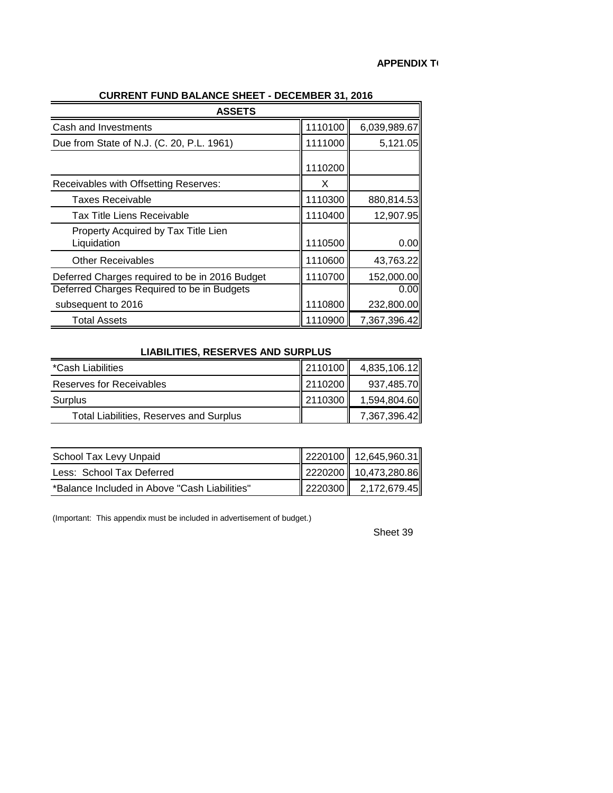| <b>ASSETS</b>                                      |         |              |
|----------------------------------------------------|---------|--------------|
| Cash and Investments                               | 1110100 | 6,039,989.67 |
| Due from State of N.J. (C. 20, P.L. 1961)          | 1111000 | 5,121.05     |
|                                                    | 1110200 |              |
| Receivables with Offsetting Reserves:              | X       |              |
| <b>Taxes Receivable</b>                            | 1110300 | 880,814.53   |
| <b>Tax Title Liens Receivable</b>                  | 1110400 | 12,907.95    |
| Property Acquired by Tax Title Lien<br>Liquidation | 1110500 | 0.00         |
| <b>Other Receivables</b>                           | 1110600 | 43,763.22    |
| Deferred Charges required to be in 2016 Budget     | 1110700 | 152,000.00   |
| Deferred Charges Required to be in Budgets         |         | 0.00         |
| subsequent to 2016                                 | 1110800 | 232,800.00   |
| <b>Total Assets</b>                                | 1110900 | 7,367,396.42 |

## **CURRENT FUND BALANCE SHEET - DECEMBER 31, 2016**

#### **LIABILITIES, RESERVES AND SURPLUS**

| *Cash Liabilities                              | $\parallel$ 2110100 $\parallel$ | 4,835,106.12 |
|------------------------------------------------|---------------------------------|--------------|
| Reserves for Receivables                       | 2110200                         | 937,485.70   |
| Surplus                                        | 2110300                         | 1,594,804.60 |
| <b>Total Liabilities, Reserves and Surplus</b> |                                 | 7,367,396.42 |

| School Tax Levy Unpaid                        | 2220100 12,645,960.31                |
|-----------------------------------------------|--------------------------------------|
| Less: School Tax Deferred                     | 2220200 10,473,280.86                |
| *Balance Included in Above "Cash Liabilities" | $\vert$ 2220300 $\vert$ 2,172,679.45 |

(Important: This appendix must be included in advertisement of budget.)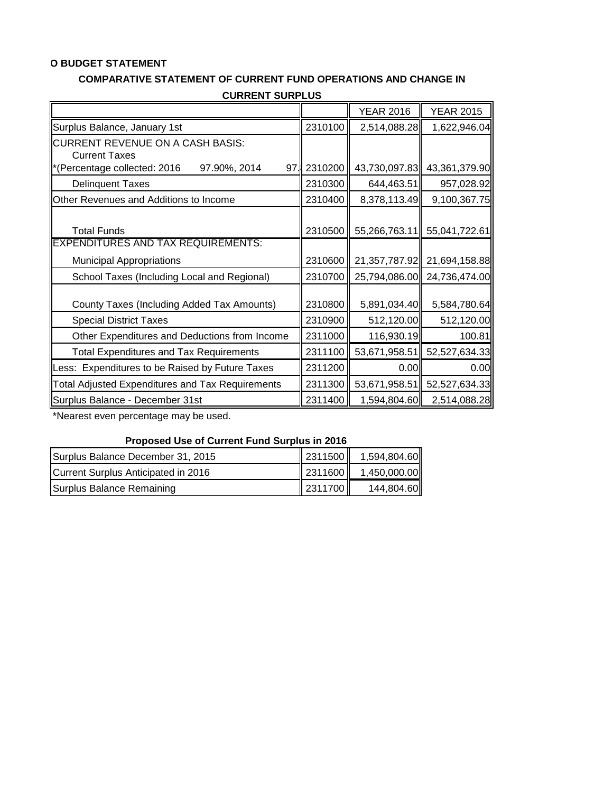## **O BUDGET STATEMENT**

## **COMPARATIVE STATEMENT OF CURRENT FUND OPERATIONS AND CHANGE IN**

| UUNNLINI JUNFLUJ                                        |         |                  |                  |
|---------------------------------------------------------|---------|------------------|------------------|
|                                                         |         | <b>YEAR 2016</b> | <b>YEAR 2015</b> |
| Surplus Balance, January 1st                            | 2310100 | 2,514,088.28     | 1,622,946.04     |
| <b>CURRENT REVENUE ON A CASH BASIS:</b>                 |         |                  |                  |
| <b>Current Taxes</b>                                    |         |                  |                  |
| *(Percentage collected: 2016<br>97.90%, 2014<br>97.     | 2310200 | 43,730,097.83    | 43,361,379.90    |
| <b>Delinquent Taxes</b>                                 | 2310300 | 644,463.51       | 957,028.92       |
| Other Revenues and Additions to Income                  | 2310400 | 8,378,113.49     | 9,100,367.75     |
|                                                         |         |                  |                  |
| <b>Total Funds</b>                                      | 2310500 | 55,266,763.11    | 55,041,722.61    |
| <b>EXPENDITURES AND TAX REQUIREMENTS:</b>               |         |                  |                  |
| <b>Municipal Appropriations</b>                         | 2310600 | 21,357,787.92    | 21,694,158.88    |
| School Taxes (Including Local and Regional)             | 2310700 | 25,794,086.00    | 24,736,474.00    |
|                                                         |         |                  |                  |
| County Taxes (Including Added Tax Amounts)              | 2310800 | 5,891,034.40     | 5,584,780.64     |
| <b>Special District Taxes</b>                           | 2310900 | 512,120.00       | 512,120.00       |
| Other Expenditures and Deductions from Income           | 2311000 | 116,930.19       | 100.81           |
| <b>Total Expenditures and Tax Requirements</b>          | 2311100 | 53,671,958.51    | 52,527,634.33    |
| Less: Expenditures to be Raised by Future Taxes         | 2311200 | 0.00             | 0.00             |
| <b>Total Adjusted Expenditures and Tax Requirements</b> | 2311300 | 53,671,958.51    | 52,527,634.33    |
| Surplus Balance - December 31st                         | 2311400 | 1,594,804.60     | 2,514,088.28     |

**CURRENT SURPLUS**

\*Nearest even percentage may be used.

## **Proposed Use of Current Fund Surplus in 2016**

| Surplus Balance December 31, 2015   |         | $\parallel$ 2311500 $\parallel$ 1,594,804.60 |
|-------------------------------------|---------|----------------------------------------------|
| Current Surplus Anticipated in 2016 |         | $\ $ 2311600 $\ $ 1,450,000.00               |
| Surplus Balance Remaining           | 2311700 | 144,804.60                                   |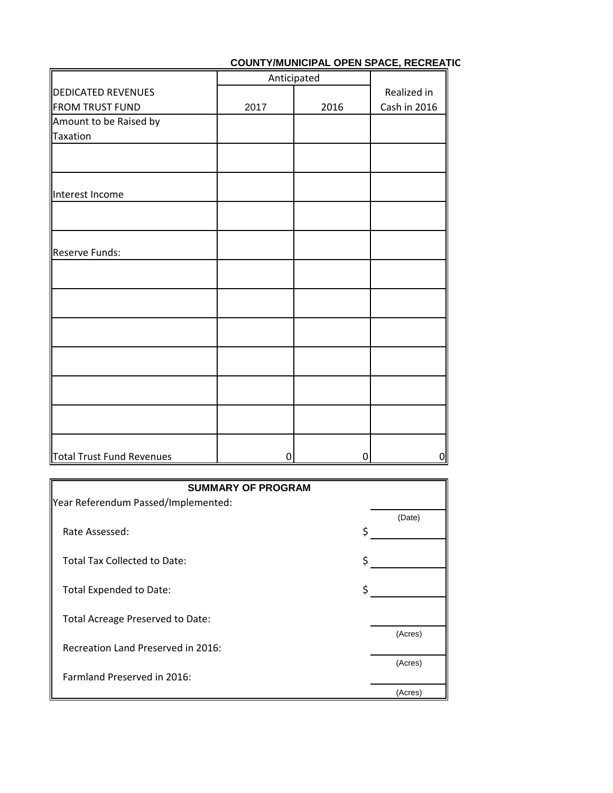## **COUNTY/MUNICIPAL OPEN SPACE, RECREATIC**

|                           |      | Anticipated |              |
|---------------------------|------|-------------|--------------|
| <b>DEDICATED REVENUES</b> |      |             | Realized in  |
| <b>FROM TRUST FUND</b>    | 2017 | 2016        | Cash in 2016 |
| Amount to be Raised by    |      |             |              |
| <b>Taxation</b>           |      |             |              |
|                           |      |             |              |
|                           |      |             |              |
| Interest Income           |      |             |              |
|                           |      |             |              |
| Reserve Funds:            |      |             |              |
|                           |      |             |              |
|                           |      |             |              |
|                           |      |             |              |
|                           |      |             |              |
|                           |      |             |              |
|                           |      |             |              |
|                           |      |             |              |
|                           |      |             |              |
| Total Trust Fund Revenues | 0    | 0           | $\mathbf 0$  |

| <b>SUMMARY OF PROGRAM</b>           |         |
|-------------------------------------|---------|
| Year Referendum Passed/Implemented: |         |
|                                     | (Date)  |
| Rate Assessed:                      |         |
|                                     |         |
| <b>Total Tax Collected to Date:</b> |         |
|                                     |         |
| <b>Total Expended to Date:</b>      |         |
|                                     |         |
| Total Acreage Preserved to Date:    |         |
|                                     | (Acres) |
| Recreation Land Preserved in 2016:  |         |
|                                     | (Acres) |
| Farmland Preserved in 2016:         |         |
|                                     | (Acres) |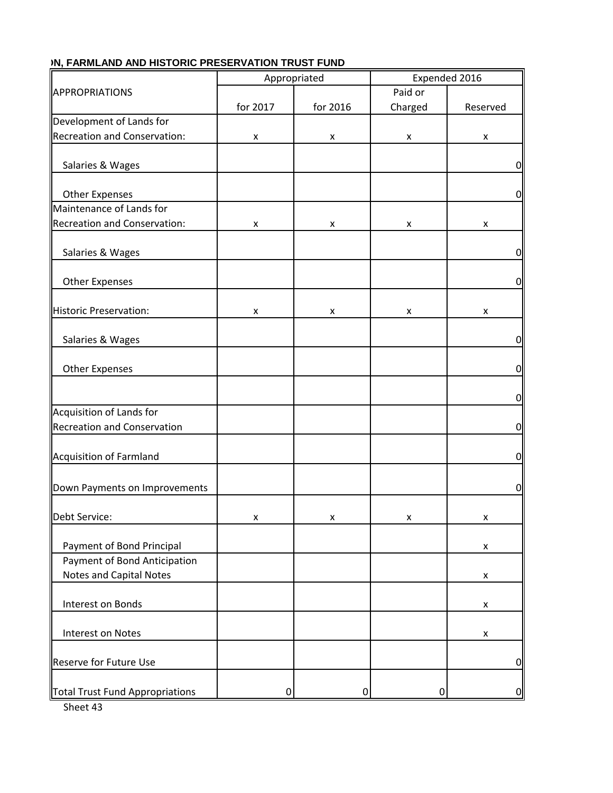|                                    | Appropriated |          |         | Expended 2016      |
|------------------------------------|--------------|----------|---------|--------------------|
| APPROPRIATIONS                     |              |          | Paid or |                    |
|                                    | for 2017     | for 2016 | Charged | Reserved           |
| Development of Lands for           |              |          |         |                    |
| Recreation and Conservation:       | X            | x        | X       | X                  |
|                                    |              |          |         |                    |
| Salaries & Wages                   |              |          |         | $\overline{0}$     |
|                                    |              |          |         |                    |
| <b>Other Expenses</b>              |              |          |         | 0                  |
| Maintenance of Lands for           |              |          |         |                    |
| Recreation and Conservation:       | X            | x        | x       | x                  |
|                                    |              |          |         |                    |
| Salaries & Wages                   |              |          |         | $\overline{0}$     |
|                                    |              |          |         |                    |
| <b>Other Expenses</b>              |              |          |         | $\overline{0}$     |
|                                    |              |          |         |                    |
| Historic Preservation:             | x            | X        | X       | X                  |
|                                    |              |          |         |                    |
| Salaries & Wages                   |              |          |         | $\overline{0}$     |
|                                    |              |          |         |                    |
| <b>Other Expenses</b>              |              |          |         | $\overline{0}$     |
|                                    |              |          |         |                    |
|                                    |              |          |         |                    |
|                                    |              |          |         | 0                  |
| Acquisition of Lands for           |              |          |         |                    |
| <b>Recreation and Conservation</b> |              |          |         | $\overline{0}$     |
|                                    |              |          |         |                    |
| Acquisition of Farmland            |              |          |         | $\overline{0}$     |
|                                    |              |          |         |                    |
| Down Payments on Improvements      |              |          |         | $\overline{0}$     |
|                                    |              |          |         |                    |
| Debt Service:                      | x            | x        | x       | x                  |
|                                    |              |          |         |                    |
| Payment of Bond Principal          |              |          |         | $\pmb{\mathsf{x}}$ |
| Payment of Bond Anticipation       |              |          |         |                    |
| Notes and Capital Notes            |              |          |         | X                  |
|                                    |              |          |         |                    |
| Interest on Bonds                  |              |          |         | X                  |
|                                    |              |          |         |                    |
| Interest on Notes                  |              |          |         | X                  |
|                                    |              |          |         |                    |
| <b>Reserve for Future Use</b>      |              |          |         | $\overline{0}$     |
|                                    |              |          |         |                    |
| Total Trust Fund Appropriations    | 0            | 0        | 0       | $\overline{0}$     |
|                                    |              |          |         |                    |

## **IN. FARMLAND AND HISTORIC PRESERVATION TRUST FUND**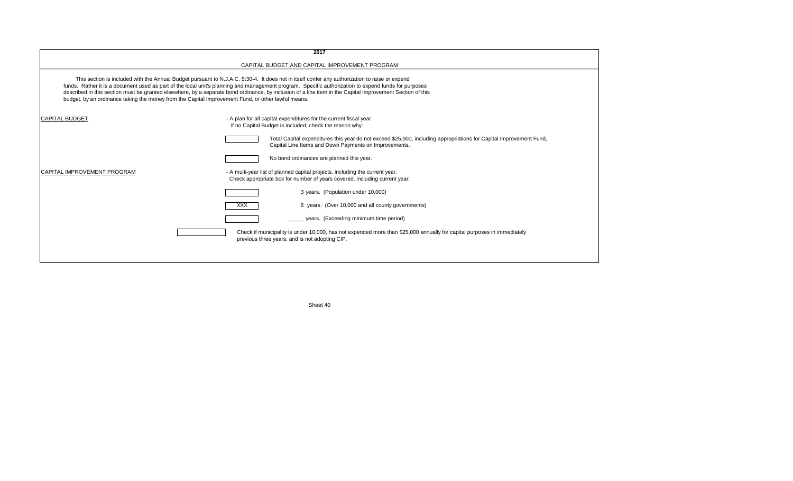|                                                                                                    | 2017                                                                                                                                                                                                                                                                                                                                                                                                                                                                |
|----------------------------------------------------------------------------------------------------|---------------------------------------------------------------------------------------------------------------------------------------------------------------------------------------------------------------------------------------------------------------------------------------------------------------------------------------------------------------------------------------------------------------------------------------------------------------------|
|                                                                                                    | CAPITAL BUDGET AND CAPITAL IMPROVEMENT PROGRAM                                                                                                                                                                                                                                                                                                                                                                                                                      |
| budget, by an ordinance taking the money from the Capital Improvement Fund, or other lawful means. | This section is included with the Annual Budget pursuant to N.J.A.C. 5:30-4. It does not in itself confer any authorization to raise or expend<br>funds. Rather it is a document used as part of the local unit's planning and management program. Specific authorization to expend funds for purposes<br>described in this section must be granted elsewhere, by a separate bond ordinance, by inclusion of a line item in the Capital Improvement Section of this |
| <b>CAPITAL BUDGET</b>                                                                              | - A plan for all capital expenditures for the current fiscal year.<br>If no Capital Budget is included, check the reason why:                                                                                                                                                                                                                                                                                                                                       |
|                                                                                                    | Total Capital expenditures this year do not exceed \$25,000, including appropriations for Capital Improvement Fund,<br>Capital Line Items and Down Payments on Improvements.                                                                                                                                                                                                                                                                                        |
|                                                                                                    | No bond ordinances are planned this year.                                                                                                                                                                                                                                                                                                                                                                                                                           |
| CAPITAL IMPROVEMENT PROGRAM                                                                        | - A multi-year list of planned capital projects, including the current year.<br>Check appropriate box for number of years covered, including current year:                                                                                                                                                                                                                                                                                                          |
|                                                                                                    | 3 years. (Population under 10,000)                                                                                                                                                                                                                                                                                                                                                                                                                                  |
|                                                                                                    | 6 years. (Over 10,000 and all county governments)<br>XXX.                                                                                                                                                                                                                                                                                                                                                                                                           |
|                                                                                                    | years. (Exceeding minimum time period)                                                                                                                                                                                                                                                                                                                                                                                                                              |
|                                                                                                    | Check if municipality is under 10,000, has not expended more than \$25,000 annually for capital purposes in immediately<br>previous three years, and is not adopting CIP.                                                                                                                                                                                                                                                                                           |
|                                                                                                    |                                                                                                                                                                                                                                                                                                                                                                                                                                                                     |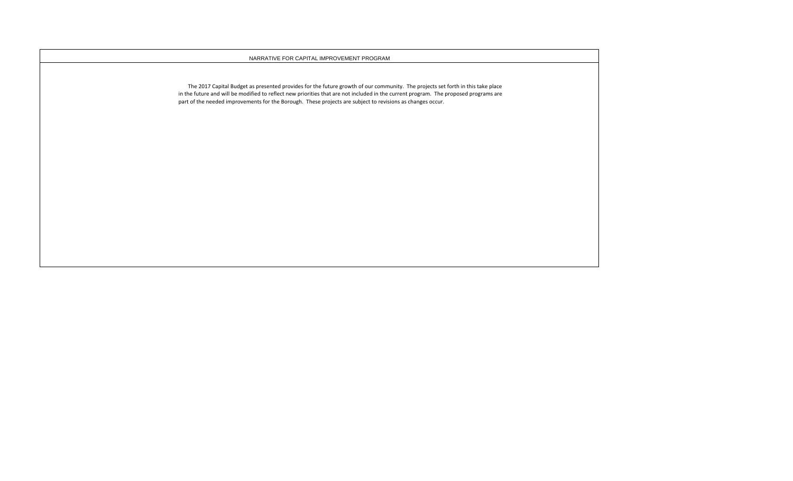#### NARRATIVE FOR CAPITAL IMPROVEMENT PROGRAM

 The 2017 Capital Budget as presented provides for the future growth of our community. The projects set forth in this take place in the future and will be modified to reflect new priorities that are not included in the current program. The proposed programs are part of the needed improvements for the Borough. These projects are subject to revisions as changes occur.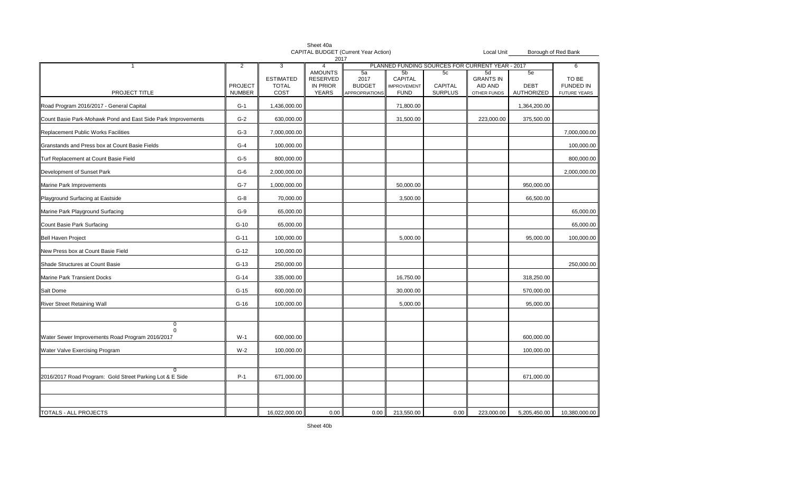|                                                              | Sheet 40a<br>CAPITAL BUDGET (Current Year Action)<br>Local Unit<br>2017 |                                          |                                                        |                                               | Borough of Red Bank                                            |                                                 |                                                  |                                 |                                                  |
|--------------------------------------------------------------|-------------------------------------------------------------------------|------------------------------------------|--------------------------------------------------------|-----------------------------------------------|----------------------------------------------------------------|-------------------------------------------------|--------------------------------------------------|---------------------------------|--------------------------------------------------|
| -1                                                           | $\overline{2}$                                                          | 3                                        | $\overline{4}$                                         |                                               |                                                                | PLANNED FUNDING SOURCES FOR CURRENT YEAR - 2017 |                                                  |                                 | 6                                                |
| PROJECT TITLE                                                | <b>PROJECT</b><br><b>NUMBER</b>                                         | <b>ESTIMATED</b><br><b>TOTAL</b><br>COST | <b>AMOUNTS</b><br><b>RESERVED</b><br>IN PRIOR<br>YEARS | 5a<br>2017<br><b>BUDGET</b><br>APPROPRIATIONS | 5 <sub>b</sub><br>CAPITAL<br><b>IMPROVEMENT</b><br><b>FUND</b> | 5c<br>CAPITAL<br><b>SURPLUS</b>                 | 5d<br><b>GRANTS IN</b><br>AID AND<br>OTHER FUNDS | 5e<br><b>DEBT</b><br>AUTHORIZED | TO BE<br><b>FUNDED IN</b><br><b>FUTURE YEARS</b> |
| Road Program 2016/2017 - General Capital                     | $G-1$                                                                   | 1,436,000.00                             |                                                        |                                               | 71,800.00                                                      |                                                 |                                                  | 1,364,200.00                    |                                                  |
| Count Basie Park-Mohawk Pond and East Side Park Improvements | $G-2$                                                                   | 630,000.00                               |                                                        |                                               | 31,500.00                                                      |                                                 | 223,000.00                                       | 375,500.00                      |                                                  |
| Replacement Public Works Facilities                          | $G-3$                                                                   | 7,000,000.00                             |                                                        |                                               |                                                                |                                                 |                                                  |                                 | 7,000,000.00                                     |
| Granstands and Press box at Count Basie Fields               | $G-4$                                                                   | 100,000.00                               |                                                        |                                               |                                                                |                                                 |                                                  |                                 | 100,000.00                                       |
| Turf Replacement at Count Basie Field                        | $G-5$                                                                   | 800,000.00                               |                                                        |                                               |                                                                |                                                 |                                                  |                                 | 800,000.00                                       |
| Development of Sunset Park                                   | $G-6$                                                                   | 2,000,000.00                             |                                                        |                                               |                                                                |                                                 |                                                  |                                 | 2,000,000.00                                     |
| Marine Park Improvements                                     | $G-7$                                                                   | 1,000,000.00                             |                                                        |                                               | 50,000.00                                                      |                                                 |                                                  | 950,000.00                      |                                                  |
| Playground Surfacing at Eastside                             | G-8                                                                     | 70,000.00                                |                                                        |                                               | 3,500.00                                                       |                                                 |                                                  | 66,500.00                       |                                                  |
| Marine Park Playground Surfacing                             | $G-9$                                                                   | 65,000.00                                |                                                        |                                               |                                                                |                                                 |                                                  |                                 | 65,000.00                                        |
| Count Basie Park Surfacing                                   | $G-10$                                                                  | 65,000.00                                |                                                        |                                               |                                                                |                                                 |                                                  |                                 | 65,000.00                                        |
| Bell Haven Project                                           | $G-11$                                                                  | 100,000.00                               |                                                        |                                               | 5,000.00                                                       |                                                 |                                                  | 95,000.00                       | 100,000.00                                       |
| New Press box at Count Basie Field                           | $G-12$                                                                  | 100,000.00                               |                                                        |                                               |                                                                |                                                 |                                                  |                                 |                                                  |
| Shade Structures at Count Basie                              | $G-13$                                                                  | 250,000.00                               |                                                        |                                               |                                                                |                                                 |                                                  |                                 | 250,000.00                                       |
| Marine Park Transient Docks                                  | $G-14$                                                                  | 335,000.00                               |                                                        |                                               | 16,750.00                                                      |                                                 |                                                  | 318,250.00                      |                                                  |
| Salt Dome                                                    | $G-15$                                                                  | 600,000.00                               |                                                        |                                               | 30,000.00                                                      |                                                 |                                                  | 570,000.00                      |                                                  |
| <b>River Street Retaining Wall</b>                           | $G-16$                                                                  | 100,000.00                               |                                                        |                                               | 5,000.00                                                       |                                                 |                                                  | 95,000.00                       |                                                  |
| 0                                                            |                                                                         |                                          |                                                        |                                               |                                                                |                                                 |                                                  |                                 |                                                  |
| 0<br>Water Sewer Improvements Road Program 2016/2017         | $W-1$                                                                   | 600,000.00                               |                                                        |                                               |                                                                |                                                 |                                                  | 600,000.00                      |                                                  |
| Water Valve Exercising Program                               | $W-2$                                                                   | 100,000.00                               |                                                        |                                               |                                                                |                                                 |                                                  | 100,000.00                      |                                                  |
| $\Omega$                                                     |                                                                         |                                          |                                                        |                                               |                                                                |                                                 |                                                  |                                 |                                                  |
| 2016/2017 Road Program: Gold Street Parking Lot & E Side     | $P-1$                                                                   | 671,000.00                               |                                                        |                                               |                                                                |                                                 |                                                  | 671,000.00                      |                                                  |
|                                                              |                                                                         |                                          |                                                        |                                               |                                                                |                                                 |                                                  |                                 |                                                  |
| TOTALS - ALL PROJECTS                                        |                                                                         | 16,022,000.00                            | 0.00                                                   | 0.00                                          | 213,550.00                                                     | 0.00                                            | 223,000.00                                       | 5,205,450.00                    | 10,380,000.00                                    |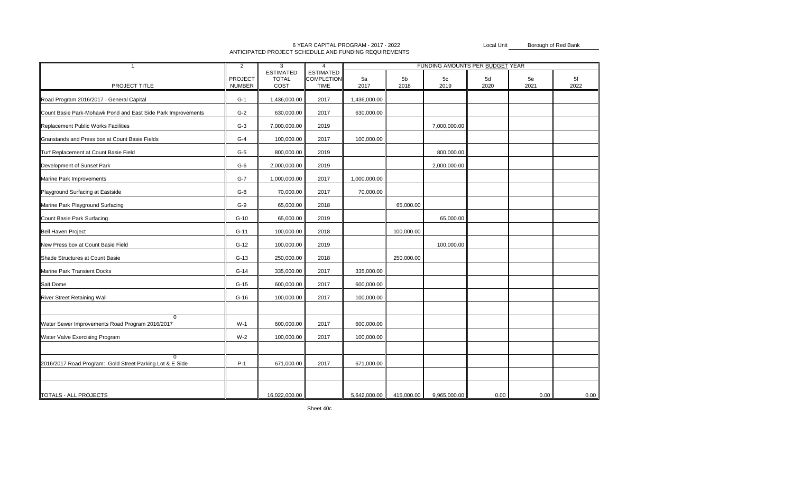|                                                                   | $\overline{2}$                  | 3                                        | $\overline{4}$                                       |              |            | FUNDING AMOUNTS PER BUDGET YEAR |            |            |            |
|-------------------------------------------------------------------|---------------------------------|------------------------------------------|------------------------------------------------------|--------------|------------|---------------------------------|------------|------------|------------|
| PROJECT TITLE                                                     | <b>PROJECT</b><br><b>NUMBER</b> | <b>ESTIMATED</b><br><b>TOTAL</b><br>COST | <b>ESTIMATED</b><br><b>COMPLETION</b><br><b>TIME</b> | 5a<br>2017   | 5b<br>2018 | 5c<br>2019                      | 5d<br>2020 | 5e<br>2021 | 5f<br>2022 |
| Road Program 2016/2017 - General Capital                          | $G-1$                           | 1,436,000.00                             | 2017                                                 | 1,436,000.00 |            |                                 |            |            |            |
| Count Basie Park-Mohawk Pond and East Side Park Improvements      | $G-2$                           | 630,000.00                               | 2017                                                 | 630,000.00   |            |                                 |            |            |            |
| Replacement Public Works Facilities                               | $G-3$                           | 7,000,000.00                             | 2019                                                 |              |            | 7,000,000.00                    |            |            |            |
| Granstands and Press box at Count Basie Fields                    | $G-4$                           | 100,000.00                               | 2017                                                 | 100,000.00   |            |                                 |            |            |            |
| Turf Replacement at Count Basie Field                             | $G-5$                           | 800,000.00                               | 2019                                                 |              |            | 800,000.00                      |            |            |            |
| Development of Sunset Park                                        | $G-6$                           | 2,000,000.00                             | 2019                                                 |              |            | 2,000,000.00                    |            |            |            |
| Marine Park Improvements                                          | $G-7$                           | 1,000,000.00                             | 2017                                                 | 1,000,000.00 |            |                                 |            |            |            |
| Playground Surfacing at Eastside                                  | $G-8$                           | 70,000.00                                | 2017                                                 | 70,000.00    |            |                                 |            |            |            |
| Marine Park Playground Surfacing                                  | $G-9$                           | 65,000.00                                | 2018                                                 |              | 65,000.00  |                                 |            |            |            |
| Count Basie Park Surfacing                                        | $G-10$                          | 65,000.00                                | 2019                                                 |              |            | 65,000.00                       |            |            |            |
| <b>Bell Haven Project</b>                                         | $G-11$                          | 100,000.00                               | 2018                                                 |              | 100,000.00 |                                 |            |            |            |
| New Press box at Count Basie Field                                | $G-12$                          | 100,000.00                               | 2019                                                 |              |            | 100,000.00                      |            |            |            |
| Shade Structures at Count Basie                                   | $G-13$                          | 250,000.00                               | 2018                                                 |              | 250,000.00 |                                 |            |            |            |
| Marine Park Transient Docks                                       | $G-14$                          | 335,000.00                               | 2017                                                 | 335,000.00   |            |                                 |            |            |            |
| Salt Dome                                                         | $G-15$                          | 600,000.00                               | 2017                                                 | 600,000.00   |            |                                 |            |            |            |
| River Street Retaining Wall                                       | $G-16$                          | 100,000.00                               | 2017                                                 | 100,000.00   |            |                                 |            |            |            |
|                                                                   |                                 |                                          |                                                      |              |            |                                 |            |            |            |
| $\overline{0}$<br>Water Sewer Improvements Road Program 2016/2017 | $W-1$                           | 600,000.00                               | 2017                                                 | 600,000.00   |            |                                 |            |            |            |
| Water Valve Exercising Program                                    | $W-2$                           | 100,000.00                               | 2017                                                 | 100,000.00   |            |                                 |            |            |            |
|                                                                   |                                 |                                          |                                                      |              |            |                                 |            |            |            |
| 2016/2017 Road Program: Gold Street Parking Lot & E Side          | $P-1$                           | 671,000.00                               | 2017                                                 | 671,000.00   |            |                                 |            |            |            |
|                                                                   |                                 |                                          |                                                      |              |            |                                 |            |            |            |
| TOTALS - ALL PROJECTS                                             |                                 | 16,022,000.00                            |                                                      | 5,642,000.00 | 415,000.00 | 9,965,000.00                    | 0.00       | 0.00       | 0.00       |

#### 6 YEAR CAPITAL PROGRAM - 2017 - 2022ANTICIPATED PROJECT SCHEDULE AND FUNDING REQUIREMENTS

Local UnitBorough of Red Bank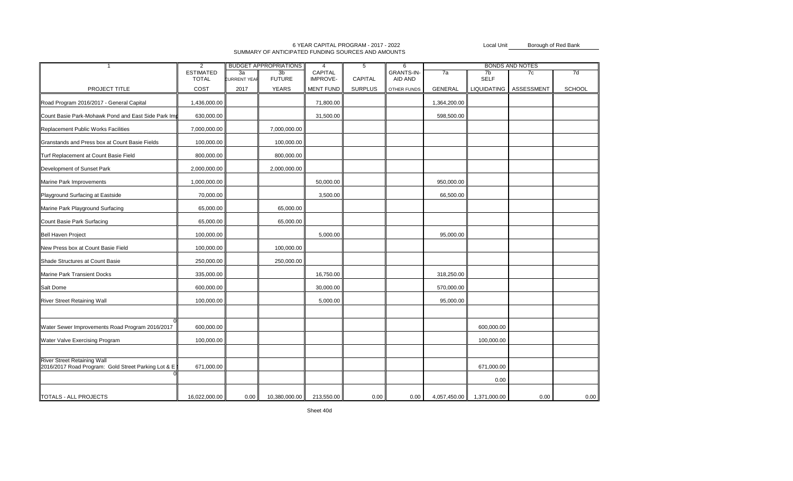#### SUMMARY OF ANTICIPATED FUNDING SOURCES AND AMOUNTS 6 YEAR CAPITAL PROGRAM - 2017 - 2022

Local UnitBorough of Red Bank

| $\overline{1}$                                                                            | <b>BUDGET APPROPRIATIONS</b><br>$\overline{2}$ |                           | $\overline{4}$                  | 5<br>6                     |                |                              | <b>BONDS AND NOTES</b> |                               |            |               |
|-------------------------------------------------------------------------------------------|------------------------------------------------|---------------------------|---------------------------------|----------------------------|----------------|------------------------------|------------------------|-------------------------------|------------|---------------|
|                                                                                           | <b>ESTIMATED</b><br><b>TOTAL</b>               | 3a<br><b>CURRENT YEAR</b> | 3 <sub>b</sub><br><b>FUTURE</b> | CAPITAL<br><b>IMPROVE-</b> | <b>CAPITAL</b> | <b>GRANTS-IN-</b><br>AID AND | 7a                     | 7 <sub>b</sub><br><b>SELF</b> | 7c         | 7d            |
| PROJECT TITLE                                                                             | COST                                           | 2017                      | <b>YEARS</b>                    | MENT FUND                  | <b>SURPLUS</b> | OTHER FUNDS                  | <b>GENERAL</b>         | <b>LIQUIDATING</b>            | ASSESSMENT | <b>SCHOOL</b> |
| Road Program 2016/2017 - General Capital                                                  | 1,436,000.00                                   |                           |                                 | 71,800.00                  |                |                              | 1,364,200.00           |                               |            |               |
| Count Basie Park-Mohawk Pond and East Side Park Im                                        | 630,000.00                                     |                           |                                 | 31,500.00                  |                |                              | 598,500.00             |                               |            |               |
| Replacement Public Works Facilities                                                       | 7,000,000.00                                   |                           | 7,000,000.00                    |                            |                |                              |                        |                               |            |               |
| Granstands and Press box at Count Basie Fields                                            | 100,000.00                                     |                           | 100,000.00                      |                            |                |                              |                        |                               |            |               |
| Turf Replacement at Count Basie Field                                                     | 800,000.00                                     |                           | 800,000.00                      |                            |                |                              |                        |                               |            |               |
| Development of Sunset Park                                                                | 2,000,000.00                                   |                           | 2,000,000.00                    |                            |                |                              |                        |                               |            |               |
| Marine Park Improvements                                                                  | 1,000,000.00                                   |                           |                                 | 50,000.00                  |                |                              | 950,000.00             |                               |            |               |
| Playground Surfacing at Eastside                                                          | 70,000.00                                      |                           |                                 | 3,500.00                   |                |                              | 66,500.00              |                               |            |               |
| Marine Park Playground Surfacing                                                          | 65,000.00                                      |                           | 65,000.00                       |                            |                |                              |                        |                               |            |               |
| Count Basie Park Surfacing                                                                | 65,000.00                                      |                           | 65,000.00                       |                            |                |                              |                        |                               |            |               |
| <b>Bell Haven Project</b>                                                                 | 100,000.00                                     |                           |                                 | 5,000.00                   |                |                              | 95,000.00              |                               |            |               |
| New Press box at Count Basie Field                                                        | 100,000.00                                     |                           | 100,000.00                      |                            |                |                              |                        |                               |            |               |
| Shade Structures at Count Basie                                                           | 250,000.00                                     |                           | 250,000.00                      |                            |                |                              |                        |                               |            |               |
| Marine Park Transient Docks                                                               | 335,000.00                                     |                           |                                 | 16,750.00                  |                |                              | 318,250.00             |                               |            |               |
| Salt Dome                                                                                 | 600,000.00                                     |                           |                                 | 30,000.00                  |                |                              | 570,000.00             |                               |            |               |
| <b>River Street Retaining Wall</b>                                                        | 100,000.00                                     |                           |                                 | 5,000.00                   |                |                              | 95,000.00              |                               |            |               |
|                                                                                           |                                                |                           |                                 |                            |                |                              |                        |                               |            |               |
| Water Sewer Improvements Road Program 2016/2017                                           | 600,000.00                                     |                           |                                 |                            |                |                              |                        | 600,000.00                    |            |               |
| Water Valve Exercising Program                                                            | 100,000.00                                     |                           |                                 |                            |                |                              |                        | 100,000.00                    |            |               |
|                                                                                           |                                                |                           |                                 |                            |                |                              |                        |                               |            |               |
| <b>River Street Retaining Wall</b><br>2016/2017 Road Program: Gold Street Parking Lot & E | 671,000.00                                     |                           |                                 |                            |                |                              |                        | 671,000.00                    |            |               |
|                                                                                           |                                                |                           |                                 |                            |                |                              |                        | 0.00                          |            |               |
| TOTALS - ALL PROJECTS                                                                     | 16,022,000.00                                  | 0.00                      | 10,380,000.00                   | 213,550.00                 | 0.00           | 0.00                         | 4,057,450.00           | 1,371,000.00                  | 0.00       | 0.00          |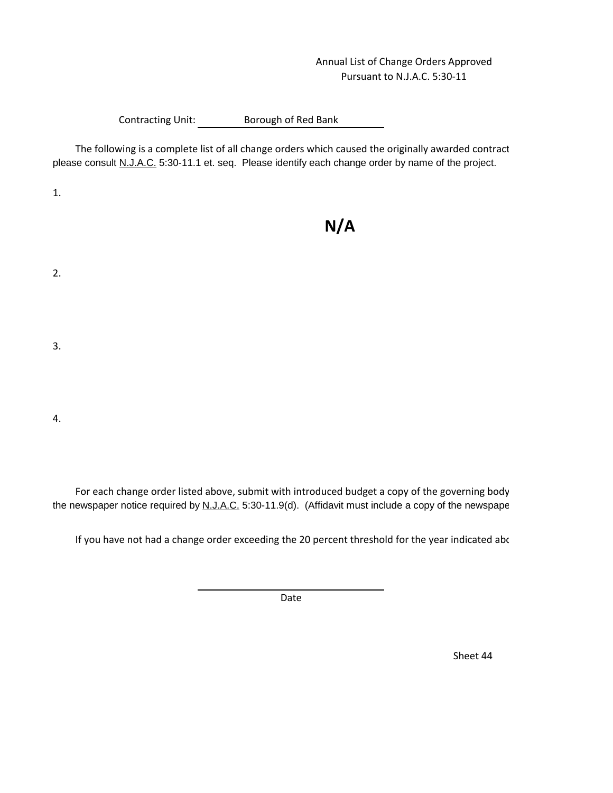## Annual List of Change Orders Approved Pursuant to N.J.A.C. 5:30-11

## Contracting Unit: Borough of Red Bank

The following is a complete list of all change orders which caused the originally awarded contract please consult N.J.A.C. 5:30-11.1 et. seq. Please identify each change order by name of the project.

1.

2.

# **N/A**

- 3.
- 4.

For each change order listed above, submit with introduced budget a copy of the governing body the newspaper notice required by N.J.A.C. 5:30-11.9(d). (Affidavit must include a copy of the newspape

If you have not had a change order exceeding the 20 percent threshold for the year indicated abo

Date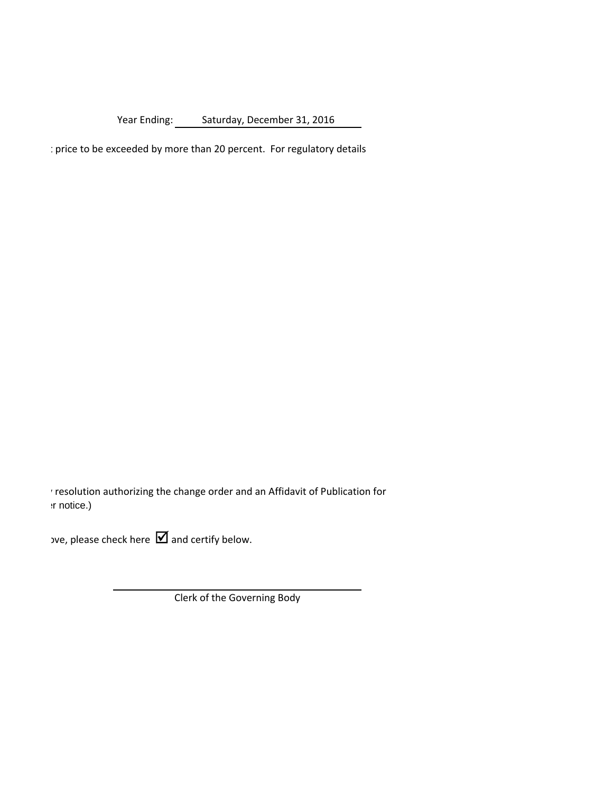Year Ending: Saturday, December 31, 2016

: price to be exceeded by more than 20 percent. For regulatory details

resolution authorizing the change order and an Affidavit of Publication for  $:$ r notice.)

 $\mathsf{D}$  yve, please check here  $\blacksquare$  and certify below.

Clerk of the Governing Body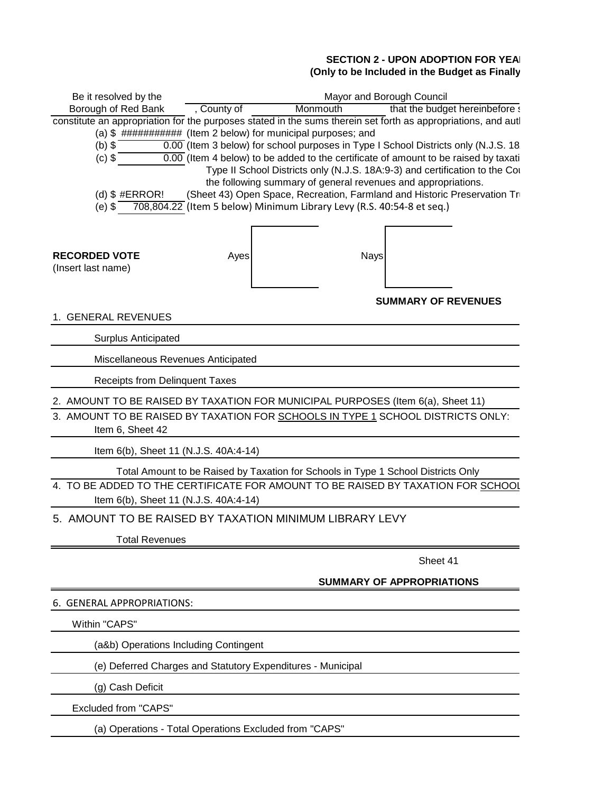## **SECTION 2 - UPON ADOPTION FOR YEAR** (Only to be Included in the Budget as Finally

| Be it resolved by the                                                                                                                                                | Mayor and Borough Council |                                                                                                                                                                                                         |                                                                                                                                                                                                                                                                                                                                                   |  |  |  |  |  |
|----------------------------------------------------------------------------------------------------------------------------------------------------------------------|---------------------------|---------------------------------------------------------------------------------------------------------------------------------------------------------------------------------------------------------|---------------------------------------------------------------------------------------------------------------------------------------------------------------------------------------------------------------------------------------------------------------------------------------------------------------------------------------------------|--|--|--|--|--|
| Borough of Red Bank                                                                                                                                                  | , County of               | Monmouth                                                                                                                                                                                                | that the budget hereinbefore a                                                                                                                                                                                                                                                                                                                    |  |  |  |  |  |
| constitute an appropriation for the purposes stated in the sums therein set forth as appropriations, and auti<br>$(b)$ \$<br>$(c)$ \$<br>(d) $$$ #ERROR!<br>$(e)$ \$ |                           | (a) \$ ########### (Item 2 below) for municipal purposes; and<br>the following summary of general revenues and appropriations.<br>708,804.22 (Item 5 below) Minimum Library Levy (R.S. 40:54-8 et seq.) | 0.00 (Item 3 below) for school purposes in Type I School Districts only (N.J.S. 18<br>$\overline{0.00}$ (Item 4 below) to be added to the certificate of amount to be raised by taxati<br>Type II School Districts only (N.J.S. 18A:9-3) and certification to the Cor<br>(Sheet 43) Open Space, Recreation, Farmland and Historic Preservation Tr |  |  |  |  |  |
| <b>RECORDED VOTE</b><br>(Insert last name)                                                                                                                           | Ayes                      | <b>Nays</b>                                                                                                                                                                                             |                                                                                                                                                                                                                                                                                                                                                   |  |  |  |  |  |
|                                                                                                                                                                      |                           |                                                                                                                                                                                                         | <b>SUMMARY OF REVENUES</b>                                                                                                                                                                                                                                                                                                                        |  |  |  |  |  |
| 1. GENERAL REVENUES                                                                                                                                                  |                           |                                                                                                                                                                                                         |                                                                                                                                                                                                                                                                                                                                                   |  |  |  |  |  |
| <b>Surplus Anticipated</b>                                                                                                                                           |                           |                                                                                                                                                                                                         |                                                                                                                                                                                                                                                                                                                                                   |  |  |  |  |  |
| Miscellaneous Revenues Anticipated                                                                                                                                   |                           |                                                                                                                                                                                                         |                                                                                                                                                                                                                                                                                                                                                   |  |  |  |  |  |
| <b>Receipts from Delinquent Taxes</b>                                                                                                                                |                           |                                                                                                                                                                                                         |                                                                                                                                                                                                                                                                                                                                                   |  |  |  |  |  |
| 2. AMOUNT TO BE RAISED BY TAXATION FOR MUNICIPAL PURPOSES (Item 6(a), Sheet 11)                                                                                      |                           |                                                                                                                                                                                                         |                                                                                                                                                                                                                                                                                                                                                   |  |  |  |  |  |
| 3. AMOUNT TO BE RAISED BY TAXATION FOR SCHOOLS IN TYPE 1 SCHOOL DISTRICTS ONLY:<br>Item 6, Sheet 42                                                                  |                           |                                                                                                                                                                                                         |                                                                                                                                                                                                                                                                                                                                                   |  |  |  |  |  |
| Item 6(b), Sheet 11 (N.J.S. 40A:4-14)                                                                                                                                |                           |                                                                                                                                                                                                         |                                                                                                                                                                                                                                                                                                                                                   |  |  |  |  |  |
| 4. TO BE ADDED TO THE CERTIFICATE FOR AMOUNT TO BE RAISED BY TAXATION FOR SCHOOL<br>Item 6(b), Sheet 11 (N.J.S. 40A:4-14)                                            |                           | Total Amount to be Raised by Taxation for Schools in Type 1 School Districts Only                                                                                                                       |                                                                                                                                                                                                                                                                                                                                                   |  |  |  |  |  |
| 5. AMOUNT TO BE RAISED BY TAXATION MINIMUM LIBRARY LEVY                                                                                                              |                           |                                                                                                                                                                                                         |                                                                                                                                                                                                                                                                                                                                                   |  |  |  |  |  |
| <b>Total Revenues</b>                                                                                                                                                |                           |                                                                                                                                                                                                         |                                                                                                                                                                                                                                                                                                                                                   |  |  |  |  |  |
|                                                                                                                                                                      |                           |                                                                                                                                                                                                         | Sheet 41                                                                                                                                                                                                                                                                                                                                          |  |  |  |  |  |
|                                                                                                                                                                      |                           |                                                                                                                                                                                                         | <b>SUMMARY OF APPROPRIATIONS</b>                                                                                                                                                                                                                                                                                                                  |  |  |  |  |  |
| 6. GENERAL APPROPRIATIONS:                                                                                                                                           |                           |                                                                                                                                                                                                         |                                                                                                                                                                                                                                                                                                                                                   |  |  |  |  |  |
| Within "CAPS"                                                                                                                                                        |                           |                                                                                                                                                                                                         |                                                                                                                                                                                                                                                                                                                                                   |  |  |  |  |  |
| (a&b) Operations Including Contingent                                                                                                                                |                           |                                                                                                                                                                                                         |                                                                                                                                                                                                                                                                                                                                                   |  |  |  |  |  |
| (e) Deferred Charges and Statutory Expenditures - Municipal                                                                                                          |                           |                                                                                                                                                                                                         |                                                                                                                                                                                                                                                                                                                                                   |  |  |  |  |  |
| (g) Cash Deficit                                                                                                                                                     |                           |                                                                                                                                                                                                         |                                                                                                                                                                                                                                                                                                                                                   |  |  |  |  |  |
| <b>Excluded from "CAPS"</b>                                                                                                                                          |                           |                                                                                                                                                                                                         |                                                                                                                                                                                                                                                                                                                                                   |  |  |  |  |  |
| (a) Operations - Total Operations Excluded from "CAPS"                                                                                                               |                           |                                                                                                                                                                                                         |                                                                                                                                                                                                                                                                                                                                                   |  |  |  |  |  |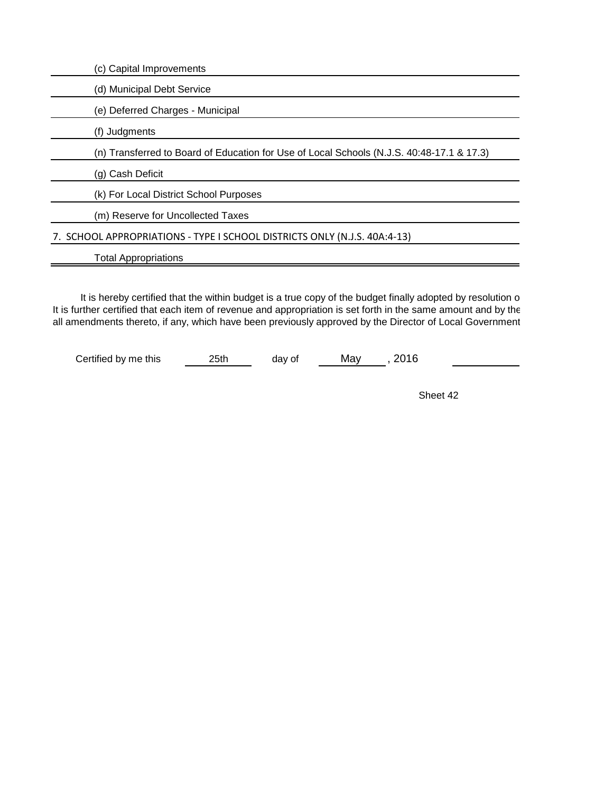| (c) Capital Improvements                                                                  |
|-------------------------------------------------------------------------------------------|
| (d) Municipal Debt Service                                                                |
| (e) Deferred Charges - Municipal                                                          |
| (f) Judgments                                                                             |
| (n) Transferred to Board of Education for Use of Local Schools (N.J.S. 40:48-17.1 & 17.3) |
| (g) Cash Deficit                                                                          |
| (k) For Local District School Purposes                                                    |
| (m) Reserve for Uncollected Taxes                                                         |
| 7. SCHOOL APPROPRIATIONS - TYPE I SCHOOL DISTRICTS ONLY (N.J.S. 40A:4-13)                 |
| <b>Total Appropriations</b>                                                               |
|                                                                                           |

It is hereby certified that the within budget is a true copy of the budget finally adopted by resolution o It is further certified that each item of revenue and appropriation is set forth in the same amount and by the all amendments thereto, if any, which have been previously approved by the Director of Local Government

Certified by me this 25th day of May , 2016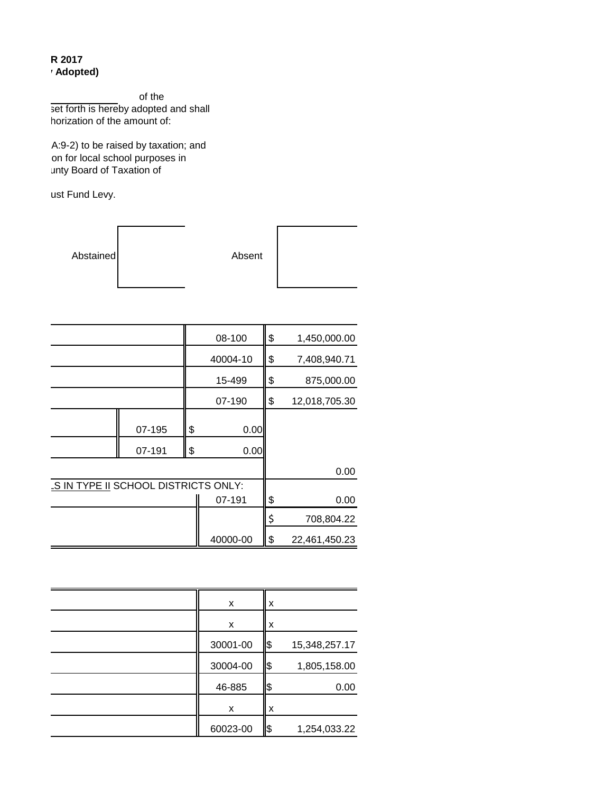#### **R** 2017 **(Adopted)**

of the set forth is hereby adopted and shall horization of the amount of:

A:9-2) to be raised by taxation; and on for local school purposes in unty Board of Taxation of

ust Fund Levy.

| Abstained | Absent |  |
|-----------|--------|--|
|-----------|--------|--|

|                                      |        |    | 08-100   | \$<br>1,450,000.00  |
|--------------------------------------|--------|----|----------|---------------------|
|                                      |        |    | 40004-10 | \$<br>7,408,940.71  |
|                                      |        |    | 15-499   | \$<br>875,000.00    |
|                                      |        |    | 07-190   | \$<br>12,018,705.30 |
|                                      | 07-195 | \$ | 0.00     |                     |
|                                      | 07-191 | \$ | 0.00     |                     |
|                                      |        |    |          | 0.00                |
| LS IN TYPE II SCHOOL DISTRICTS ONLY: |        |    |          |                     |
|                                      |        |    | 07-191   | \$<br>0.00          |
|                                      |        |    |          | \$<br>708,804.22    |
|                                      |        |    | 40000-00 | \$<br>22,461,450.23 |

| x        | x    |               |
|----------|------|---------------|
| x        | x    |               |
| 30001-00 | 1\$  | 15,348,257.17 |
| 30004-00 | 1\$  | 1,805,158.00  |
| 46-885   | I\$  | 0.00          |
| x        | x    |               |
| 60023-00 | ll\$ | 1,254,033.22  |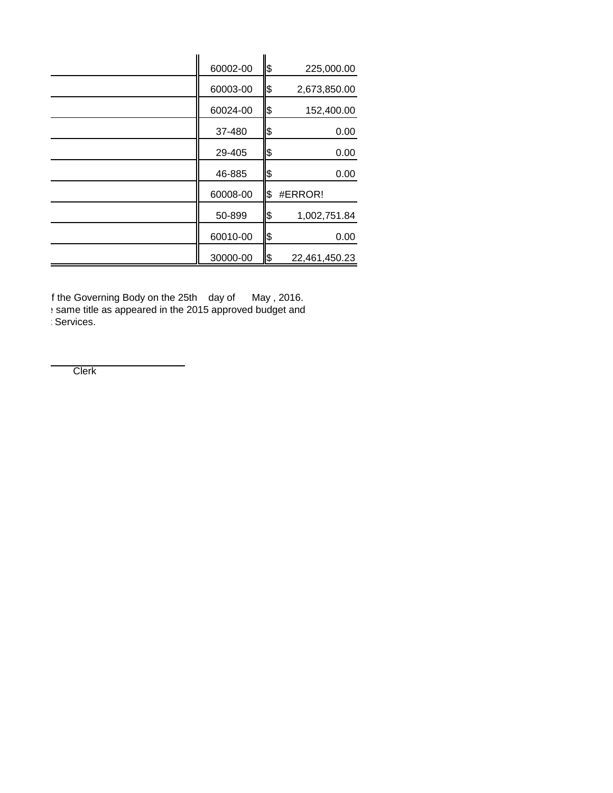| 60002-00 | \$  | 225,000.00    |
|----------|-----|---------------|
| 60003-00 | \$  | 2,673,850.00  |
| 60024-00 | \$  | 152,400.00    |
| 37-480   | \$  | 0.00          |
| 29-405   | \$  | 0.00          |
| 46-885   | \$  | 0.00          |
| 60008-00 | \$  | #ERROR!       |
| 50-899   | \$  | 1,002,751.84  |
| 60010-00 | \$  | 0.00          |
| 30000-00 | 1\$ | 22,461,450.23 |

If the Governing Body on the 25th day of May , 2016. tither as appeared in the 2015 approved budget and approved budget and same title as appeared in the 2015 approved budget and all amendments there is a Services.

Clerk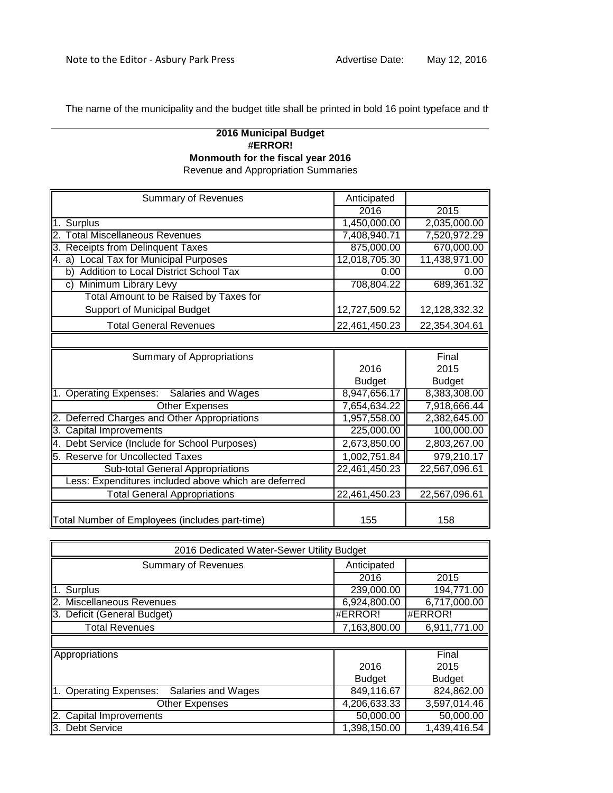The name of the municipality and the budget title shall be printed in bold 16 point typeface and the

## **#ERROR! Monmouth for the fiscal year 2016** Revenue and Appropriation Summaries **2016 Municipal Budget**

| <b>Summary of Revenues</b>                           | Anticipated   |               |
|------------------------------------------------------|---------------|---------------|
|                                                      | 2016          | 2015          |
| 1. Surplus                                           | 1,450,000.00  | 2,035,000.00  |
| <b>Total Miscellaneous Revenues</b><br>2.            | 7,408,940.71  | 7,520,972.29  |
| 3. Receipts from Delinquent Taxes                    | 875,000.00    | 670,000.00    |
| 4. a) Local Tax for Municipal Purposes               | 12,018,705.30 | 11,438,971.00 |
| Addition to Local District School Tax<br>b)          | 0.00          | 0.00          |
| Minimum Library Levy<br>C)                           | 708,804.22    | 689,361.32    |
| Total Amount to be Raised by Taxes for               |               |               |
| Support of Municipal Budget                          | 12,727,509.52 | 12,128,332.32 |
| <b>Total General Revenues</b>                        | 22,461,450.23 | 22,354,304.61 |
|                                                      |               |               |
| Summary of Appropriations                            |               | Final         |
|                                                      | 2016          | 2015          |
|                                                      | <b>Budget</b> | <b>Budget</b> |
| Salaries and Wages<br>1. Operating Expenses:         | 8,947,656.17  | 8,383,308.00  |
| <b>Other Expenses</b>                                | 7,654,634.22  | 7,918,666.44  |
| 2. Deferred Charges and Other Appropriations         | 1,957,558.00  | 2,382,645.00  |
| 3. Capital Improvements                              | 225,000.00    | 100,000.00    |
| 4. Debt Service (Include for School Purposes)        | 2,673,850.00  | 2,803,267.00  |
| 5. Reserve for Uncollected Taxes                     | 1,002,751.84  | 979,210.17    |
| Sub-total General Appropriations                     | 22,461,450.23 | 22,567,096.61 |
| Less: Expenditures included above which are deferred |               |               |
| <b>Total General Appropriations</b>                  | 22,461,450.23 | 22,567,096.61 |
|                                                      |               |               |
| Total Number of Employees (includes part-time)       | 155           | 158           |

| 2016 Dedicated Water-Sewer Utility Budget        |               |               |  |
|--------------------------------------------------|---------------|---------------|--|
| <b>Summary of Revenues</b>                       | Anticipated   |               |  |
|                                                  | 2016          | 2015          |  |
| Surplus                                          | 239,000.00    | 194,771.00    |  |
| <b>Miscellaneous Revenues</b>                    | 6,924,800.00  | 6,717,000.00  |  |
| Deficit (General Budget)                         | #ERROR!       | #ERROR!       |  |
| <b>Total Revenues</b>                            | 7,163,800.00  | 6,911,771.00  |  |
|                                                  |               |               |  |
| Appropriations                                   |               | Final         |  |
|                                                  | 2016          | 2015          |  |
|                                                  | <b>Budget</b> | <b>Budget</b> |  |
| <b>Operating Expenses:</b><br>Salaries and Wages | 849,116.67    | 824,862.00    |  |
| <b>Other Expenses</b>                            | 4,206,633.33  | 3,597,014.46  |  |
| Capital Improvements                             | 50,000.00     | 50,000.00     |  |
| <b>Debt Service</b><br>З.                        | 1,398,150.00  | 1,439,416.54  |  |